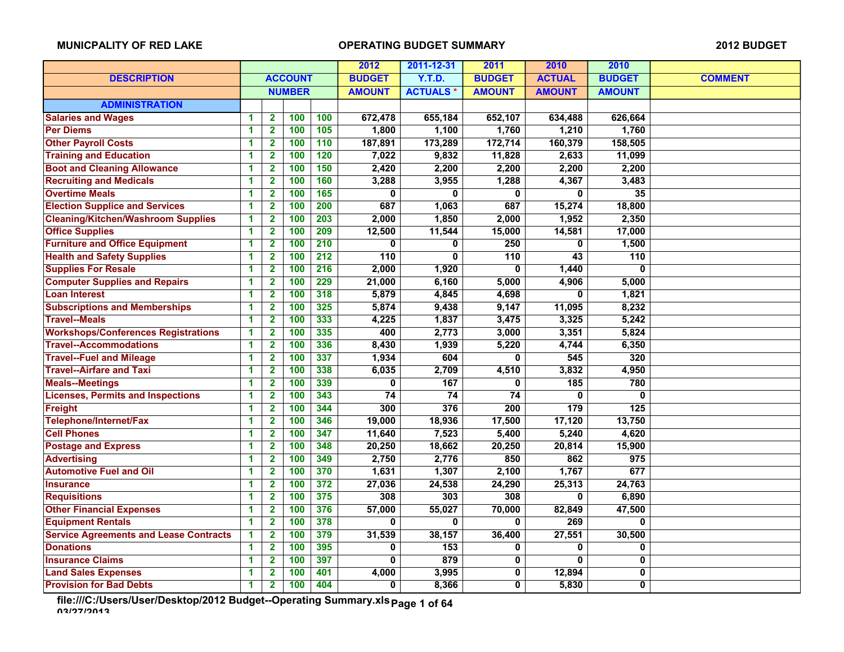|                                               |                      |                         |                | 2012             | 2011-12-31       | 2011            | 2010             | 2010                    |                  |                |
|-----------------------------------------------|----------------------|-------------------------|----------------|------------------|------------------|-----------------|------------------|-------------------------|------------------|----------------|
| <b>DESCRIPTION</b>                            |                      |                         | <b>ACCOUNT</b> |                  | <b>BUDGET</b>    | <b>Y.T.D.</b>   | <b>BUDGET</b>    | <b>ACTUAL</b>           | <b>BUDGET</b>    | <b>COMMENT</b> |
|                                               |                      |                         | <b>NUMBER</b>  |                  | <b>AMOUNT</b>    | <b>ACTUALS*</b> | <b>AMOUNT</b>    | <b>AMOUNT</b>           | <b>AMOUNT</b>    |                |
| <b>ADMINISTRATION</b>                         |                      |                         |                |                  |                  |                 |                  |                         |                  |                |
| <b>Salaries and Wages</b>                     | 1                    | $\mathbf{2}$            | 100            | 100              | 672,478          | 655,184         | 652,107          | 634,488                 | 626,664          |                |
| <b>Per Diems</b>                              | 1                    | $\overline{2}$          | 100            | $\overline{105}$ | 1,800            | 1,100           | 1,760            | 1,210                   | 1,760            |                |
| <b>Other Payroll Costs</b>                    | 1                    | $\overline{\mathbf{2}}$ | 100            | 110              | 187,891          | 173,289         | 172,714          | 160,379                 | 158,505          |                |
| <b>Training and Education</b>                 | 1                    | $\overline{\mathbf{2}}$ | 100            | 120              | 7,022            | 9,832           | 11,828           | 2,633                   | 11,099           |                |
| <b>Boot and Cleaning Allowance</b>            | 1                    | $\overline{\mathbf{2}}$ | 100            | 150              | 2,420            | 2,200           | 2,200            | 2,200                   | 2,200            |                |
| <b>Recruiting and Medicals</b>                | 1                    | $\overline{2}$          | 100            | 160              | 3,288            | 3,955           | 1,288            | 4,367                   | 3,483            |                |
| <b>Overtime Meals</b>                         | 1                    | $\overline{2}$          | 100            | 165              | $\mathbf{0}$     | 0               | 0                | 0                       | 35               |                |
| <b>Election Supplice and Services</b>         | 1                    | $\overline{\mathbf{2}}$ | 100            | 200              | 687              | 1,063           | 687              | 15,274                  | 18,800           |                |
| <b>Cleaning/Kitchen/Washroom Supplies</b>     | 1                    | $\overline{\mathbf{2}}$ | 100            | 203              | 2,000            | 1,850           | 2,000            | 1,952                   | 2,350            |                |
| <b>Office Supplies</b>                        | 1                    | $\overline{\mathbf{2}}$ | 100            | 209              | 12,500           | 11,544          | 15,000           | 14,581                  | 17,000           |                |
| <b>Furniture and Office Equipment</b>         | 1                    | $\overline{\mathbf{2}}$ | 100            | $\overline{210}$ | $\bf{0}$         | $\bf{0}$        | $\overline{250}$ | $\bf{0}$                | 1,500            |                |
| <b>Health and Safety Supplies</b>             | 1                    | $\overline{2}$          | 100            | $\overline{212}$ | $\overline{110}$ | $\overline{0}$  | $\overline{110}$ | $\overline{43}$         | $\overline{110}$ |                |
| <b>Supplies For Resale</b>                    | 1                    | $\overline{\mathbf{2}}$ | 100            | 216              | 2,000            | 1,920           | 0                | 1,440                   | $\mathbf{0}$     |                |
| <b>Computer Supplies and Repairs</b>          | 1                    | $\mathbf{2}$            | 100            | 229              | 21,000           | 6,160           | 5,000            | 4,906                   | 5,000            |                |
| <b>Loan Interest</b>                          | 1                    | $\mathbf{2}$            | 100            | 318              | 5,879            | 4,845           | 4,698            | $\overline{\mathbf{0}}$ | 1,821            |                |
| <b>Subscriptions and Memberships</b>          | 1                    | $\overline{2}$          | 100            | 325              | 5,874            | 9,438           | 9,147            | 11,095                  | 8,232            |                |
| <b>Travel--Meals</b>                          | 1                    | $\overline{2}$          | 100            | 333              | 4,225            | 1,837           | 3,475            | 3,325                   | 5,242            |                |
| <b>Workshops/Conferences Registrations</b>    | 1                    | $\mathbf 2$             | 100            | 335              | 400              | 2,773           | 3,000            | 3,351                   | 5,824            |                |
| <b>Travel--Accommodations</b>                 | 1                    | $\overline{\mathbf{2}}$ | 100            | 336              | 8,430            | 1,939           | 5,220            | 4,744                   | 6,350            |                |
| <b>Travel--Fuel and Mileage</b>               | 1                    | $\overline{\mathbf{2}}$ | 100            | 337              | 1,934            | 604             | 0                | 545                     | 320              |                |
| <b>Travel--Airfare and Taxi</b>               | 1                    | $\overline{2}$          | 100            | 338              | 6,035            | 2,709           | 4,510            | 3,832                   | 4,950            |                |
| <b>Meals--Meetings</b>                        | 1                    | $\overline{\mathbf{2}}$ | 100            | 339              | 0                | 167             | 0                | 185                     | 780              |                |
| <b>Licenses, Permits and Inspections</b>      | 1                    | $\mathbf{2}$            | 100            | 343              | 74               | $\overline{74}$ | 74               | 0                       | 0                |                |
| Freight                                       | 1                    | $\mathbf{2}$            | 100            | 344              | 300              | 376             | 200              | 179                     | $\overline{125}$ |                |
| Telephone/Internet/Fax                        | 1                    | $\mathbf{2}$            | 100            | 346              | 19,000           | 18,936          | 17,500           | 17,120                  | 13,750           |                |
| <b>Cell Phones</b>                            | 1                    | $\overline{\mathbf{2}}$ | 100            | 347              | 11,640           | 7,523           | 5,400            | 5,240                   | 4,620            |                |
| <b>Postage and Express</b>                    | 1                    | $\overline{\mathbf{2}}$ | 100            | 348              | 20,250           | 18,662          | 20,250           | 20,814                  | 15,900           |                |
| <b>Advertising</b>                            | 1                    | $\mathbf{2}$            | 100            | 349              | 2,750            | 2,776           | 850              | 862                     | 975              |                |
| <b>Automotive Fuel and Oil</b>                | 1                    | $\overline{\mathbf{2}}$ | 100            | 370              | 1,631            | 1,307           | 2,100            | 1,767                   | 677              |                |
| <b>Insurance</b>                              | 1                    | $\overline{2}$          | 100            | 372              | 27,036           | 24,538          | 24,290           | 25,313                  | 24,763           |                |
| <b>Requisitions</b>                           | 1                    | $\overline{\mathbf{2}}$ | 100            | 375              | 308              | 303             | 308              | 0                       | 6,890            |                |
| <b>Other Financial Expenses</b>               | 1                    | $\overline{2}$          | 100            | 376              | 57,000           | 55,027          | 70,000           | 82,849                  | 47,500           |                |
| <b>Equipment Rentals</b>                      | 1                    | $\mathbf{2}$            | 100            | 378              | $\mathbf{0}$     | $\bf{0}$        | 0                | 269                     | 0                |                |
| <b>Service Agreements and Lease Contracts</b> | 1                    | $\mathbf{2}$            | 100            | 379              | 31,539           | 38,157          | 36,400           | 27,551                  | 30,500           |                |
| <b>Donations</b>                              | $\blacktriangleleft$ | $\mathbf{2}$            | 100            | 395              | 0                | 153             | 0                | 0                       | 0                |                |
| <b>Insurance Claims</b>                       | 1                    | $\overline{\mathbf{2}}$ | 100            | 397              | 0                | 879             | 0                | 0                       | 0                |                |
| <b>Land Sales Expenses</b>                    | 1                    | $\overline{\mathbf{2}}$ | 100            | 401              | 4,000            | 3,995           | 0                | 12,894                  | 0                |                |
| <b>Provision for Bad Debts</b>                | 1                    | $\overline{\mathbf{2}}$ | 100            | 404              | 0                | 8,366           | 0                | 5,830                   | 0                |                |

**file:///C:/Users/User/Desktop/2012 Budget--Operating Summary.xls 03/27/2013 Page 1 of 64**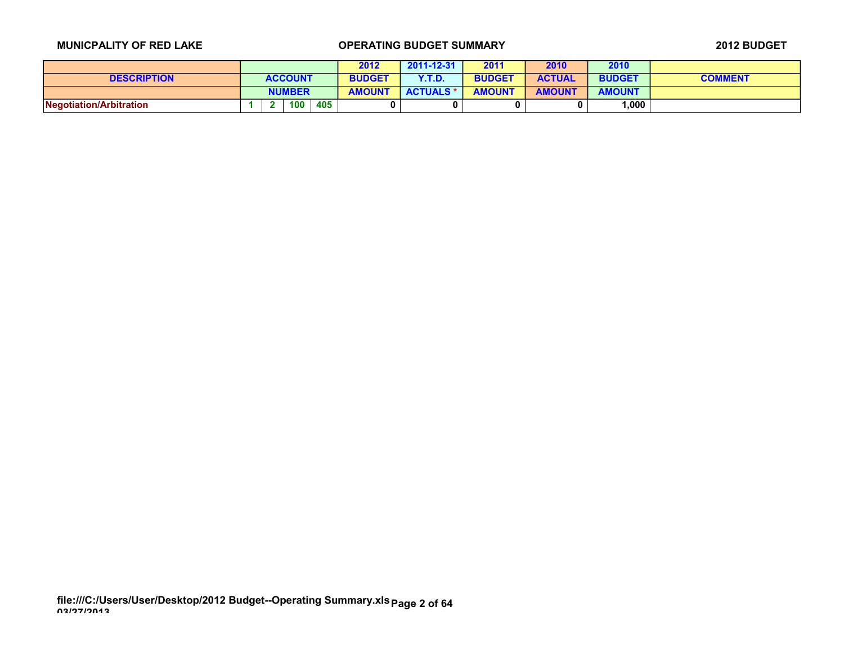|                         |  |                |     | 2012          | 2011-12-31       | 2011          | 2010          | 2010          |                |
|-------------------------|--|----------------|-----|---------------|------------------|---------------|---------------|---------------|----------------|
| <b>DESCRIPTION</b>      |  | <b>ACCOUNT</b> |     | <b>BUDGET</b> | Y.T.D            | <b>BUDGET</b> | <b>ACTUAL</b> | <b>BUDGET</b> | <b>COMMENT</b> |
|                         |  | <b>NUMBER</b>  |     | <b>AMOUNT</b> | <b>ACTUALS *</b> | <b>AMOUNT</b> | <b>AMOUNT</b> | <b>AMOUNT</b> |                |
| Negotiation/Arbitration |  | 100            | 405 |               | 0                |               |               | 000, ا        |                |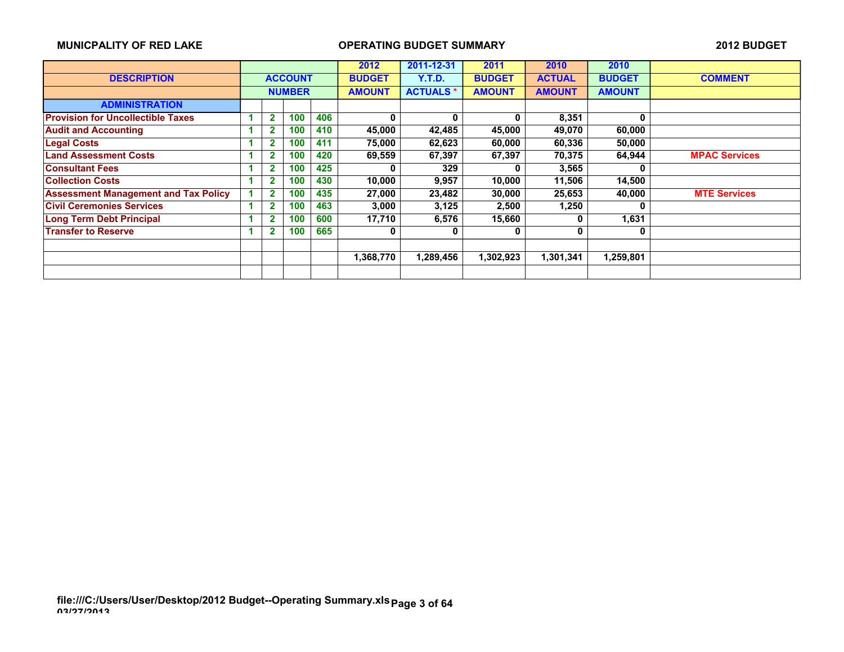|                                             |                |               |     | 2012          | 2011-12-31      | 2011          | 2010          | 2010          |                      |
|---------------------------------------------|----------------|---------------|-----|---------------|-----------------|---------------|---------------|---------------|----------------------|
| <b>DESCRIPTION</b>                          | <b>ACCOUNT</b> |               |     | <b>BUDGET</b> | Y.T.D.          | <b>BUDGET</b> | <b>ACTUAL</b> | <b>BUDGET</b> | <b>COMMENT</b>       |
|                                             |                | <b>NUMBER</b> |     | <b>AMOUNT</b> | <b>ACTUALS*</b> | <b>AMOUNT</b> | <b>AMOUNT</b> | <b>AMOUNT</b> |                      |
| <b>ADMINISTRATION</b>                       |                |               |     |               |                 |               |               |               |                      |
| <b>Provision for Uncollectible Taxes</b>    | $\mathbf{2}$   | 100           | 406 | 0             | 0               | 0             | 8,351         | $\bf{0}$      |                      |
| <b>Audit and Accounting</b>                 | $\overline{2}$ | 100           | 410 | 45,000        | 42,485          | 45,000        | 49,070        | 60,000        |                      |
| <b>Legal Costs</b>                          | 2              | 100           | 411 | 75,000        | 62,623          | 60,000        | 60,336        | 50.000        |                      |
| <b>Land Assessment Costs</b>                | 2              | 100           | 420 | 69,559        | 67,397          | 67,397        | 70,375        | 64,944        | <b>MPAC Services</b> |
| <b>Consultant Fees</b>                      | 2              | 100           | 425 | 0             | 329             | <sup>n</sup>  | 3,565         | Λ             |                      |
| <b>Collection Costs</b>                     | $\mathbf{2}$   | 100           | 430 | 10,000        | 9,957           | 10,000        | 11,506        | 14,500        |                      |
| <b>Assessment Management and Tax Policy</b> | $\mathbf{2}$   | 100           | 435 | 27,000        | 23,482          | 30,000        | 25,653        | 40.000        | <b>MTE Services</b>  |
| <b>Civil Ceremonies Services</b>            | 2.             | 100           | 463 | 3,000         | 3,125           | 2,500         | 1,250         | 0             |                      |
| <b>Long Term Debt Principal</b>             | 2              | 100           | 600 | 17,710        | 6,576           | 15,660        | 0             | 1,631         |                      |
| <b>Transfer to Reserve</b>                  | 2              | 100           | 665 | 0             | 0               | 0             | 0             | 0             |                      |
|                                             |                |               |     |               |                 |               |               |               |                      |
|                                             |                |               |     | 1,368,770     | 1,289,456       | 1,302,923     | 1,301,341     | 1,259,801     |                      |
|                                             |                |               |     |               |                 |               |               |               |                      |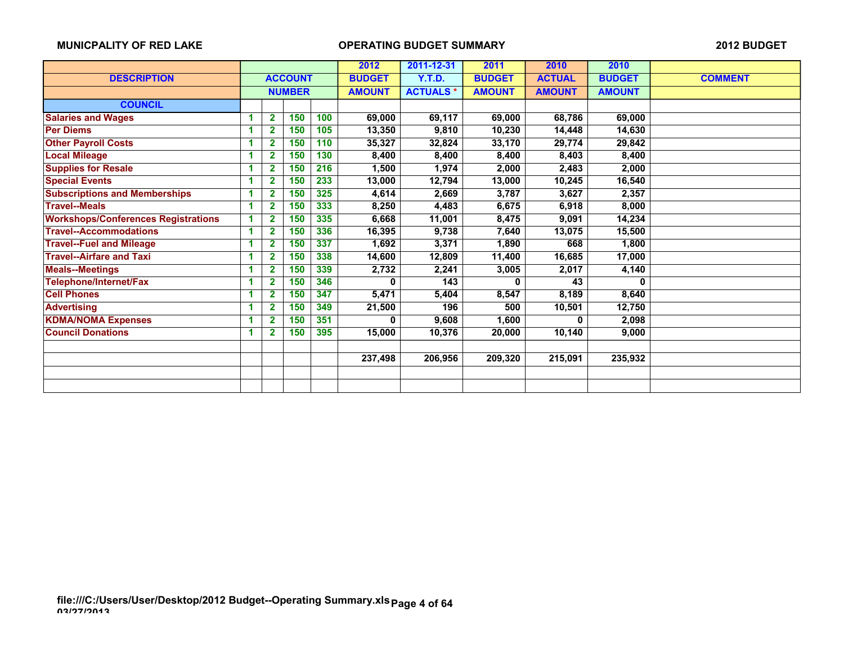|                                            |    |                |                | 2012 | 2011-12-31    | 2011            | 2010          | 2010          |               |                |
|--------------------------------------------|----|----------------|----------------|------|---------------|-----------------|---------------|---------------|---------------|----------------|
| <b>DESCRIPTION</b>                         |    |                | <b>ACCOUNT</b> |      | <b>BUDGET</b> | <b>Y.T.D.</b>   | <b>BUDGET</b> | <b>ACTUAL</b> | <b>BUDGET</b> | <b>COMMENT</b> |
|                                            |    |                | <b>NUMBER</b>  |      | <b>AMOUNT</b> | <b>ACTUALS*</b> | <b>AMOUNT</b> | <b>AMOUNT</b> | <b>AMOUNT</b> |                |
| <b>COUNCIL</b>                             |    |                |                |      |               |                 |               |               |               |                |
| <b>Salaries and Wages</b>                  |    | $\mathbf{2}$   | 150            | 100  | 69,000        | 69,117          | 69,000        | 68,786        | 69,000        |                |
| <b>Per Diems</b>                           | 1  | 2              | 150            | 105  | 13,350        | 9,810           | 10,230        | 14,448        | 14,630        |                |
| <b>Other Payroll Costs</b>                 | 1  | $\mathbf{2}$   | 150            | 110  | 35,327        | 32,824          | 33,170        | 29,774        | 29,842        |                |
| <b>Local Mileage</b>                       | 1  | 2              | 150            | 130  | 8,400         | 8,400           | 8,400         | 8,403         | 8,400         |                |
| <b>Supplies for Resale</b>                 |    | 2              | 150            | 216  | 1,500         | 1,974           | 2,000         | 2,483         | 2,000         |                |
| <b>Special Events</b>                      |    | 2              | 150            | 233  | 13,000        | 12,794          | 13,000        | 10,245        | 16,540        |                |
| <b>Subscriptions and Memberships</b>       |    | 2              | 150            | 325  | 4,614         | 2,669           | 3,787         | 3,627         | 2,357         |                |
| <b>Travel--Meals</b>                       | -1 | $\overline{2}$ | 150            | 333  | 8,250         | 4,483           | 6,675         | 6,918         | 8,000         |                |
| <b>Workshops/Conferences Registrations</b> | 1  | $\mathbf{2}$   | 150            | 335  | 6,668         | 11,001          | 8,475         | 9,091         | 14,234        |                |
| <b>Travel--Accommodations</b>              | 1  | 2              | 150            | 336  | 16,395        | 9,738           | 7,640         | 13,075        | 15,500        |                |
| <b>Travel--Fuel and Mileage</b>            | 1  | 2              | 150            | 337  | 1,692         | 3,371           | 1,890         | 668           | 1,800         |                |
| <b>Travel--Airfare and Taxi</b>            |    | 2              | 150            | 338  | 14,600        | 12,809          | 11,400        | 16,685        | 17,000        |                |
| <b>Meals--Meetings</b>                     | 1  | $\mathbf{2}$   | 150            | 339  | 2,732         | 2,241           | 3,005         | 2,017         | 4,140         |                |
| Telephone/Internet/Fax                     | 1  | 2              | 150            | 346  | 0             | 143             | 0             | 43            | 0             |                |
| <b>Cell Phones</b>                         | 1  | 2              | 150            | 347  | 5,471         | 5,404           | 8,547         | 8,189         | 8,640         |                |
| <b>Advertising</b>                         | 1  | 2              | 150            | 349  | 21,500        | 196             | 500           | 10,501        | 12,750        |                |
| <b>KDMA/NOMA Expenses</b>                  |    | 2              | 150            | 351  | 0             | 9,608           | 1,600         | 0             | 2,098         |                |
| <b>Council Donations</b>                   | и  | 2              | 150            | 395  | 15,000        | 10,376          | 20,000        | 10,140        | 9,000         |                |
|                                            |    |                |                |      |               |                 |               |               |               |                |
|                                            |    |                |                |      | 237,498       | 206,956         | 209,320       | 215,091       | 235,932       |                |
|                                            |    |                |                |      |               |                 |               |               |               |                |
|                                            |    |                |                |      |               |                 |               |               |               |                |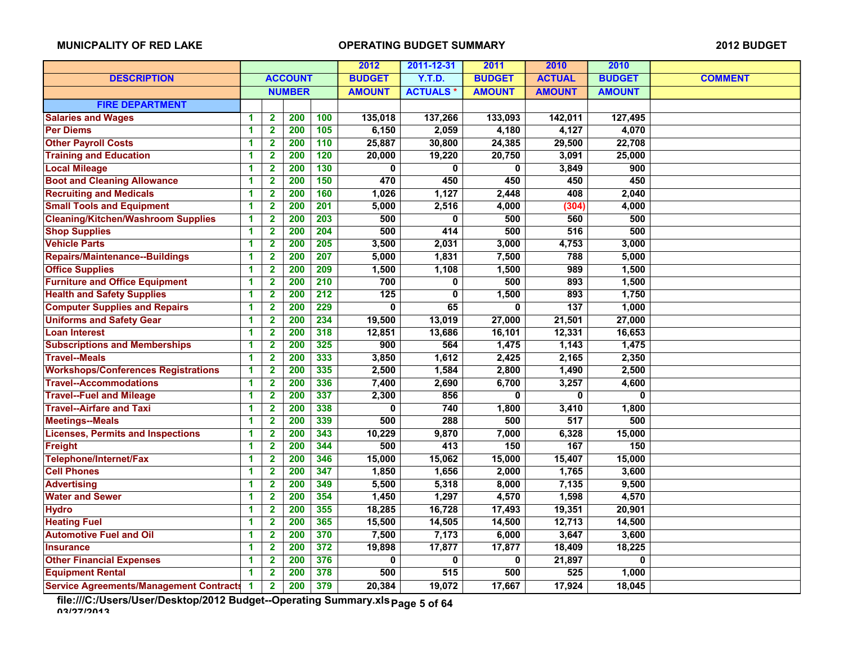|                                                |    |                         |                  |                  | 2012             | 2011-12-31      | 2011          | 2010          | 2010          |                |
|------------------------------------------------|----|-------------------------|------------------|------------------|------------------|-----------------|---------------|---------------|---------------|----------------|
| <b>DESCRIPTION</b>                             |    |                         | <b>ACCOUNT</b>   |                  | <b>BUDGET</b>    | <b>Y.T.D.</b>   | <b>BUDGET</b> | <b>ACTUAL</b> | <b>BUDGET</b> | <b>COMMENT</b> |
|                                                |    |                         | <b>NUMBER</b>    |                  | <b>AMOUNT</b>    | <b>ACTUALS*</b> | <b>AMOUNT</b> | <b>AMOUNT</b> | <b>AMOUNT</b> |                |
| <b>FIRE DEPARTMENT</b>                         |    |                         |                  |                  |                  |                 |               |               |               |                |
| <b>Salaries and Wages</b>                      | 1  | $\overline{2}$          | 200              | 100              | 135,018          | 137,266         | 133,093       | 142,011       | 127,495       |                |
| <b>Per Diems</b>                               | 1  | $\overline{2}$          | 200              | $\overline{105}$ | 6,150            | 2,059           | 4,180         | 4,127         | 4,070         |                |
| <b>Other Payroll Costs</b>                     | 1  | $\overline{\mathbf{2}}$ | 200              | 110              | 25,887           | 30,800          | 24,385        | 29,500        | 22,708        |                |
| <b>Training and Education</b>                  | 1  | $\overline{\mathbf{2}}$ | 200              | 120              | 20,000           | 19,220          | 20,750        | 3,091         | 25,000        |                |
| <b>Local Mileage</b>                           | 1  | $\mathbf 2$             | 200              | $\overline{130}$ | 0                | 0               | 0             | 3,849         | 900           |                |
| <b>Boot and Cleaning Allowance</b>             | 1  | $\overline{\mathbf{2}}$ | $\overline{200}$ | 150              | 470              | 450             | 450           | 450           | 450           |                |
| <b>Recruiting and Medicals</b>                 | 1  | $\mathbf 2$             | 200              | 160              | 1,026            | 1,127           | 2,448         | 408           | 2,040         |                |
| <b>Small Tools and Equipment</b>               | 1  | $\mathbf{2}$            | 200              | 201              | 5,000            | 2,516           | 4,000         | (304)         | 4,000         |                |
| <b>Cleaning/Kitchen/Washroom Supplies</b>      | 1  | $\overline{\mathbf{2}}$ | 200              | $\overline{203}$ | 500              | 0               | 500           | 560           | 500           |                |
| <b>Shop Supplies</b>                           | 1  | $\overline{\mathbf{2}}$ | 200              | 204              | 500              | 414             | 500           | 516           | 500           |                |
| <b>Vehicle Parts</b>                           | 1  | $\overline{\mathbf{2}}$ | 200              | 205              | 3,500            | 2,031           | 3,000         | 4,753         | 3,000         |                |
| <b>Repairs/Maintenance--Buildings</b>          | 1  | $\overline{2}$          | 200              | 207              | 5,000            | 1,831           | 7,500         | 788           | 5,000         |                |
| <b>Office Supplies</b>                         | 1  | $\overline{\mathbf{2}}$ | 200              | 209              | 1,500            | 1,108           | 1,500         | 989           | 1,500         |                |
| <b>Furniture and Office Equipment</b>          | 1  | $\mathbf 2$             | 200              | 210              | 700              | 0               | 500           | 893           | 1,500         |                |
| <b>Health and Safety Supplies</b>              | 1  | $\mathbf{2}$            | $\overline{200}$ | $\overline{212}$ | $\overline{125}$ | $\mathbf 0$     | 1,500         | 893           | 1,750         |                |
| <b>Computer Supplies and Repairs</b>           | 1  | $\overline{\mathbf{2}}$ | 200              | 229              | $\mathbf{0}$     | 65              | $\bf{0}$      | 137           | 1,000         |                |
| <b>Uniforms and Safety Gear</b>                | 1  | $\overline{\mathbf{2}}$ | 200              | 234              | 19,500           | 13,019          | 27,000        | 21,501        | 27,000        |                |
| <b>Loan Interest</b>                           | 1  | $\overline{\mathbf{2}}$ | 200              | 318              | 12,851           | 13,686          | 16,101        | 12,331        | 16,653        |                |
| <b>Subscriptions and Memberships</b>           | 1  | $\mathbf 2$             | 200              | 325              | 900              | 564             | 1,475         | 1,143         | 1,475         |                |
| <b>Travel--Meals</b>                           | 1  | $\overline{\mathbf{2}}$ | 200              | 333              | 3,850            | 1,612           | 2,425         | 2,165         | 2,350         |                |
| <b>Workshops/Conferences Registrations</b>     | 1  | $\overline{2}$          | 200              | 335              | 2,500            | 1,584           | 2,800         | 1,490         | 2,500         |                |
| <b>Travel--Accommodations</b>                  | 1  | $\overline{\mathbf{2}}$ | 200              | 336              | 7,400            | 2,690           | 6,700         | 3,257         | 4,600         |                |
| <b>Travel--Fuel and Mileage</b>                | 1  | 2                       | 200              | 337              | 2,300            | 856             | 0             | 0             | 0             |                |
| <b>Travel--Airfare and Taxi</b>                | 1  | $\overline{\mathbf{2}}$ | 200              | 338              | 0                | 740             | 1,800         | 3,410         | 1,800         |                |
| <b>Meetings--Meals</b>                         | 1  | $\overline{\mathbf{2}}$ | 200              | 339              | 500              | 288             | 500           | 517           | 500           |                |
| <b>Licenses, Permits and Inspections</b>       | 1  | $\overline{\mathbf{2}}$ | $\overline{200}$ | 343              | 10,229           | 9,870           | 7,000         | 6,328         | 15,000        |                |
| Freight                                        | 1  | $\mathbf{2}$            | 200              | 344              | 500              | 413             | 150           | 167           | 150           |                |
| Telephone/Internet/Fax                         | 1  | 2                       | 200              | 346              | 15,000           | 15,062          | 15,000        | 15,407        | 15,000        |                |
| <b>Cell Phones</b>                             | 1  | $\overline{\mathbf{2}}$ | 200              | 347              | 1,850            | 1,656           | 2,000         | 1,765         | 3,600         |                |
| <b>Advertising</b>                             | 1  | $\overline{\mathbf{2}}$ | 200              | 349              | 5,500            | 5,318           | 8,000         | 7,135         | 9,500         |                |
| <b>Water and Sewer</b>                         | 1  | $\overline{2}$          | $\overline{200}$ | 354              | 1,450            | 1,297           | 4,570         | 1,598         | 4,570         |                |
| <b>Hydro</b>                                   | 1  | $\mathbf 2$             | $\overline{200}$ | 355              | 18,285           | 16,728          | 17,493        | 19,351        | 20,901        |                |
| <b>Heating Fuel</b>                            | 1  | $\mathbf{2}$            | 200              | 365              | 15,500           | 14,505          | 14,500        | 12,713        | 14,500        |                |
| <b>Automotive Fuel and Oil</b>                 | 1  | $\overline{\mathbf{2}}$ | 200              | 370              | 7,500            | 7,173           | 6,000         | 3,647         | 3,600         |                |
| <b>Insurance</b>                               | 1  | $\overline{\mathbf{2}}$ | $\overline{200}$ | 372              | 19,898           | 17,877          | 17,877        | 18,409        | 18,225        |                |
| <b>Other Financial Expenses</b>                | 1  | $\overline{2}$          | 200              | 376              | 0                | 0               | 0             | 21,897        | 0             |                |
| <b>Equipment Rental</b>                        | 1  | 2                       | 200              | 378              | 500              | 515             | 500           | 525           | 1,000         |                |
| <b>Service Agreements/Management Contracts</b> | -1 | $\overline{\mathbf{2}}$ | 200              | 379              | 20,384           | 19,072          | 17,667        | 17,924        | 18,045        |                |

**file:///C:/Users/User/Desktop/2012 Budget--Operating Summary.xls 03/27/2013 Page 5 of 64**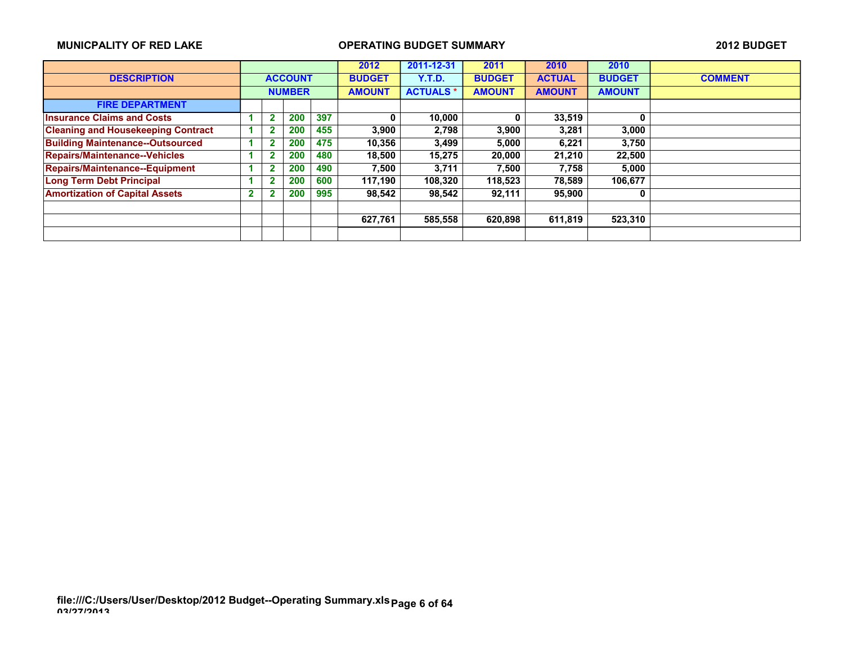|                                           |   |                |               |     | 2012          | 2011-12-31      | 2011          | 2010          | 2010          |                |
|-------------------------------------------|---|----------------|---------------|-----|---------------|-----------------|---------------|---------------|---------------|----------------|
| <b>DESCRIPTION</b>                        |   | <b>ACCOUNT</b> |               |     | <b>BUDGET</b> | Y.T.D.          | <b>BUDGET</b> | <b>ACTUAL</b> | <b>BUDGET</b> | <b>COMMENT</b> |
|                                           |   |                | <b>NUMBER</b> |     | <b>AMOUNT</b> | <b>ACTUALS*</b> | <b>AMOUNT</b> | <b>AMOUNT</b> | <b>AMOUNT</b> |                |
| <b>FIRE DEPARTMENT</b>                    |   |                |               |     |               |                 |               |               |               |                |
| <b>Insurance Claims and Costs</b>         |   | 2              | 200           | 397 | 0             | 10,000          | 0             | 33,519        | 0             |                |
| <b>Cleaning and Housekeeping Contract</b> |   | ٠              | 200           | 455 | 3.900         | 2,798           | 3,900         | 3,281         | 3,000         |                |
| <b>Building Maintenance--Outsourced</b>   |   | 2              | 200           | 475 | 10,356        | 3,499           | 5,000         | 6,221         | 3,750         |                |
| <b>Repairs/Maintenance--Vehicles</b>      |   |                | 200           | 480 | 18,500        | 15,275          | 20,000        | 21,210        | 22,500        |                |
| <b>Repairs/Maintenance--Equipment</b>     |   | G              | 200           | 490 | 7.500         | 3,711           | 7,500         | 7,758         | 5,000         |                |
| <b>Long Term Debt Principal</b>           |   | 2              | 200           | 600 | 117.190       | 108,320         | 118,523       | 78.589        | 106,677       |                |
| <b>Amortization of Capital Assets</b>     | 2 |                | 200           | 995 | 98,542        | 98,542          | 92,111        | 95,900        | 0             |                |
|                                           |   |                |               |     |               |                 |               |               |               |                |
|                                           |   |                |               |     | 627,761       | 585,558         | 620,898       | 611,819       | 523,310       |                |
|                                           |   |                |               |     |               |                 |               |               |               |                |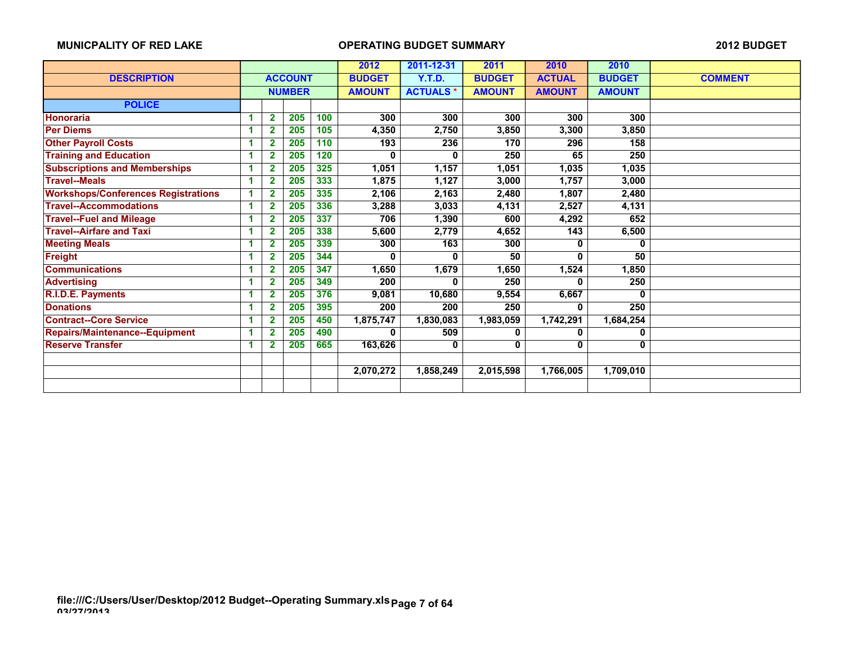|                                            |    |                |                | 2012 | 2011-12-31                       | 2011          | 2010          | 2010          |               |                |
|--------------------------------------------|----|----------------|----------------|------|----------------------------------|---------------|---------------|---------------|---------------|----------------|
| <b>DESCRIPTION</b>                         |    |                | <b>ACCOUNT</b> |      | <b>BUDGET</b>                    | <b>Y.T.D.</b> | <b>BUDGET</b> | <b>ACTUAL</b> | <b>BUDGET</b> | <b>COMMENT</b> |
|                                            |    |                | <b>NUMBER</b>  |      | <b>ACTUALS*</b><br><b>AMOUNT</b> |               | <b>AMOUNT</b> | <b>AMOUNT</b> | <b>AMOUNT</b> |                |
| <b>POLICE</b>                              |    |                |                |      |                                  |               |               |               |               |                |
| <b>Honoraria</b>                           |    | $\overline{2}$ | 205            | 100  | 300                              | 300           | 300           | 300           | 300           |                |
| <b>Per Diems</b>                           | 1  | $\overline{2}$ | 205            | 105  | 4,350                            | 2,750         | 3,850         | 3,300         | 3,850         |                |
| <b>Other Payroll Costs</b>                 | 1  | 2              | 205            | 110  | 193                              | 236           | 170           | 296           | 158           |                |
| <b>Training and Education</b>              | 1  | 2              | 205            | 120  | 0                                | 0             | 250           | 65            | 250           |                |
| <b>Subscriptions and Memberships</b>       |    | $\overline{2}$ | 205            | 325  | 1,051                            | 1,157         | 1,051         | 1,035         | 1,035         |                |
| <b>Travel--Meals</b>                       | 1  | 2              | 205            | 333  | 1,875                            | 1,127         | 3,000         | 1,757         | 3,000         |                |
| <b>Workshops/Conferences Registrations</b> | -1 | $\overline{2}$ | 205            | 335  | 2,106                            | 2,163         | 2,480         | 1,807         | 2,480         |                |
| <b>Travel--Accommodations</b>              | -1 | $\overline{2}$ | 205            | 336  | 3,288                            | 3,033         | 4,131         | 2,527         | 4,131         |                |
| <b>Travel--Fuel and Mileage</b>            | 1  | 2              | 205            | 337  | 706                              | 1,390         | 600           | 4,292         | 652           |                |
| <b>Travel--Airfare and Taxi</b>            | 1  | 2              | 205            | 338  | 5,600                            | 2,779         | 4,652         | 143           | 6,500         |                |
| <b>Meeting Meals</b>                       | и  | 2              | 205            | 339  | 300                              | 163           | 300           | U             | 0             |                |
| <b>Freight</b>                             | 1  | $\overline{2}$ | 205            | 344  | 0                                | 0             | 50            | 0             | 50            |                |
| <b>Communications</b>                      | 1  | 2              | 205            | 347  | 1,650                            | 1,679         | 1,650         | 1,524         | 1,850         |                |
| <b>Advertising</b>                         | 1  | $\mathbf{2}$   | 205            | 349  | 200                              | 0             | 250           | 0             | 250           |                |
| R.I.D.E. Payments                          | 1  | 2              | 205            | 376  | 9,081                            | 10,680        | 9,554         | 6,667         | 0             |                |
| <b>Donations</b>                           | 1  | $\overline{2}$ | 205            | 395  | 200                              | 200           | 250           | 0             | 250           |                |
| <b>Contract--Core Service</b>              |    | 2              | 205            | 450  | 1,875,747                        | 1,830,083     | 1,983,059     | 1,742,291     | 1,684,254     |                |
| <b>Repairs/Maintenance--Equipment</b>      | 4  | $\overline{2}$ | 205            | 490  | 0                                | 509           | 0             | 0             | 0             |                |
| <b>Reserve Transfer</b>                    | 1  | 2              | 205            | 665  | 163,626                          | 0             | 0             | 0             | 0             |                |
|                                            |    |                |                |      |                                  |               |               |               |               |                |
|                                            |    |                |                |      | 2,070,272                        | 1,858,249     | 2,015,598     | 1,766,005     | 1,709,010     |                |
|                                            |    |                |                |      |                                  |               |               |               |               |                |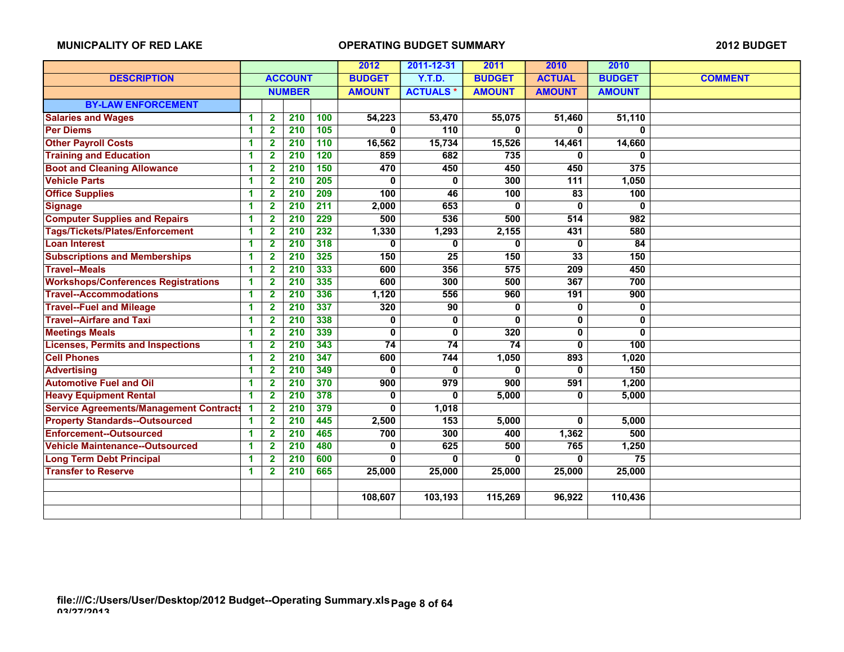|                                                |    |                         |                  | 2012             | 2011-12-31    | 2011            | 2010          | 2010            |                 |                |
|------------------------------------------------|----|-------------------------|------------------|------------------|---------------|-----------------|---------------|-----------------|-----------------|----------------|
| <b>DESCRIPTION</b>                             |    |                         | <b>ACCOUNT</b>   |                  | <b>BUDGET</b> | <b>Y.T.D.</b>   | <b>BUDGET</b> | <b>ACTUAL</b>   | <b>BUDGET</b>   | <b>COMMENT</b> |
|                                                |    |                         | <b>NUMBER</b>    |                  | <b>AMOUNT</b> | <b>ACTUALS*</b> | <b>AMOUNT</b> | <b>AMOUNT</b>   | <b>AMOUNT</b>   |                |
| <b>BY-LAW ENFORCEMENT</b>                      |    |                         |                  |                  |               |                 |               |                 |                 |                |
| <b>Salaries and Wages</b>                      | -1 | $\mathbf{2}$            | 210              | 100              | 54,223        | 53,470          | 55,075        | 51,460          | 51,110          |                |
| <b>Per Diems</b>                               | 1  | $\overline{\mathbf{2}}$ | 210              | 105              | $\Omega$      | 110             | $\mathbf{0}$  | $\mathbf{0}$    | $\mathbf{0}$    |                |
| <b>Other Payroll Costs</b>                     | 1  | 2                       | 210              | 110              | 16,562        | 15,734          | 15,526        | 14,461          | 14,660          |                |
| <b>Training and Education</b>                  | 1  | $\mathbf{2}$            | 210              | 120              | 859           | 682             | 735           | 0               | U               |                |
| <b>Boot and Cleaning Allowance</b>             | 1  | $\overline{\mathbf{2}}$ | 210              | 150              | 470           | 450             | 450           | 450             | 375             |                |
| <b>Vehicle Parts</b>                           | 1  | $\overline{\mathbf{2}}$ | $\overline{210}$ | $\overline{205}$ | $\Omega$      | $\bf{0}$        | 300           | 111             | 1,050           |                |
| <b>Office Supplies</b>                         | 1  | $\overline{2}$          | 210              | 209              | 100           | 46              | 100           | 83              | 100             |                |
| <b>Signage</b>                                 | 1  | $\overline{2}$          | $\overline{210}$ | $\overline{211}$ | 2,000         | 653             | 0             | $\mathbf{0}$    | 0               |                |
| <b>Computer Supplies and Repairs</b>           | 1  | $\overline{2}$          | 210              | 229              | 500           | 536             | 500           | 514             | 982             |                |
| Tags/Tickets/Plates/Enforcement                | 1  | $\overline{\mathbf{2}}$ | 210              | 232              | 1,330         | 1,293           | 2,155         | 431             | 580             |                |
| <b>Loan Interest</b>                           | 1  | $\mathbf{2}$            | $\overline{210}$ | 318              | 0             | 0               | 0             | $\mathbf{0}$    | $\overline{84}$ |                |
| <b>Subscriptions and Memberships</b>           | 1  | $\mathbf{2}$            | 210              | 325              | 150           | 25              | 150           | $\overline{33}$ | 150             |                |
| <b>Travel--Meals</b>                           | 1  | $\overline{2}$          | 210              | 333              | 600           | 356             | 575           | 209             | 450             |                |
| <b>Workshops/Conferences Registrations</b>     | 1  | $\mathbf{2}$            | 210              | 335              | 600           | 300             | 500           | 367             | 700             |                |
| <b>Travel--Accommodations</b>                  | 1  | $\overline{\mathbf{2}}$ | 210              | 336              | 1,120         | 556             | 960           | 191             | 900             |                |
| <b>Travel--Fuel and Mileage</b>                | 1  | $\mathbf{2}$            | 210              | 337              | 320           | 90              | 0             | 0               | 0               |                |
| <b>Travel--Airfare and Taxi</b>                | 1  | $\overline{\mathbf{2}}$ | 210              | 338              | 0             | $\mathbf 0$     | 0             | $\mathbf{0}$    | $\mathbf{0}$    |                |
| <b>Meetings Meals</b>                          | 1  | $\mathbf{2}$            | 210              | 339              | 0             | 0               | 320           | $\mathbf{0}$    | 0               |                |
| <b>Licenses, Permits and Inspections</b>       | 1  | $\mathbf{2}$            | 210              | 343              | 74            | 74              | 74            | 0               | 100             |                |
| <b>Cell Phones</b>                             | 1  | $\overline{\mathbf{2}}$ | 210              | 347              | 600           | 744             | 1,050         | 893             | 1,020           |                |
| <b>Advertising</b>                             | 1  | $\mathbf{2}$            | 210              | 349              | 0             | 0               | 0             | 0               | 150             |                |
| <b>Automotive Fuel and Oil</b>                 | 1  | $\overline{2}$          | 210              | 370              | 900           | 979             | 900           | 591             | 1,200           |                |
| <b>Heavy Equipment Rental</b>                  | 1  | $\overline{2}$          | 210              | 378              | 0             | $\Omega$        | 5,000         | 0               | 5,000           |                |
| <b>Service Agreements/Management Contracts</b> | 1  | $\overline{\mathbf{2}}$ | 210              | 379              | $\mathbf{0}$  | 1,018           |               |                 |                 |                |
| <b>Property Standards--Outsourced</b>          | 1  | $\overline{2}$          | 210              | 445              | 2,500         | 153             | 5,000         | $\mathbf{0}$    | 5,000           |                |
| <b>Enforcement--Outsourced</b>                 | 1  | $\overline{2}$          | $\overline{210}$ | 465              | 700           | 300             | 400           | 1,362           | 500             |                |
| <b>Vehicle Maintenance--Outsourced</b>         | 1  | $\overline{2}$          | 210              | 480              | 0             | 625             | 500           | 765             | 1,250           |                |
| <b>Long Term Debt Principal</b>                | 1  | $\mathbf{2}$            | 210              | 600              | 0             | 0               | 0             | 0               | 75              |                |
| <b>Transfer to Reserve</b>                     | 1  | $\mathbf{2}$            | 210              | 665              | 25,000        | 25,000          | 25,000        | 25,000          | 25,000          |                |
|                                                |    |                         |                  |                  |               |                 |               |                 |                 |                |
|                                                |    |                         |                  |                  | 108,607       | 103,193         | 115,269       | 96,922          | 110,436         |                |
|                                                |    |                         |                  |                  |               |                 |               |                 |                 |                |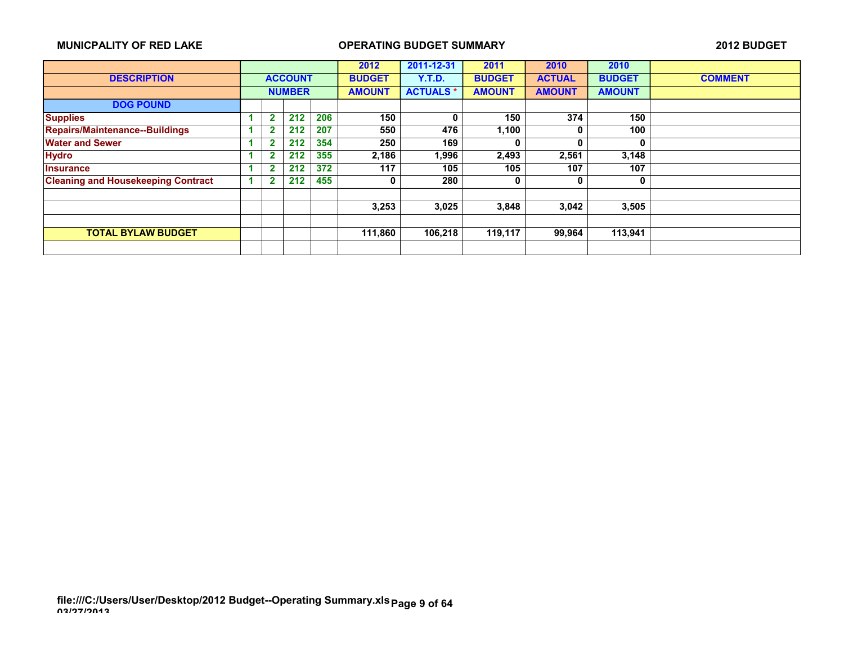|                                           |                         |     |     | 2012          | 2011-12-31      | 2011          | 2010          | 2010          |                |
|-------------------------------------------|-------------------------|-----|-----|---------------|-----------------|---------------|---------------|---------------|----------------|
| <b>DESCRIPTION</b>                        | <b>ACCOUNT</b>          |     |     | <b>BUDGET</b> | Y.T.D.          | <b>BUDGET</b> | <b>ACTUAL</b> | <b>BUDGET</b> | <b>COMMENT</b> |
|                                           | <b>NUMBER</b>           |     |     | <b>AMOUNT</b> | <b>ACTUALS*</b> | <b>AMOUNT</b> | <b>AMOUNT</b> | <b>AMOUNT</b> |                |
| <b>DOG POUND</b>                          |                         |     |     |               |                 |               |               |               |                |
| <b>Supplies</b>                           | $\mathbf{2}$            | 212 | 206 | 150           | 0               | 150           | 374           | 150           |                |
| Repairs/Maintenance--Buildings            | 2                       | 212 | 207 | 550           | 476             | 1,100         |               | 100           |                |
| <b>Water and Sewer</b>                    | $\overline{2}$          | 212 | 354 | 250           | 169             | 0             | 0             | 0             |                |
| <b>Hydro</b>                              | $\overline{\mathbf{2}}$ | 212 | 355 | 2,186         | 1,996           | 2,493         | 2,561         | 3,148         |                |
| <b>Insurance</b>                          | 2                       | 212 | 372 | 117           | 105             | 105           | 107           | 107           |                |
| <b>Cleaning and Housekeeping Contract</b> | 2                       | 212 | 455 | 0             | 280             | 0             | 0             | 0             |                |
|                                           |                         |     |     |               |                 |               |               |               |                |
|                                           |                         |     |     | 3,253         | 3,025           | 3,848         | 3,042         | 3,505         |                |
|                                           |                         |     |     |               |                 |               |               |               |                |
| <b>TOTAL BYLAW BUDGET</b>                 |                         |     |     | 111,860       | 106,218         | 119,117       | 99,964        | 113,941       |                |
|                                           |                         |     |     |               |                 |               |               |               |                |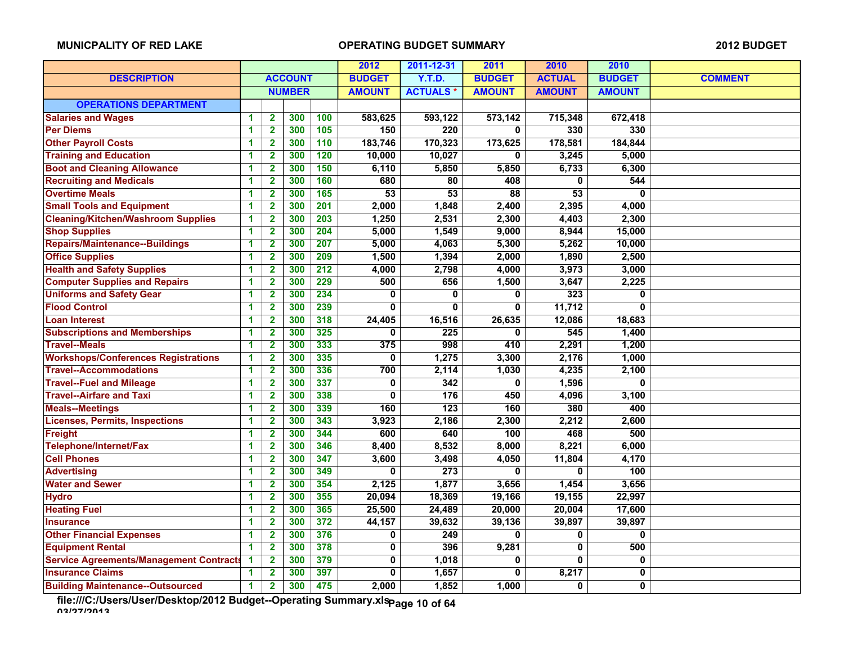|                                                |   |                         | 2012           | 2011-12-31       | 2011          | 2010             | 2010          |                |               |                |
|------------------------------------------------|---|-------------------------|----------------|------------------|---------------|------------------|---------------|----------------|---------------|----------------|
| <b>DESCRIPTION</b>                             |   |                         | <b>ACCOUNT</b> |                  | <b>BUDGET</b> | <b>Y.T.D.</b>    | <b>BUDGET</b> | <b>ACTUAL</b>  | <b>BUDGET</b> | <b>COMMENT</b> |
|                                                |   |                         | <b>NUMBER</b>  |                  | <b>AMOUNT</b> | <b>ACTUALS*</b>  | <b>AMOUNT</b> | <b>AMOUNT</b>  | <b>AMOUNT</b> |                |
| <b>OPERATIONS DEPARTMENT</b>                   |   |                         |                |                  |               |                  |               |                |               |                |
| <b>Salaries and Wages</b>                      | 1 | $\overline{2}$          | 300            | 100              | 583,625       | 593,122          | 573,142       | 715,348        | 672,418       |                |
| <b>Per Diems</b>                               | 1 | $\overline{2}$          | 300            | 105              | 150           | 220              | 0             | 330            | 330           |                |
| <b>Other Payroll Costs</b>                     | 1 | $\mathbf{2}$            | 300            | 110              | 183,746       | 170,323          | 173,625       | 178,581        | 184,844       |                |
| <b>Training and Education</b>                  | 1 | $\overline{\mathbf{2}}$ | 300            | 120              | 10,000        | 10,027           | 0             | 3,245          | 5,000         |                |
| <b>Boot and Cleaning Allowance</b>             | 1 | $\mathbf{2}$            | 300            | 150              | 6,110         | 5,850            | 5,850         | 6,733          | 6,300         |                |
| <b>Recruiting and Medicals</b>                 | 1 | $\mathbf{2}$            | 300            | 160              | 680           | 80               | 408           | $\mathbf 0$    | 544           |                |
| <b>Overtime Meals</b>                          | 1 | $\mathbf 2$             | 300            | 165              | 53            | 53               | 88            | 53             | $\mathbf{0}$  |                |
| <b>Small Tools and Equipment</b>               | 1 | $\overline{\mathbf{2}}$ | 300            | 201              | 2,000         | 1,848            | 2,400         | 2,395          | 4,000         |                |
| <b>Cleaning/Kitchen/Washroom Supplies</b>      | 1 | $\overline{\mathbf{2}}$ | 300            | $\overline{203}$ | 1,250         | 2,531            | 2,300         | 4,403          | 2,300         |                |
| <b>Shop Supplies</b>                           | 1 | $\overline{2}$          | 300            | 204              | 5,000         | 1,549            | 9,000         | 8,944          | 15,000        |                |
| <b>Repairs/Maintenance--Buildings</b>          | 1 | $\overline{\mathbf{2}}$ | 300            | 207              | 5,000         | 4,063            | 5,300         | 5,262          | 10,000        |                |
| <b>Office Supplies</b>                         | 1 | $\overline{2}$          | 300            | 209              | 1,500         | 1,394            | 2,000         | 1,890          | 2,500         |                |
| <b>Health and Safety Supplies</b>              | 1 | $\overline{\mathbf{2}}$ | 300            | 212              | 4,000         | 2,798            | 4,000         | 3,973          | 3,000         |                |
| <b>Computer Supplies and Repairs</b>           | 1 | $\mathbf{2}$            | 300            | 229              | 500           | 656              | 1,500         | 3,647          | 2,225         |                |
| <b>Uniforms and Safety Gear</b>                | 1 | $\overline{\mathbf{2}}$ | 300            | 234              | 0             | 0                | 0             | 323            | 0             |                |
| <b>Flood Control</b>                           | 1 | $\overline{\mathbf{2}}$ | 300            | 239              | $\Omega$      | $\bf{0}$         | 0             | 11,712         | 0             |                |
| <b>Loan Interest</b>                           | 1 | $\mathbf{2}$            | 300            | 318              | 24,405        | 16,516           | 26,635        | 12,086         | 18,683        |                |
| <b>Subscriptions and Memberships</b>           | 1 | $\overline{\mathbf{2}}$ | 300            | 325              | $\mathbf{0}$  | 225              | 0             | 545            | 1,400         |                |
| <b>Travel--Meals</b>                           | 1 | $\overline{2}$          | 300            | 333              | 375           | 998              | 410           | 2,291          | 1,200         |                |
| <b>Workshops/Conferences Registrations</b>     | 1 | $\overline{2}$          | 300            | 335              | 0             | 1,275            | 3,300         | 2,176          | 1,000         |                |
| <b>Travel--Accommodations</b>                  | 1 | $\overline{2}$          | 300            | 336              | 700           | 2,114            | 1,030         | 4,235          | 2,100         |                |
| <b>Travel--Fuel and Mileage</b>                | 1 | $\overline{\mathbf{2}}$ | 300            | 337              | 0             | 342              | 0             | 1,596          | 0             |                |
| <b>Travel--Airfare and Taxi</b>                | 1 | $\mathbf{2}$            | 300            | 338              | 0             | 176              | 450           | 4,096          | 3,100         |                |
| <b>Meals--Meetings</b>                         | 1 | $\overline{\mathbf{2}}$ | 300            | 339              | 160           | 123              | 160           | 380            | 400           |                |
| <b>Licenses, Permits, Inspections</b>          | 1 | $\overline{\mathbf{2}}$ | 300            | 343              | 3,923         | 2,186            | 2,300         | 2,212          | 2,600         |                |
| Freight                                        | 1 | $\overline{\mathbf{2}}$ | 300            | 344              | 600           | 640              | 100           | 468            | 500           |                |
| Telephone/Internet/Fax                         | 1 | $\mathbf{2}$            | 300            | 346              | 8,400         | 8,532            | 8,000         | 8,221          | 6,000         |                |
| <b>Cell Phones</b>                             | 1 | $\overline{\mathbf{2}}$ | 300            | 347              | 3,600         | 3,498            | 4,050         | 11,804         | 4,170         |                |
| <b>Advertising</b>                             | 1 | $\overline{\mathbf{2}}$ | 300            | 349              | 0             | $\overline{273}$ | 0             | $\mathbf 0$    | 100           |                |
| <b>Water and Sewer</b>                         | 1 | $\overline{\mathbf{2}}$ | 300            | 354              | 2,125         | 1,877            | 3,656         | 1,454          | 3,656         |                |
| <b>Hydro</b>                                   | 1 | $\overline{\mathbf{2}}$ | 300            | 355              | 20,094        | 18,369           | 19,166        | 19,155         | 22,997        |                |
| <b>Heating Fuel</b>                            | 1 | $\mathbf{2}$            | 300            | 365              | 25,500        | 24,489           | 20,000        | 20,004         | 17,600        |                |
| <b>Insurance</b>                               | 1 | $\overline{\mathbf{2}}$ | 300            | 372              | 44,157        | 39,632           | 39,136        | 39,897         | 39,897        |                |
| <b>Other Financial Expenses</b>                | 1 | $\overline{\mathbf{2}}$ | 300            | 376              | 0             | 249              | 0             | 0              | 0             |                |
| <b>Equipment Rental</b>                        | 1 | $\overline{\mathbf{2}}$ | 300            | 378              | 0             | 396              | 9,281         | $\overline{0}$ | 500           |                |
| <b>Service Agreements/Management Contracts</b> | 1 | $\overline{\mathbf{2}}$ | 300            | 379              | 0             | 1,018            | 0             | 0              | 0             |                |
| <b>Insurance Claims</b>                        | 1 | $\mathbf{2}$            | 300            | 397              | 0             | 1,657            | 0             | 8,217          | 0             |                |
| <b>Building Maintenance--Outsourced</b>        | 1 | $\overline{2}$          | 300            | 475              | 2,000         | 1,852            | 1.000         | 0              | 0             |                |

**file:///C:/Users/User/Desktop/2012 Budget--Operating Summary.xls 03/27/2013 Page 10 of 64**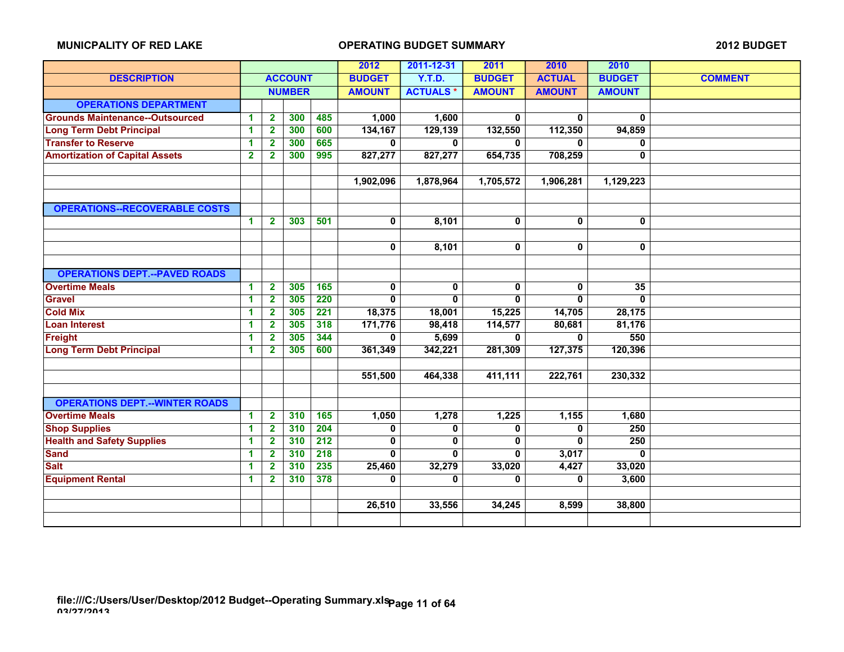|                                        |                      |                         |                |     | 2012          | 2011-12-31      | 2011          | 2010          | 2010          |                |
|----------------------------------------|----------------------|-------------------------|----------------|-----|---------------|-----------------|---------------|---------------|---------------|----------------|
| <b>DESCRIPTION</b>                     |                      |                         | <b>ACCOUNT</b> |     | <b>BUDGET</b> | Y.T.D.          | <b>BUDGET</b> | <b>ACTUAL</b> | <b>BUDGET</b> | <b>COMMENT</b> |
|                                        |                      |                         | <b>NUMBER</b>  |     | <b>AMOUNT</b> | <b>ACTUALS*</b> | <b>AMOUNT</b> | <b>AMOUNT</b> | <b>AMOUNT</b> |                |
| <b>OPERATIONS DEPARTMENT</b>           |                      |                         |                |     |               |                 |               |               |               |                |
| <b>Grounds Maintenance--Outsourced</b> | 1                    | $\overline{\mathbf{2}}$ | 300            | 485 | 1,000         | 1,600           | 0             | 0             | $\mathbf 0$   |                |
| <b>Long Term Debt Principal</b>        | 1                    | $\overline{\mathbf{2}}$ | 300            | 600 | 134,167       | 129,139         | 132,550       | 112,350       | 94,859        |                |
| <b>Transfer to Reserve</b>             | 1                    | $\mathbf{2}$            | 300            | 665 | 0             | $\mathbf{0}$    | $\mathbf{0}$  | 0             | 0             |                |
| <b>Amortization of Capital Assets</b>  | $\mathbf{2}$         | $\mathbf{2}$            | 300            | 995 | 827,277       | 827,277         | 654,735       | 708,259       | $\mathbf{0}$  |                |
|                                        |                      |                         |                |     |               |                 |               |               |               |                |
|                                        |                      |                         |                |     | 1,902,096     | 1,878,964       | 1,705,572     | 1,906,281     | 1,129,223     |                |
|                                        |                      |                         |                |     |               |                 |               |               |               |                |
| <b>OPERATIONS--RECOVERABLE COSTS</b>   |                      |                         |                |     |               |                 |               |               |               |                |
|                                        | $\blacktriangleleft$ | $\mathbf{2}$            | 303            | 501 | 0             | 8,101           | $\mathbf 0$   | 0             | $\mathbf 0$   |                |
|                                        |                      |                         |                |     |               |                 |               |               |               |                |
|                                        |                      |                         |                |     | 0             | 8,101           | $\mathbf 0$   | 0             | $\mathbf 0$   |                |
|                                        |                      |                         |                |     |               |                 |               |               |               |                |
| <b>OPERATIONS DEPT.--PAVED ROADS</b>   |                      |                         |                |     |               |                 |               |               |               |                |
| <b>Overtime Meals</b>                  | $\blacktriangleleft$ | $\mathbf{2}$            | 305            | 165 | 0             | 0               | 0             | 0             | 35            |                |
| <b>Gravel</b>                          | 1                    | $\overline{\mathbf{2}}$ | 305            | 220 | 0             | 0               | $\mathbf{0}$  | 0             | $\mathbf{0}$  |                |
| <b>Cold Mix</b>                        | 1                    | $\mathbf{2}$            | 305            | 221 | 18,375        | 18,001          | 15,225        | 14,705        | 28,175        |                |
| <b>Loan Interest</b>                   | 1                    | $\mathbf{2}$            | 305            | 318 | 171,776       | 98,418          | 114,577       | 80,681        | 81,176        |                |
| Freight                                | 1                    | $\mathbf 2$             | 305            | 344 | 0             | 5,699           | 0             | 0             | 550           |                |
| <b>Long Term Debt Principal</b>        | $\blacktriangleleft$ | $\mathbf 2$             | 305            | 600 | 361,349       | 342,221         | 281,309       | 127,375       | 120,396       |                |
|                                        |                      |                         |                |     |               |                 |               |               |               |                |
|                                        |                      |                         |                |     | 551,500       | 464,338         | 411,111       | 222,761       | 230,332       |                |
|                                        |                      |                         |                |     |               |                 |               |               |               |                |
| <b>OPERATIONS DEPT.--WINTER ROADS</b>  |                      |                         |                |     |               |                 |               |               |               |                |
| <b>Overtime Meals</b>                  | 1                    | $\overline{2}$          | 310            | 165 | 1,050         | 1,278           | 1,225         | 1,155         | 1,680         |                |
| <b>Shop Supplies</b>                   | 1                    | $\mathbf{2}$            | 310            | 204 | 0             | 0               | 0             | 0             | 250           |                |
| <b>Health and Safety Supplies</b>      | 1                    | $\mathbf{2}$            | 310            | 212 | 0             | $\mathbf 0$     | 0             | $\mathbf 0$   | 250           |                |
| <b>Sand</b>                            | 1                    | $\mathbf{2}$            | 310            | 218 | 0             | $\mathbf{0}$    | $\mathbf{0}$  | 3,017         | $\mathbf{0}$  |                |
| <b>Salt</b>                            | 1                    | $\mathbf{2}$            | 310            | 235 | 25,460        | 32,279          | 33,020        | 4,427         | 33,020        |                |
| <b>Equipment Rental</b>                | 1                    | $\mathbf{2}$            | 310            | 378 | 0             | $\mathbf{0}$    | 0             | 0             | 3,600         |                |
|                                        |                      |                         |                |     |               |                 |               |               |               |                |
|                                        |                      |                         |                |     | 26,510        | 33,556          | 34,245        | 8,599         | 38,800        |                |
|                                        |                      |                         |                |     |               |                 |               |               |               |                |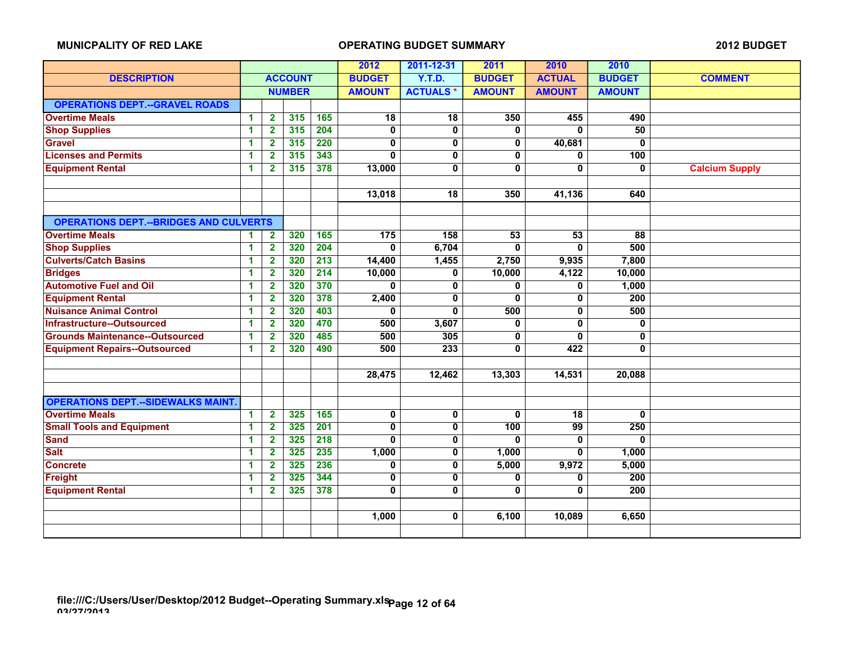|                                               |                      |                         |                |                  | 2012                    | 2011-12-31      | 2011                    | 2010            | 2010           |                       |
|-----------------------------------------------|----------------------|-------------------------|----------------|------------------|-------------------------|-----------------|-------------------------|-----------------|----------------|-----------------------|
| <b>DESCRIPTION</b>                            |                      |                         | <b>ACCOUNT</b> |                  | <b>BUDGET</b>           | Y.T.D.          | <b>BUDGET</b>           | <b>ACTUAL</b>   | <b>BUDGET</b>  | <b>COMMENT</b>        |
|                                               |                      |                         | <b>NUMBER</b>  |                  | <b>AMOUNT</b>           | <b>ACTUALS*</b> | <b>AMOUNT</b>           | <b>AMOUNT</b>   | <b>AMOUNT</b>  |                       |
| <b>OPERATIONS DEPT.--GRAVEL ROADS</b>         |                      |                         |                |                  |                         |                 |                         |                 |                |                       |
| <b>Overtime Meals</b>                         | $\blacktriangleleft$ | $\overline{2}$          | 315            | 165              | $\overline{18}$         | $\overline{18}$ | 350                     | 455             | 490            |                       |
| <b>Shop Supplies</b>                          | $\blacktriangleleft$ | $\overline{2}$          | 315            | 204              | $\pmb{0}$               | $\mathbf{0}$    | 0                       | $\mathbf{0}$    | 50             |                       |
| <b>Gravel</b>                                 | 1                    | $\overline{2}$          | 315            | 220              | $\overline{\mathbf{0}}$ | $\overline{0}$  | $\overline{\mathbf{0}}$ | 40,681          | $\overline{0}$ |                       |
| <b>Licenses and Permits</b>                   | 1                    | $\overline{2}$          | 315            | 343              | $\mathbf{0}$            | $\mathbf{0}$    | $\mathbf 0$             | $\mathbf{0}$    | 100            |                       |
| <b>Equipment Rental</b>                       | $\blacktriangleleft$ | $\mathbf{2}$            | 315            | 378              | 13,000                  | 0               | $\mathbf{0}$            | $\mathbf{0}$    | 0              | <b>Calcium Supply</b> |
|                                               |                      |                         |                |                  |                         |                 |                         |                 |                |                       |
|                                               |                      |                         |                |                  | 13,018                  | $\overline{18}$ | 350                     | 41,136          | 640            |                       |
|                                               |                      |                         |                |                  |                         |                 |                         |                 |                |                       |
| <b>OPERATIONS DEPT.--BRIDGES AND CULVERTS</b> |                      |                         |                |                  |                         |                 |                         |                 |                |                       |
| <b>Overtime Meals</b>                         | 1                    | $\overline{2}$          | 320            | 165              | 175                     | 158             | 53                      | 53              | 88             |                       |
| <b>Shop Supplies</b>                          | $\blacktriangleleft$ | $\mathbf{2}$            | 320            | 204              | $\mathbf{0}$            | 6,704           | 0                       | $\mathbf{0}$    | 500            |                       |
| <b>Culverts/Catch Basins</b>                  | $\blacktriangleleft$ | $\overline{\mathbf{2}}$ | 320            | $\overline{213}$ | 14,400                  | 1,455           | 2,750                   | 9,935           | 7,800          |                       |
| <b>Bridges</b>                                | $\blacktriangleleft$ | $\mathbf{2}$            | 320            | 214              | 10,000                  | 0               | 10,000                  | 4,122           | 10,000         |                       |
| <b>Automotive Fuel and Oil</b>                | $\blacktriangleleft$ | $\mathbf{2}$            | 320            | 370              | $\mathbf{0}$            | 0               | 0                       | 0               | 1,000          |                       |
| <b>Equipment Rental</b>                       | $\blacktriangleleft$ | $\overline{\mathbf{2}}$ | 320            | 378              | 2,400                   | 0               | 0                       | 0               | 200            |                       |
| <b>Nuisance Animal Control</b>                | 1                    | $\mathbf{2}$            | 320            | 403              | 0                       | $\mathbf{0}$    | 500                     | $\mathbf{0}$    | 500            |                       |
| Infrastructure--Outsourced                    | 1                    | $\mathbf{2}$            | 320            | 470              | 500                     | 3,607           | 0                       | $\mathbf{0}$    | 0              |                       |
| <b>Grounds Maintenance--Outsourced</b>        | 1                    | $\mathbf{2}$            | 320            | 485              | 500                     | 305             | 0                       | 0               | 0              |                       |
| <b>Equipment Repairs--Outsourced</b>          | $\blacktriangleleft$ | $\mathbf{2}$            | 320            | 490              | 500                     | 233             | $\mathbf{0}$            | 422             | $\bf{0}$       |                       |
|                                               |                      |                         |                |                  |                         |                 |                         |                 |                |                       |
|                                               |                      |                         |                |                  | 28,475                  | 12,462          | 13,303                  | 14,531          | 20,088         |                       |
|                                               |                      |                         |                |                  |                         |                 |                         |                 |                |                       |
| <b>OPERATIONS DEPT.--SIDEWALKS MAINT</b>      |                      |                         |                |                  |                         |                 |                         |                 |                |                       |
| <b>Overtime Meals</b>                         | $\blacktriangleleft$ | $\overline{\mathbf{2}}$ | 325            | 165              | $\pmb{0}$               | 0               | $\mathbf{0}$            | 18              | $\bf{0}$       |                       |
| <b>Small Tools and Equipment</b>              | $\blacktriangleleft$ | $\overline{\mathbf{2}}$ | 325            | 201              | $\mathbf 0$             | $\mathbf 0$     | 100                     | $\overline{99}$ | 250            |                       |
| <b>Sand</b>                                   | $\blacktriangleleft$ | $\mathbf{2}$            | 325            | 218              | $\bf{0}$                | $\mathbf 0$     | 0                       | $\mathbf{0}$    | $\Omega$       |                       |
| <b>Salt</b>                                   | $\blacktriangleleft$ | $\mathbf{2}$            | 325            | 235              | 1,000                   | $\mathbf 0$     | 1,000                   | $\mathbf{0}$    | 1,000          |                       |
| <b>Concrete</b>                               | $\blacktriangleleft$ | $\mathbf 2$             | 325            | 236              | 0                       | 0               | 5,000                   | 9,972           | 5,000          |                       |
| Freight                                       | $\blacktriangleleft$ | $\mathbf 2$             | 325            | 344              | 0                       | 0               | 0                       | 0               | 200            |                       |
| <b>Equipment Rental</b>                       | $\blacktriangleleft$ | $\mathbf{2}$            | 325            | 378              | 0                       | 0               | 0                       | 0               | 200            |                       |
|                                               |                      |                         |                |                  |                         |                 |                         |                 |                |                       |
|                                               |                      |                         |                |                  | 1,000                   | 0               | 6,100                   | 10,089          | 6,650          |                       |
|                                               |                      |                         |                |                  |                         |                 |                         |                 |                |                       |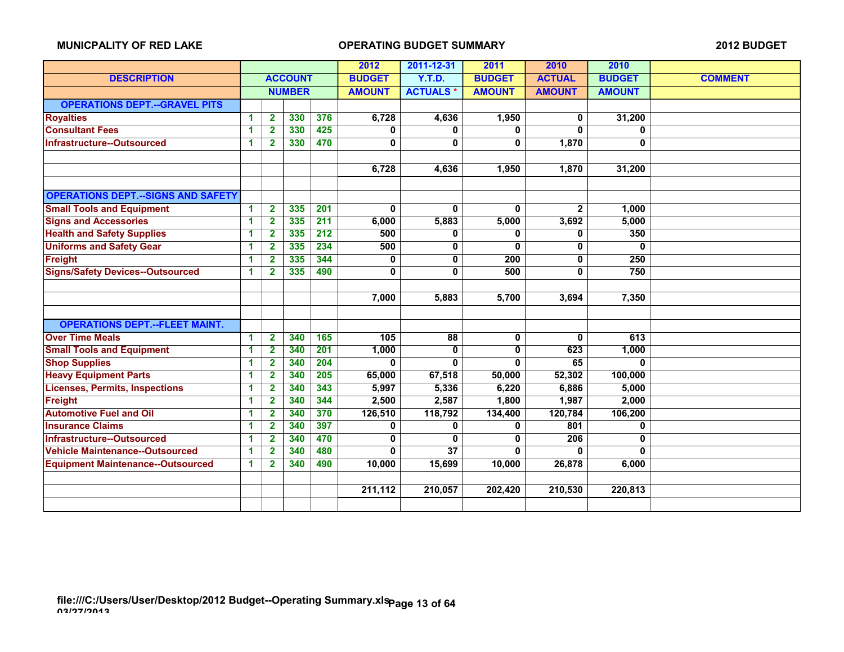|                                           |                      |                         |                | 2012             | 2011-12-31    | 2011             | 2010          | 2010           |                |                |
|-------------------------------------------|----------------------|-------------------------|----------------|------------------|---------------|------------------|---------------|----------------|----------------|----------------|
| <b>DESCRIPTION</b>                        |                      |                         | <b>ACCOUNT</b> |                  | <b>BUDGET</b> | <b>Y.T.D.</b>    | <b>BUDGET</b> | <b>ACTUAL</b>  | <b>BUDGET</b>  | <b>COMMENT</b> |
|                                           |                      |                         | <b>NUMBER</b>  |                  | <b>AMOUNT</b> | <b>ACTUALS*</b>  | <b>AMOUNT</b> | <b>AMOUNT</b>  | <b>AMOUNT</b>  |                |
| <b>OPERATIONS DEPT.--GRAVEL PITS</b>      |                      |                         |                |                  |               |                  |               |                |                |                |
| <b>Royalties</b>                          | -1                   | $\mathbf{2}$            | 330            | 376              | 6.728         | 4,636            |               | 0              | 31,200         |                |
| <b>Consultant Fees</b>                    | 1                    | $\mathbf{2}$            | 330            | 425              | 0             | 0                | 0             | 0              | 0              |                |
| Infrastructure--Outsourced                | 1                    | $\mathbf{2}$            | 330            | 470              | $\mathbf 0$   | 0                | $\mathbf{0}$  | 1,870          | $\overline{0}$ |                |
|                                           |                      |                         |                |                  |               |                  |               |                |                |                |
|                                           |                      |                         |                |                  | 6,728         | 4,636            | 1,950         | 1,870          | 31,200         |                |
|                                           |                      |                         |                |                  |               |                  |               |                |                |                |
| <b>OPERATIONS DEPT.--SIGNS AND SAFETY</b> |                      |                         |                |                  |               |                  |               |                |                |                |
| <b>Small Tools and Equipment</b>          | $\blacktriangleleft$ | $\overline{2}$          | 335            | 201              | $\bf{0}$      | $\bf{0}$         | $\bf{0}$      | $\overline{2}$ | 1,000          |                |
| <b>Signs and Accessories</b>              | 1                    | $\overline{\mathbf{2}}$ | 335            | $\overline{211}$ | 6,000         | 5,883            | 5,000         | 3,692          | 5,000          |                |
| <b>Health and Safety Supplies</b>         | $\blacktriangleleft$ | $\overline{\mathbf{2}}$ | 335            | $\overline{212}$ | 500           | 0                | 0             | 0              | 350            |                |
| <b>Uniforms and Safety Gear</b>           | 1                    | $\overline{2}$          | 335            | 234              | 500           | 0                | 0             | 0              | $\bf{0}$       |                |
| <b>Freight</b>                            | 1                    | $\mathbf{2}$            | 335            | 344              | 0             | 0                | 200           | 0              | 250            |                |
| <b>Signs/Safety Devices--Outsourced</b>   | 1                    | 2                       | 335            | 490              | 0             | 0                | 500           | 0              | 750            |                |
|                                           |                      |                         |                |                  |               |                  |               |                |                |                |
|                                           |                      |                         |                |                  | 7,000         | 5,883            | 5,700         | 3,694          | 7,350          |                |
|                                           |                      |                         |                |                  |               |                  |               |                |                |                |
| <b>OPERATIONS DEPT.--FLEET MAINT.</b>     |                      |                         |                |                  |               |                  |               |                |                |                |
| <b>Over Time Meals</b>                    | 1                    | $\overline{\mathbf{2}}$ | 340            | 165              | 105           | 88               | 0             | 0              | 613            |                |
| <b>Small Tools and Equipment</b>          | 1                    | $\overline{\mathbf{2}}$ | 340            | 201              | 1,000         | 0                | $\mathbf 0$   | 623            | 1,000          |                |
| <b>Shop Supplies</b>                      | 1                    | $\mathbf{2}$            | 340            | 204              | $\bf{0}$      | 0                | $\bf{0}$      | 65             | $\mathbf{0}$   |                |
| <b>Heavy Equipment Parts</b>              | 1                    | $\mathbf{2}$            | 340            | 205              | 65,000        | 67,518           | 50,000        | 52,302         | 100,000        |                |
| <b>Licenses, Permits, Inspections</b>     | 1                    | $\mathbf{2}$            | 340            | 343              | 5,997         | 5,336            | 6,220         | 6,886          | 5,000          |                |
| Freight                                   | -1                   | $\mathbf{2}$            | 340            | 344              | 2,500         | 2,587            | 1,800         | 1,987          | 2,000          |                |
| <b>Automotive Fuel and Oil</b>            | 1                    | $\mathbf{2}$            | 340            | 370              | 126,510       | 118,792          | 134,400       | 120,784        | 106,200        |                |
| <b>Insurance Claims</b>                   | $\blacktriangleleft$ | $\overline{\mathbf{2}}$ | 340            | 397              | $\mathbf 0$   | 0                | $\mathbf{0}$  | 801            | $\bf{0}$       |                |
| <b>Infrastructure--Outsourced</b>         | 1                    | $\overline{2}$          | 340            | 470              | $\mathbf{0}$  | 0                | 0             | 206            | $\bf{0}$       |                |
| <b>Vehicle Maintenance--Outsourced</b>    | 1                    | $\overline{2}$          | 340            | 480              | $\mathbf{0}$  | $\overline{37}$  | 0<br>10,000   | 0              | $\Omega$       |                |
| <b>Equipment Maintenance--Outsourced</b>  | 1                    | $\mathbf{2}$            | 340            | 490              |               | 10,000<br>15,699 |               | 26,878         | 6,000          |                |
|                                           |                      |                         |                |                  |               |                  |               |                |                |                |
|                                           |                      |                         |                |                  | 211,112       | 210,057          | 202,420       | 210,530        | 220,813        |                |
|                                           |                      |                         |                |                  |               |                  |               |                |                |                |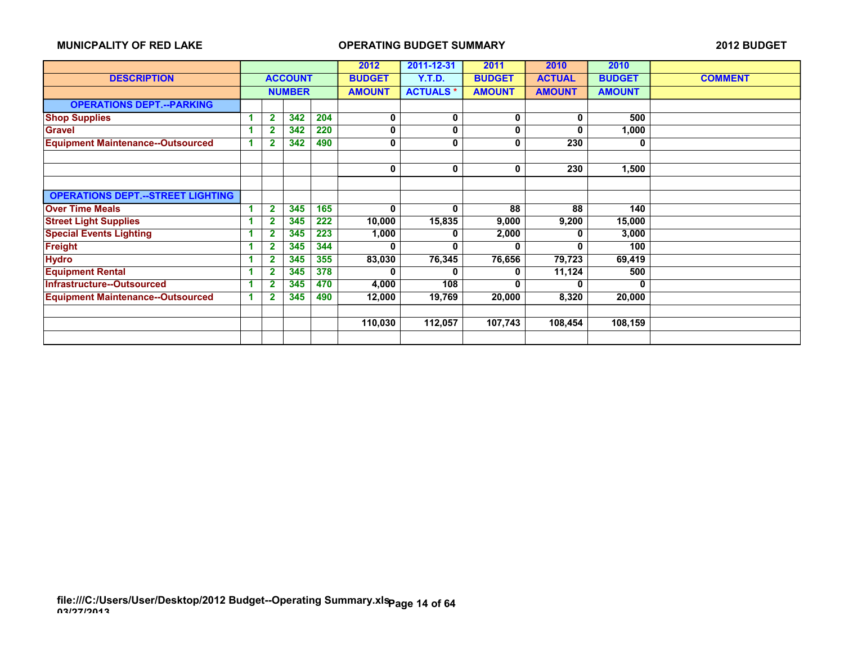|                                          |   |                |                |     | 2012          | 2011-12-31      | 2011          | 2010          | 2010          |                |
|------------------------------------------|---|----------------|----------------|-----|---------------|-----------------|---------------|---------------|---------------|----------------|
| <b>DESCRIPTION</b>                       |   |                | <b>ACCOUNT</b> |     | <b>BUDGET</b> | Y.T.D.          | <b>BUDGET</b> | <b>ACTUAL</b> | <b>BUDGET</b> | <b>COMMENT</b> |
|                                          |   |                | <b>NUMBER</b>  |     | <b>AMOUNT</b> | <b>ACTUALS*</b> | <b>AMOUNT</b> | <b>AMOUNT</b> | <b>AMOUNT</b> |                |
| <b>OPERATIONS DEPT.--PARKING</b>         |   |                |                |     |               |                 |               |               |               |                |
| <b>Shop Supplies</b>                     |   | $\mathbf{2}$   | 342            | 204 | 0             | 0               | 0             | 0             | 500           |                |
| <b>Gravel</b>                            |   | 2              | 342            | 220 | 0             | 0               | 0             | 0             | 1,000         |                |
| <b>Equipment Maintenance--Outsourced</b> |   | 2              | 342            | 490 | 0             | 0               | 0             | 230           | 0             |                |
|                                          |   |                |                |     |               |                 |               |               |               |                |
|                                          |   |                |                |     | 0             | 0               | 0             | 230           | 1,500         |                |
|                                          |   |                |                |     |               |                 |               |               |               |                |
| <b>OPERATIONS DEPT.--STREET LIGHTING</b> |   |                |                |     |               |                 |               |               |               |                |
| <b>Over Time Meals</b>                   | 1 | $\overline{2}$ | 345            | 165 | 0             | $\mathbf{0}$    | 88            | 88            | 140           |                |
| <b>Street Light Supplies</b>             |   | $\mathbf 2$    | 345            | 222 | 10,000        | 15,835          | 9,000         | 9,200         | 15,000        |                |
| <b>Special Events Lighting</b>           |   | $\mathbf{2}$   | 345            | 223 | 1,000         | 0               | 2,000         | 0             | 3,000         |                |
| <b>Freight</b>                           |   | $\overline{2}$ | 345            | 344 | 0             | U               |               | 0             | 100           |                |
| <b>Hydro</b>                             |   | $\overline{2}$ | 345            | 355 | 83,030        | 76,345          | 76,656        | 79,723        | 69,419        |                |
| <b>Equipment Rental</b>                  |   | $\mathbf{2}$   | 345            | 378 | 0             | 0               | 0             | 11,124        | 500           |                |
| Infrastructure--Outsourced               |   | $\mathbf 2$    | 345            | 470 | 4,000         | 108             | 0             | 0             | 0             |                |
| <b>Equipment Maintenance--Outsourced</b> |   | $\overline{2}$ | 345            | 490 | 12,000        | 19,769          | 20,000        | 8,320         | 20,000        |                |
|                                          |   |                |                |     |               |                 |               |               |               |                |
|                                          |   |                |                |     | 110,030       | 112,057         | 107,743       | 108,454       | 108,159       |                |
|                                          |   |                |                |     |               |                 |               |               |               |                |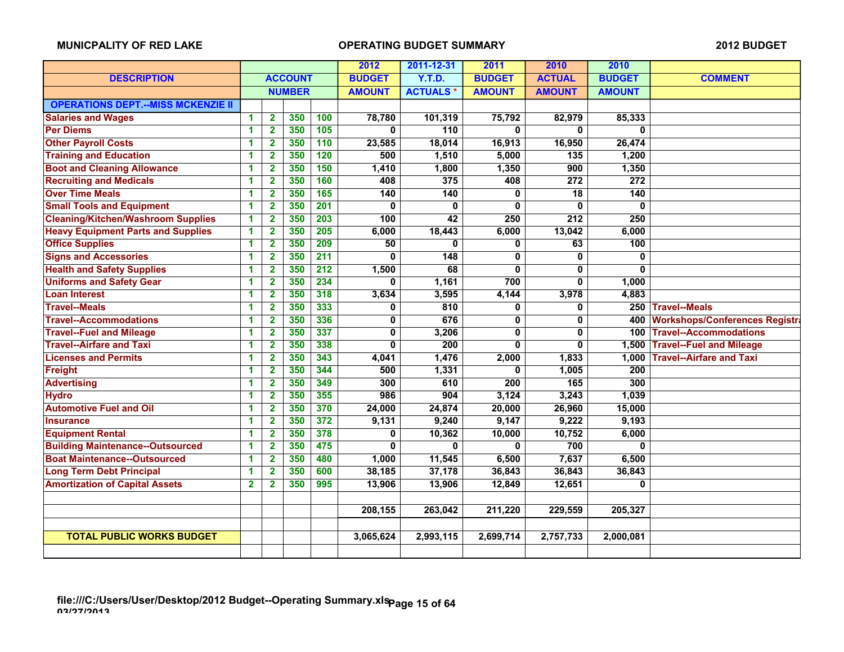|                                           |              |                         |                | 2012             | 2011-12-31      | 2011            | 2010          | 2010             |                  |                                       |
|-------------------------------------------|--------------|-------------------------|----------------|------------------|-----------------|-----------------|---------------|------------------|------------------|---------------------------------------|
| <b>DESCRIPTION</b>                        |              |                         | <b>ACCOUNT</b> |                  | <b>BUDGET</b>   | <b>Y.T.D.</b>   | <b>BUDGET</b> | <b>ACTUAL</b>    | <b>BUDGET</b>    | <b>COMMENT</b>                        |
|                                           |              |                         | <b>NUMBER</b>  |                  | <b>AMOUNT</b>   | <b>ACTUALS*</b> | <b>AMOUNT</b> | <b>AMOUNT</b>    | <b>AMOUNT</b>    |                                       |
| <b>OPERATIONS DEPT.--MISS MCKENZIE II</b> |              |                         |                |                  |                 |                 |               |                  |                  |                                       |
| <b>Salaries and Wages</b>                 | $\mathbf{1}$ | $\mathbf{2}$            | 350            | 100              | 78,780          | 101,319         | 75,792        | 82,979           | 85,333           |                                       |
| <b>Per Diems</b>                          | $\mathbf{1}$ | $\overline{2}$          | 350            | 105              | $\mathbf{0}$    | 110             | 0             | $\mathbf{0}$     | $\mathbf{0}$     |                                       |
| <b>Other Payroll Costs</b>                | 1            | $\overline{2}$          | 350            | 110              | 23,585          | 18,014          | 16,913        | 16,950           | 26,474           |                                       |
| <b>Training and Education</b>             | $\mathbf 1$  | $\mathbf{2}$            | 350            | 120              | 500             | 1,510           | 5,000         | $\overline{135}$ | 1,200            |                                       |
| <b>Boot and Cleaning Allowance</b>        | $\mathbf{1}$ | $\mathbf{2}$            | 350            | 150              | 1,410           | 1,800           | 1,350         | 900              | 1,350            |                                       |
| <b>Recruiting and Medicals</b>            | $\mathbf{1}$ | $\overline{2}$          | 350            | 160              | 408             | 375             | 408           | $\overline{272}$ | $\overline{272}$ |                                       |
| <b>Over Time Meals</b>                    | $\mathbf 1$  | $\overline{\mathbf{2}}$ | 350            | 165              | 140             | 140             | 0             | 18               | 140              |                                       |
| <b>Small Tools and Equipment</b>          | $\mathbf{1}$ | $\overline{2}$          | 350            | 201              | $\mathbf 0$     | $\bf{0}$        | 0             | $\mathbf 0$      | 0                |                                       |
| <b>Cleaning/Kitchen/Washroom Supplies</b> | $\mathbf{1}$ | $\overline{2}$          | 350            | $\overline{203}$ | 100             | 42              | 250           | 212              | 250              |                                       |
| <b>Heavy Equipment Parts and Supplies</b> | $\mathbf{1}$ | $\overline{\mathbf{2}}$ | 350            | 205              | 6,000           | 18,443          | 6,000         | 13,042           | 6,000            |                                       |
| <b>Office Supplies</b>                    | $\mathbf{1}$ | $\overline{2}$          | 350            | 209              | $\overline{50}$ | $\bf{0}$        | 0             | 63               | 100              |                                       |
| <b>Signs and Accessories</b>              | $\mathbf{1}$ | $\overline{\mathbf{2}}$ | 350            | 211              | $\bf{0}$        | 148             | 0             | $\mathbf{0}$     | 0                |                                       |
| <b>Health and Safety Supplies</b>         | 1            | $\overline{\mathbf{2}}$ | 350            | $\overline{212}$ | 1,500           | 68              | 0             | 0                | 0                |                                       |
| <b>Uniforms and Safety Gear</b>           | $\mathbf{1}$ | $\overline{2}$          | 350            | 234              | 0               | 1,161           | 700           | 0                | 1,000            |                                       |
| <b>Loan Interest</b>                      | $\mathbf{1}$ | $\mathbf{2}$            | 350            | 318              | 3,634           | 3,595           | 4,144         | 3,978            | 4,883            |                                       |
| <b>Travel--Meals</b>                      | $\mathbf 1$  | $\overline{\mathbf{2}}$ | 350            | 333              | 0               | 810             | 0             | $\mathbf 0$      |                  | 250 Travel--Meals                     |
| <b>Travel--Accommodations</b>             | $\mathbf{1}$ | $\overline{2}$          | 350            | 336              | $\mathbf 0$     | 676             | 0             | $\mathbf 0$      | 400              | <b>Workshops/Conferences Registra</b> |
| <b>Travel--Fuel and Mileage</b>           | $\mathbf{1}$ | $\overline{2}$          | 350            | 337              | $\mathbf 0$     | 3,206           | 0             | 0                |                  | 100 Travel--Accommodations            |
| <b>Travel--Airfare and Taxi</b>           | $\mathbf 1$  | $\overline{\mathbf{2}}$ | 350            | 338              | 0               | 200             | 0             | 0                | 1,500            | <b>Travel--Fuel and Mileage</b>       |
| <b>Licenses and Permits</b>               | 1            | $\overline{2}$          | 350            | 343              | 4,041           | 1,476           | 2,000         | 1,833            | 1,000            | <b>Travel--Airfare and Taxi</b>       |
| Freight                                   | $\mathbf{1}$ | $\overline{2}$          | 350            | 344              | 500             | 1,331           | 0             | 1,005            | $\overline{200}$ |                                       |
| <b>Advertising</b>                        | 1            | $\overline{\mathbf{2}}$ | 350            | 349              | 300             | 610             | 200           | 165              | 300              |                                       |
| <b>Hydro</b>                              | $\mathbf{1}$ | $\mathbf{2}$            | 350            | 355              | 986             | 904             | 3,124         | 3,243            | 1,039            |                                       |
| <b>Automotive Fuel and Oil</b>            | $\mathbf{1}$ | $\mathbf{2}$            | 350            | 370              | 24,000          | 24,874          | 20,000        | 26,960           | 15,000           |                                       |
| <b>Insurance</b>                          | 1            | 2                       | 350            | 372              | 9,131           | 9,240           | 9,147         | 9,222            | 9,193            |                                       |
| <b>Equipment Rental</b>                   | $\mathbf{1}$ | $\overline{2}$          | 350            | 378              | $\mathbf 0$     | 10,362          | 10,000        | 10,752           | 6,000            |                                       |
| <b>Building Maintenance--Outsourced</b>   | $\mathbf{1}$ | $\overline{2}$          | 350            | 475              | $\mathbf{0}$    | $\bf{0}$        | $\mathbf{0}$  | 700              | $\bf{0}$         |                                       |
| <b>Boat Maintenance--Outsourced</b>       | 1            | $\mathbf{2}$            | 350            | 480              | 1,000           | 11,545          | 6,500         | 7,637            | 6,500            |                                       |
| <b>Long Term Debt Principal</b>           | 1            | $\mathbf{2}$            | 350            | 600              | 38,185          | 37,178          | 36,843        | 36,843           | 36,843           |                                       |
| <b>Amortization of Capital Assets</b>     | $\mathbf{2}$ | $\mathbf{2}$            | 350            | 995              | 13,906          | 13,906          | 12,849        | 12,651           | 0                |                                       |
|                                           |              |                         |                |                  |                 |                 |               |                  |                  |                                       |
|                                           |              |                         |                |                  | 208,155         | 263,042         | 211,220       | 229,559          | 205,327          |                                       |
|                                           |              |                         |                |                  |                 |                 |               |                  |                  |                                       |
| <b>TOTAL PUBLIC WORKS BUDGET</b>          |              |                         |                |                  | 3,065,624       | 2,993,115       | 2,699,714     | 2,757,733        | 2,000,081        |                                       |
|                                           |              |                         |                |                  |                 |                 |               |                  |                  |                                       |
|                                           |              |                         |                |                  |                 |                 |               |                  |                  |                                       |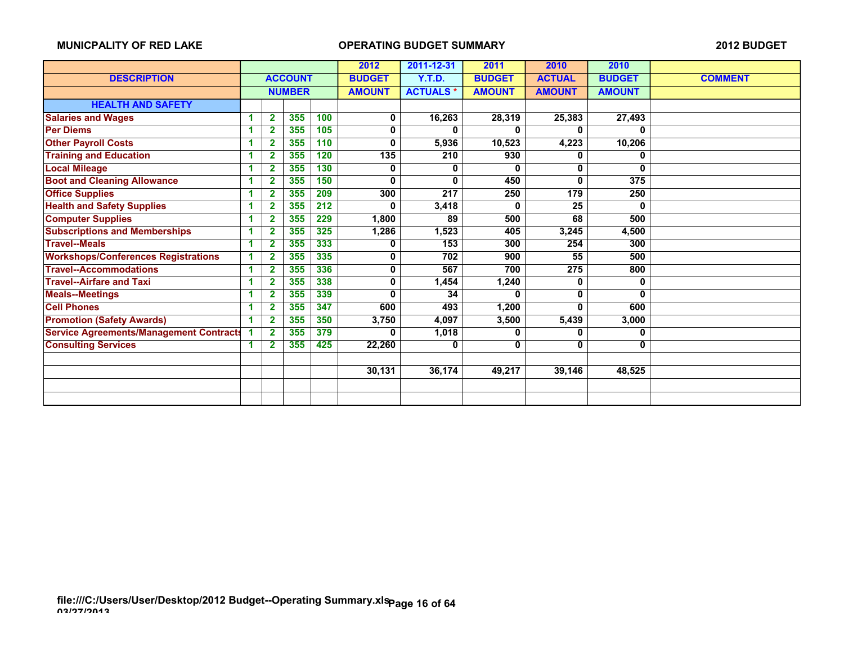|                                                |   |                |                |     | 2012          | 2011-12-31      | 2011          | 2010          | 2010          |                |
|------------------------------------------------|---|----------------|----------------|-----|---------------|-----------------|---------------|---------------|---------------|----------------|
| <b>DESCRIPTION</b>                             |   |                | <b>ACCOUNT</b> |     | <b>BUDGET</b> | <b>Y.T.D.</b>   | <b>BUDGET</b> | <b>ACTUAL</b> | <b>BUDGET</b> | <b>COMMENT</b> |
|                                                |   |                | <b>NUMBER</b>  |     | <b>AMOUNT</b> | <b>ACTUALS*</b> | <b>AMOUNT</b> | <b>AMOUNT</b> | <b>AMOUNT</b> |                |
| <b>HEALTH AND SAFETY</b>                       |   |                |                |     |               |                 |               |               |               |                |
| <b>Salaries and Wages</b>                      | 1 | $\overline{2}$ | 355            | 100 | 0             | 16,263          | 28,319        | 25,383        | 27,493        |                |
| <b>Per Diems</b>                               | и | $\overline{2}$ | 355            | 105 | 0             | 0               |               | 0             | 0             |                |
| <b>Other Payroll Costs</b>                     | 1 | $\mathbf{2}$   | 355            | 110 | 0             | 5,936           | 10,523        | 4,223         | 10,206        |                |
| <b>Training and Education</b>                  | 1 | $\mathbf{2}$   | 355            | 120 | 135           | 210             | 930           | 0             | 0             |                |
| <b>Local Mileage</b>                           | 1 | 2              | 355            | 130 | 0             | 0               | 0             | 0             | 0             |                |
| <b>Boot and Cleaning Allowance</b>             | 1 | $\overline{2}$ | 355            | 150 | $\mathbf{0}$  | 0               | 450           | 0             | 375           |                |
| <b>Office Supplies</b>                         | 1 | $\overline{2}$ | 355            | 209 | 300           | 217             | 250           | 179           | 250           |                |
| <b>Health and Safety Supplies</b>              | 1 | $\overline{2}$ | 355            | 212 | O             | 3,418           | 0             | 25            | 0             |                |
| <b>Computer Supplies</b>                       | 4 | $\overline{2}$ | 355            | 229 | 1,800         | 89              | 500           | 68            | 500           |                |
| <b>Subscriptions and Memberships</b>           | 1 | $\overline{2}$ | 355            | 325 | 1,286         | 1,523           | 405           | 3,245         | 4,500         |                |
| <b>Travel--Meals</b>                           | 1 | $\mathbf{2}$   | 355            | 333 | 0             | 153             | 300           | 254           | 300           |                |
| <b>Workshops/Conferences Registrations</b>     | 1 | $\overline{2}$ | 355            | 335 | 0             | 702             | 900           | 55            | 500           |                |
| <b>Travel--Accommodations</b>                  | 1 | $\overline{2}$ | 355            | 336 | 0             | 567             | 700           | 275           | 800           |                |
| <b>Travel--Airfare and Taxi</b>                | 1 | $\mathbf{2}$   | 355            | 338 | 0             | 1,454           | 1,240         | 0             | 0             |                |
| <b>Meals--Meetings</b>                         | 1 | $\overline{2}$ | 355            | 339 | $\bf{0}$      | 34              | 0             | 0             | $\bf{0}$      |                |
| <b>Cell Phones</b>                             |   | $\overline{2}$ | 355            | 347 | 600           | 493             | 1,200         | 0             | 600           |                |
| <b>Promotion (Safety Awards)</b>               | 1 | $\overline{2}$ | 355            | 350 | 3,750         | 4,097           | 3,500         | 5,439         | 3,000         |                |
| <b>Service Agreements/Management Contracts</b> |   | $\mathbf{2}$   | 355            | 379 | 0             | 1,018           | 0             | 0             | 0             |                |
| <b>Consulting Services</b>                     | 1 | 2              | 355            | 425 | 22,260        | 0               | 0             | 0             | 0             |                |
|                                                |   |                |                |     |               |                 |               |               |               |                |
|                                                |   |                |                |     | 30,131        | 36,174          | 49,217        | 39,146        | 48,525        |                |
|                                                |   |                |                |     |               |                 |               |               |               |                |
|                                                |   |                |                |     |               |                 |               |               |               |                |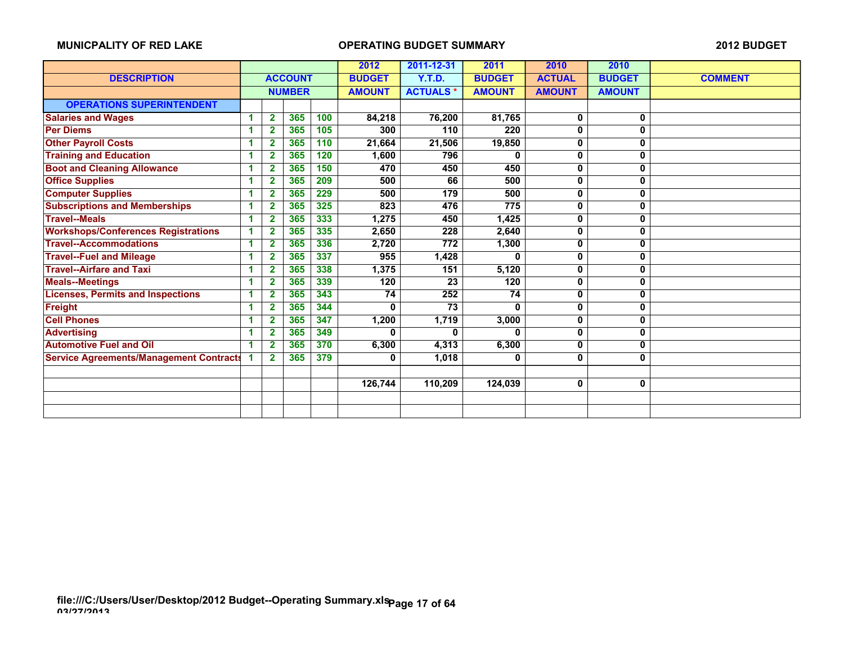|                                                |    |                         |                |     | 2012          | 2011-12-31      | 2011          | 2010          | 2010          |                |
|------------------------------------------------|----|-------------------------|----------------|-----|---------------|-----------------|---------------|---------------|---------------|----------------|
| <b>DESCRIPTION</b>                             |    |                         | <b>ACCOUNT</b> |     | <b>BUDGET</b> | Y.T.D.          | <b>BUDGET</b> | <b>ACTUAL</b> | <b>BUDGET</b> | <b>COMMENT</b> |
|                                                |    |                         | <b>NUMBER</b>  |     | <b>AMOUNT</b> | <b>ACTUALS*</b> | <b>AMOUNT</b> | <b>AMOUNT</b> | <b>AMOUNT</b> |                |
| <b>OPERATIONS SUPERINTENDENT</b>               |    |                         |                |     |               |                 |               |               |               |                |
| <b>Salaries and Wages</b>                      | 1  | $\overline{2}$          | 365            | 100 | 84,218        | 76,200          | 81,765        | 0             | 0             |                |
| <b>Per Diems</b>                               | 1  | $\mathbf{2}$            | 365            | 105 | 300           | 110             | 220           | 0             | 0             |                |
| <b>Other Payroll Costs</b>                     | и  | 2                       | 365            | 110 | 21,664        | 21,506          | 19,850        | 0             | 0             |                |
| <b>Training and Education</b>                  | 1  | 2                       | 365            | 120 | 1,600         | 796             | 0             | 0             | 0             |                |
| <b>Boot and Cleaning Allowance</b>             | 1  | $\mathbf{2}$            | 365            | 150 | 470           | 450             | 450           | 0             | 0             |                |
| <b>Office Supplies</b>                         | 4  | $\mathbf{2}$            | 365            | 209 | 500           | 66              | 500           | 0             | 0             |                |
| <b>Computer Supplies</b>                       | 1  | $\overline{\mathbf{2}}$ | 365            | 229 | 500           | 179             | 500           | 0             | 0             |                |
| <b>Subscriptions and Memberships</b>           | 1  | $\overline{2}$          | 365            | 325 | 823           | 476             | 775           | 0             | 0             |                |
| <b>Travel--Meals</b>                           | -1 | 2                       | 365            | 333 | 1,275         | 450             | 1,425         | 0             | 0             |                |
| <b>Workshops/Conferences Registrations</b>     | -1 | $\mathbf{2}$            | 365            | 335 | 2,650         | 228             | 2,640         | 0             | 0             |                |
| <b>Travel--Accommodations</b>                  | 1  | $\mathbf{2}$            | 365            | 336 | 2,720         | 772             | 1,300         | 0             | 0             |                |
| <b>Travel--Fuel and Mileage</b>                | 1  | $\overline{2}$          | 365            | 337 | 955           | 1,428           |               | 0             | 0             |                |
| <b>Travel--Airfare and Taxi</b>                | 1  | $\mathbf{2}$            | 365            | 338 | 1,375         | 151             | 5,120         | 0             | 0             |                |
| <b>Meals--Meetings</b>                         | и  | $\overline{2}$          | 365            | 339 | 120           | 23              | 120           | 0             | 0             |                |
| <b>Licenses, Permits and Inspections</b>       | 1  | $\overline{2}$          | 365            | 343 | 74            | 252             | 74            | 0             | 0             |                |
| <b>Freight</b>                                 | 1  | $\mathbf{2}$            | 365            | 344 | 0             | 73              | 0             | 0             | 0             |                |
| <b>Cell Phones</b>                             |    | $\overline{2}$          | 365            | 347 | 1,200         | 1,719           | 3,000         | 0             | 0             |                |
| <b>Advertising</b>                             | 1  | $\overline{\mathbf{2}}$ | 365            | 349 | n             | U.              | U             | 0             | 0             |                |
| <b>Automotive Fuel and Oil</b>                 | 1  | $\mathbf{2}$            | 365            | 370 | 6,300         | 4,313           | 6,300         | 0             | 0             |                |
| <b>Service Agreements/Management Contracts</b> |    | $\mathbf{2}$            | 365            | 379 | 0             | 1,018           | 0             | 0             | 0             |                |
|                                                |    |                         |                |     |               |                 |               |               |               |                |
|                                                |    |                         |                |     | 126,744       | 110,209         | 124,039       | 0             | 0             |                |
|                                                |    |                         |                |     |               |                 |               |               |               |                |
|                                                |    |                         |                |     |               |                 |               |               |               |                |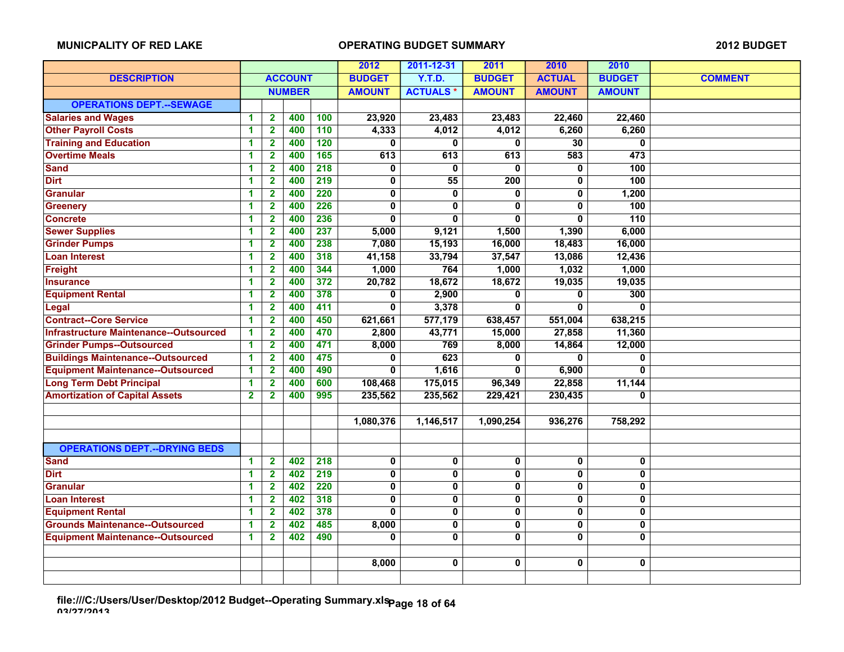|                                               |                         |                         |                | 2012             | 2011-12-31              | 2011            | 2010                    | 2010                    |                  |                |
|-----------------------------------------------|-------------------------|-------------------------|----------------|------------------|-------------------------|-----------------|-------------------------|-------------------------|------------------|----------------|
| <b>DESCRIPTION</b>                            |                         |                         | <b>ACCOUNT</b> |                  | <b>BUDGET</b>           | <b>Y.T.D.</b>   | <b>BUDGET</b>           | <b>ACTUAL</b>           | <b>BUDGET</b>    | <b>COMMENT</b> |
|                                               |                         |                         | <b>NUMBER</b>  |                  | <b>AMOUNT</b>           | <b>ACTUALS*</b> | <b>AMOUNT</b>           | <b>AMOUNT</b>           | <b>AMOUNT</b>    |                |
| <b>OPERATIONS DEPT.--SEWAGE</b>               |                         |                         |                |                  |                         |                 |                         |                         |                  |                |
| <b>Salaries and Wages</b>                     | 1                       | 2                       | 400            | 100              | 23,920                  | 23,483          | 23,483                  | 22,460                  | 22,460           |                |
| <b>Other Payroll Costs</b>                    | 1                       | $\overline{2}$          | 400            | 110              | 4,333                   | 4,012           | 4,012                   | 6,260                   | 6,260            |                |
| <b>Training and Education</b>                 | 1                       | $\overline{2}$          | 400            | 120              | $\mathbf{0}$            | $\mathbf{0}$    | $\mathbf 0$             | $\overline{30}$         | $\mathbf 0$      |                |
| <b>Overtime Meals</b>                         | 1                       | $\overline{2}$          | 400            | 165              | 613                     | 613             | 613                     | 583                     | 473              |                |
| <b>Sand</b>                                   | 1                       | $\mathbf{2}$            | 400            | $\overline{218}$ | 0                       | $\mathbf{0}$    | $\mathbf{0}$            | 0                       | 100              |                |
| <b>Dirt</b>                                   | 1                       | 2                       | 400            | 219              | 0                       | 55              | 200                     | 0                       | 100              |                |
| <b>Granular</b>                               | 1                       | $\mathbf{2}$            | 400            | 220              | 0                       | 0               | 0                       | 0                       | 1,200            |                |
| <b>Greenery</b>                               | 1                       | $\mathbf{2}$            | 400            | 226              | $\overline{\mathbf{0}}$ | 0               | $\overline{\mathbf{0}}$ | 0                       | 100              |                |
| <b>Concrete</b>                               | 1                       | $\overline{2}$          | 400            | 236              | $\overline{0}$          | $\mathbf{0}$    | $\mathbf{0}$            | 0                       | $\overline{110}$ |                |
| <b>Sewer Supplies</b>                         | 1                       | $\overline{2}$          | 400            | 237              | 5,000                   | 9,121           | 1,500                   | 1,390                   | 6,000            |                |
| <b>Grinder Pumps</b>                          | 1                       | $\overline{\mathbf{2}}$ | 400            | 238              | 7,080                   | 15,193          | 16,000                  | 18,483                  | 16,000           |                |
| <b>Loan Interest</b>                          | 1                       | $\mathbf{2}$            | 400            | 318              | 41,158                  | 33,794          | 37,547                  | 13,086                  | 12,436           |                |
| Freight                                       | 1                       | $\mathbf{2}$            | 400            | 344              | 1,000                   | 764             | 1,000                   | 1,032                   | 1,000            |                |
| <b>Insurance</b>                              | 1                       | $\overline{2}$          | 400            | 372              | 20,782                  | 18,672          | 18,672                  | 19,035                  | 19,035           |                |
| <b>Equipment Rental</b>                       | 1                       | $\mathbf{2}$            | 400            | 378              | 0                       | 2,900           | $\mathbf{0}$            | 0                       | 300              |                |
| Legal                                         | 1                       | $\overline{\mathbf{2}}$ | 400            | 411              | 0                       | 3,378           | $\mathbf{0}$            | 0                       | $\bf{0}$         |                |
| <b>Contract--Core Service</b>                 | 1                       | 2                       | 400            | 450              | 621,661                 | 577,179         | 638,457                 | 551,004                 | 638,215          |                |
| <b>Infrastructure Maintenance--Outsourced</b> | 1                       | $\overline{2}$          | 400            | 470              | 2,800                   | 43,771          | 15,000                  | 27,858                  | 11,360           |                |
| <b>Grinder Pumps--Outsourced</b>              | 1                       | $\overline{2}$          | 400            | 471              | 8,000                   | 769             | 8,000                   | 14,864                  | 12,000           |                |
| <b>Buildings Maintenance--Outsourced</b>      | 1                       | $\mathbf{2}$            | 400            | 475              | 0                       | 623             | 0                       | <sup>0</sup>            | $\bf{0}$         |                |
| <b>Equipment Maintenance--Outsourced</b>      | $\overline{\mathbf{1}}$ | $\overline{2}$          | 400            | 490              | $\overline{0}$          | 1,616           | $\overline{0}$          | 6,900                   | $\overline{0}$   |                |
| <b>Long Term Debt Principal</b>               | 1                       | $\overline{\mathbf{2}}$ | 400            | 600              | 108,468                 | 175,015         | 96,349                  | 22,858                  | 11,144           |                |
| <b>Amortization of Capital Assets</b>         | $\overline{\mathbf{2}}$ | $\mathbf{2}$            | 400            | 995              | 235,562                 | 235,562         | 229,421                 | 230,435                 | 0                |                |
|                                               |                         |                         |                |                  |                         |                 |                         |                         |                  |                |
|                                               |                         |                         |                |                  | 1,080,376               | 1,146,517       | 1,090,254               | 936,276                 | 758,292          |                |
|                                               |                         |                         |                |                  |                         |                 |                         |                         |                  |                |
| <b>OPERATIONS DEPT.--DRYING BEDS</b>          |                         |                         |                |                  |                         |                 |                         |                         |                  |                |
| <b>Sand</b>                                   | $\blacktriangleleft$    | $\mathbf{2}$            | 402            | 218              | 0                       | 0               | $\overline{\mathbf{0}}$ | $\overline{\mathbf{0}}$ | 0                |                |
| <b>Dirt</b>                                   | 1                       | $\overline{\mathbf{2}}$ | 402            | $\overline{219}$ | 0                       | $\mathbf 0$     | $\mathbf 0$             | 0                       | $\mathbf 0$      |                |
| <b>Granular</b>                               | 1                       | $\mathbf{2}$            | 402            | 220              | 0                       | 0               | 0                       | 0                       | 0                |                |
| <b>Loan Interest</b>                          | 1                       | $\mathbf{2}$            | 402            | 318              | $\bf{0}$                | $\mathbf 0$     | $\overline{\mathbf{0}}$ | $\bf{0}$                | $\mathbf 0$      |                |
| <b>Equipment Rental</b>                       | 1                       | $\overline{2}$          | 402            | 378              | 0                       | $\mathbf 0$     | $\mathbf 0$             | 0                       | 0                |                |
| <b>Grounds Maintenance--Outsourced</b>        | 1                       | $\mathbf{2}$            | 402            | 485              | 8,000                   | $\mathbf 0$     | $\mathbf 0$             | 0                       | $\bf{0}$         |                |
| <b>Equipment Maintenance--Outsourced</b>      | $\mathbf{1}$            | $\overline{\mathbf{2}}$ | 402            | 490              | $\bf{0}$                | $\mathbf{0}$    | $\mathbf 0$             | 0                       | $\mathbf 0$      |                |
|                                               |                         |                         |                |                  |                         |                 |                         |                         |                  |                |
|                                               |                         |                         |                |                  | 8,000                   | 0               | 0                       | 0                       | 0                |                |
|                                               |                         |                         |                |                  |                         |                 |                         |                         |                  |                |

**file:///C:/Users/User/Desktop/2012 Budget--Operating Summary.xls 03/27/2013 Page 18 of 64**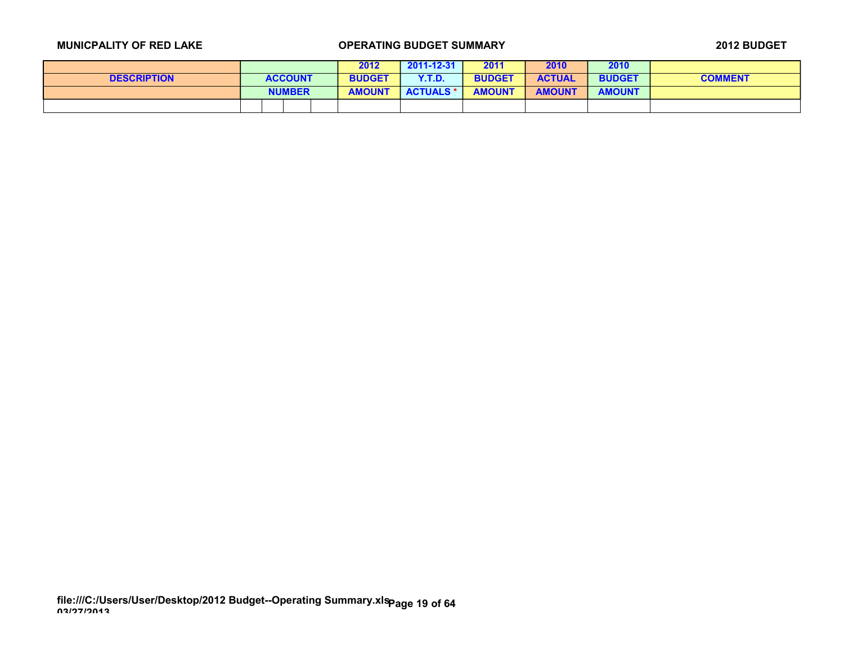|                    |                | 2012          | $2011 - 12 - 31$ | 2011          | 2010          | 2010          |                |
|--------------------|----------------|---------------|------------------|---------------|---------------|---------------|----------------|
| <b>DESCRIPTION</b> | <b>ACCOUNT</b> | <b>BUDGET</b> | <b>Y.T.D.</b>    | <b>BUDGET</b> | <b>ACTUAL</b> | <b>BUDGET</b> | <b>COMMENT</b> |
|                    | <b>NUMBER</b>  | <b>AMOUNT</b> | <b>ACTUALS *</b> | <b>AMOUNT</b> | <b>AMOUNT</b> | <b>AMOUNT</b> |                |
|                    |                |               |                  |               |               |               |                |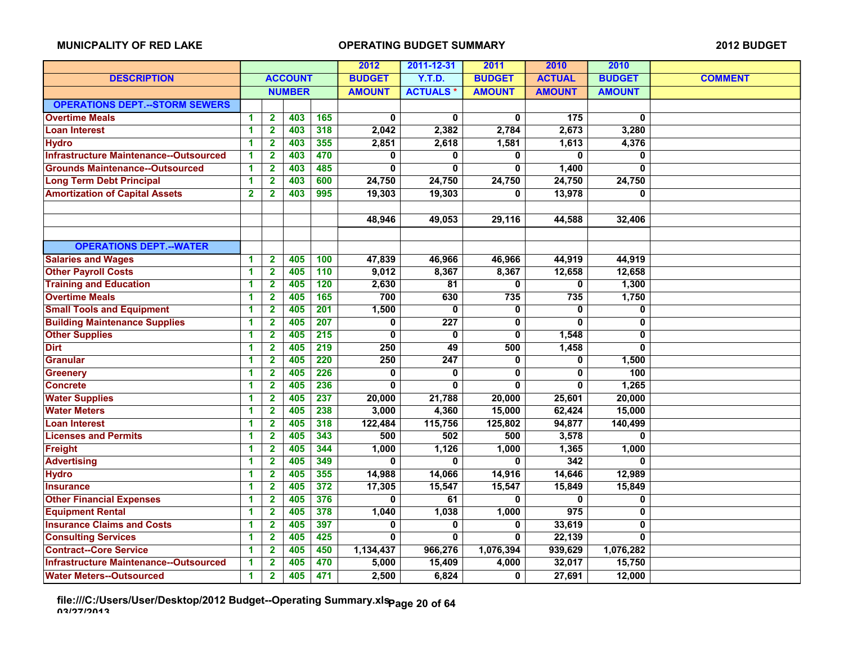|                                               |                      |                         |               |               | 2012          | 2011-12-31      | 2011          | 2010             | 2010           |  |
|-----------------------------------------------|----------------------|-------------------------|---------------|---------------|---------------|-----------------|---------------|------------------|----------------|--|
| <b>DESCRIPTION</b>                            |                      | <b>ACCOUNT</b>          |               | <b>BUDGET</b> | Y.T.D.        | <b>BUDGET</b>   | <b>ACTUAL</b> | <b>BUDGET</b>    | <b>COMMENT</b> |  |
|                                               |                      |                         | <b>NUMBER</b> |               | <b>AMOUNT</b> | <b>ACTUALS*</b> | <b>AMOUNT</b> | <b>AMOUNT</b>    | <b>AMOUNT</b>  |  |
| <b>OPERATIONS DEPT.--STORM SEWERS</b>         |                      |                         |               |               |               |                 |               |                  |                |  |
| <b>Overtime Meals</b>                         | 1                    | $\mathbf{2}$            | 403           | 165           | 0             | 0               | 0             | $\frac{1}{175}$  | 0              |  |
| <b>Loan Interest</b>                          | $\blacktriangleleft$ | $\mathbf{2}$            | 403           | 318           | 2,042         | 2,382           | 2,784         | 2,673            | 3,280          |  |
| <b>Hydro</b>                                  | 1                    | $\overline{\mathbf{2}}$ | 403           | 355           | 2,851         | 2,618           | 1,581         | 1,613            | 4,376          |  |
| <b>Infrastructure Maintenance--Outsourced</b> | 1                    | $\overline{\mathbf{2}}$ | 403           | 470           | $\bf{0}$      | 0               | $\mathbf{0}$  | O.               | $\mathbf{0}$   |  |
| <b>Grounds Maintenance--Outsourced</b>        | $\blacktriangleleft$ | $\overline{\mathbf{2}}$ | 403           | 485           | $\Omega$      | 0               | $\mathbf{0}$  | 1,400            | $\bf{0}$       |  |
| <b>Long Term Debt Principal</b>               | 1                    | $\mathbf{2}$            | 403           | 600           | 24,750        | 24,750          | 24,750        | 24,750           | 24,750         |  |
| <b>Amortization of Capital Assets</b>         | $\mathbf{2}$         | $\overline{\mathbf{2}}$ | 403           | 995           | 19,303        | 19,303          | 0             | 13,978           | $\Omega$       |  |
|                                               |                      |                         |               |               |               |                 |               |                  |                |  |
|                                               |                      |                         |               |               | 48,946        | 49,053          | 29,116        | 44,588           | 32,406         |  |
|                                               |                      |                         |               |               |               |                 |               |                  |                |  |
| <b>OPERATIONS DEPT.--WATER</b>                |                      |                         |               |               |               |                 |               |                  |                |  |
| <b>Salaries and Wages</b>                     | $\blacktriangleleft$ | $\overline{\mathbf{2}}$ | 405           | 100           | 47,839        | 46,966          | 46,966        | 44,919           | 44,919         |  |
| <b>Other Payroll Costs</b>                    | 1                    | $\overline{\mathbf{2}}$ | 405           | 110           | 9,012         | 8,367           | 8,367         | 12,658           | 12,658         |  |
| <b>Training and Education</b>                 | 1                    | $\overline{2}$          | 405           | 120           | 2,630         | 81              | $\mathbf{0}$  | 0                | 1,300          |  |
| <b>Overtime Meals</b>                         | 1                    | $\mathbf{2}$            | 405           | 165           | 700           | 630             | 735           | 735              | 1,750          |  |
| <b>Small Tools and Equipment</b>              | 1                    | $\mathbf{2}$            | 405           | 201           | 1,500         | 0               | $\mathbf{0}$  | 0                | $\bf{0}$       |  |
| <b>Building Maintenance Supplies</b>          | 1                    | $\overline{2}$          | 405           | 207           | 0             | 227             | 0             | 0                | $\bf{0}$       |  |
| <b>Other Supplies</b>                         | 1                    | $\overline{\mathbf{2}}$ | 405           | 215           | 0             | 0               | $\mathbf{0}$  | 1,548            | 0              |  |
| <b>Dirt</b>                                   | -1                   | $\mathbf{2}$            | 405           | 219           | 250           | 49              | 500           | 1,458            | 0              |  |
| <b>Granular</b>                               | 1                    | $\overline{2}$          | 405           | 220           | 250           | 247             | 0             | 0                | 1,500          |  |
| <b>Greenery</b>                               | 1                    | $\overline{\mathbf{2}}$ | 405           | 226           | 0             | 0               | $\mathbf 0$   | $\mathbf 0$      | 100            |  |
| <b>Concrete</b>                               | 1                    | $\overline{2}$          | 405           | 236           | $\mathbf{0}$  | 0               | $\mathbf{0}$  | 0                | 1,265          |  |
| <b>Water Supplies</b>                         | 1                    | $\overline{2}$          | 405           | 237           | 20,000        | 21,788          | 20,000        | 25,601           | 20,000         |  |
| <b>Water Meters</b>                           | 1                    | 2                       | 405           | 238           | 3,000         | 4,360           | 15,000        | 62,424           | 15,000         |  |
| <b>Loan Interest</b>                          | 1                    | $\mathbf 2$             | 405           | 318           | 122,484       | 115,756         | 125,802       | 94,877           | 140,499        |  |
| <b>Licenses and Permits</b>                   | 1                    | $\mathbf{2}$            | 405           | 343           | 500           | 502             | 500           | 3,578            | 0              |  |
| <b>Freight</b>                                | 1                    | $\mathbf{2}$            | 405           | 344           | 1,000         | 1,126           | 1,000         | 1,365            | 1,000          |  |
| <b>Advertising</b>                            | 1                    | $\overline{\mathbf{2}}$ | 405           | 349           | $\Omega$      | 0               | $\mathbf{0}$  | 342              | $\mathbf{0}$   |  |
| <b>Hydro</b>                                  | 1                    | $\mathbf{2}$            | 405           | 355           | 14,988        | 14,066          | 14,916        | 14,646           | 12,989         |  |
| <b>Insurance</b>                              | 1                    | $\overline{\mathbf{2}}$ | 405           | 372           | 17,305        | 15,547          | 15,547        | 15,849           | 15,849         |  |
| <b>Other Financial Expenses</b>               | 1                    | $\overline{\mathbf{2}}$ | 405           | 376           | $\bf{0}$      | 61              | $\mathbf{0}$  | $\mathbf{0}$     | 0              |  |
| <b>Equipment Rental</b>                       | 1                    | $\mathbf{2}$            | 405           | 378           | 1,040         | 1,038           | 1,000         | $\overline{975}$ | $\bf{0}$       |  |
| <b>Insurance Claims and Costs</b>             | 1                    | $\overline{2}$          | 405           | 397           | 0             | 0               | $\mathbf 0$   | 33,619           | $\overline{0}$ |  |
| <b>Consulting Services</b>                    | 1                    | $\mathbf{2}$            | 405           | 425           | 0             | 0               | 0             | 22,139           | $\bf{0}$       |  |
| <b>Contract--Core Service</b>                 | 1                    | $\mathbf{2}$            | 405           | 450           | 1,134,437     | 966,276         | 1,076,394     | 939,629          | 1,076,282      |  |
| <b>Infrastructure Maintenance--Outsourced</b> | $\blacktriangleleft$ | $\overline{2}$          | 405           | 470           | 5,000         | 15,409          | 4,000         | 32,017           | 15,750         |  |
| <b>Water Meters--Outsourced</b>               | 1                    | $\overline{\mathbf{2}}$ | 405           | 471           | 2,500         | 6,824           | 0             | 27,691           | 12,000         |  |

**file:///C:/Users/User/Desktop/2012 Budget--Operating Summary.xls 03/27/2013 Page 20 of 64**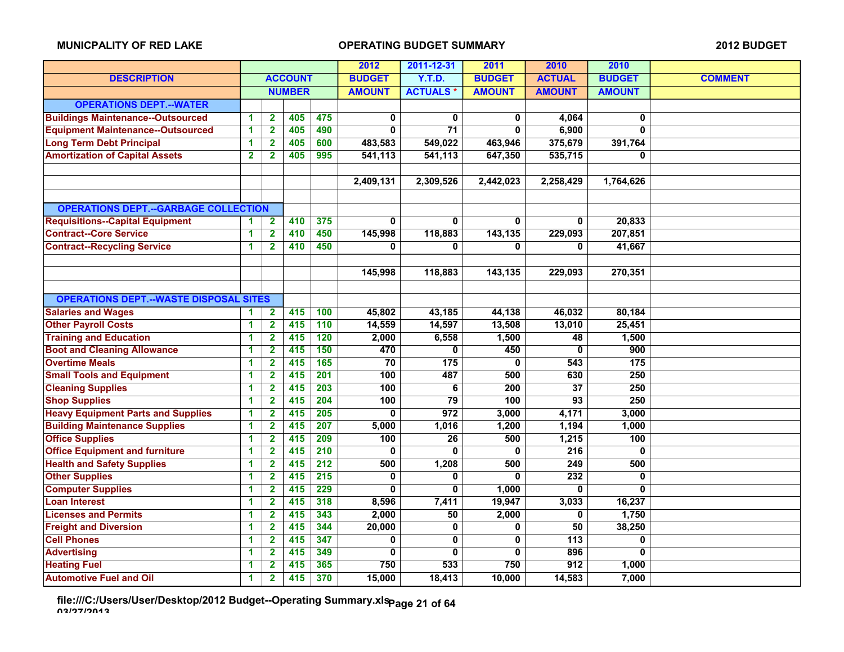|                                               |                         |                         |                |                  | 2012          | 2011-12-31       | 2011                    | 2010             | 2010                    |                |
|-----------------------------------------------|-------------------------|-------------------------|----------------|------------------|---------------|------------------|-------------------------|------------------|-------------------------|----------------|
| <b>DESCRIPTION</b>                            |                         |                         | <b>ACCOUNT</b> |                  | <b>BUDGET</b> | <b>Y.T.D.</b>    | <b>BUDGET</b>           | <b>ACTUAL</b>    | <b>BUDGET</b>           | <b>COMMENT</b> |
|                                               |                         |                         | <b>NUMBER</b>  |                  | <b>AMOUNT</b> | <b>ACTUALS*</b>  | <b>AMOUNT</b>           | <b>AMOUNT</b>    | <b>AMOUNT</b>           |                |
| <b>OPERATIONS DEPT.--WATER</b>                |                         |                         |                |                  |               |                  |                         |                  |                         |                |
| <b>Buildings Maintenance--Outsourced</b>      | 1                       | 2                       | 405            | 475              | 0             | 0                | 0                       | 4,064            | 0                       |                |
| <b>Equipment Maintenance--Outsourced</b>      | 1                       | $\mathbf{2}$            | 405            | 490              | 0             | $\overline{71}$  | $\mathbf{0}$            | 6,900            | $\overline{\mathbf{0}}$ |                |
| <b>Long Term Debt Principal</b>               | 1                       | $\overline{\mathbf{2}}$ | 405            | 600              | 483,583       | 549,022          | 463,946                 | 375,679          | 391,764                 |                |
| <b>Amortization of Capital Assets</b>         | $\overline{\mathbf{2}}$ | $\mathbf{2}$            | 405            | 995              | 541,113       | 541,113          | 647,350                 | 535,715          | $\mathbf{0}$            |                |
|                                               |                         |                         |                |                  |               |                  |                         |                  |                         |                |
|                                               |                         |                         |                |                  | 2,409,131     | 2,309,526        | 2,442,023               | 2,258,429        | 1,764,626               |                |
|                                               |                         |                         |                |                  |               |                  |                         |                  |                         |                |
| <b>OPERATIONS DEPT.--GARBAGE COLLECTION</b>   |                         |                         |                |                  |               |                  |                         |                  |                         |                |
| <b>Requisitions--Capital Equipment</b>        | 1                       | $\mathbf{2}$            | 410            | 375              | $\mathbf{0}$  | $\mathbf{0}$     | $\mathbf{0}$            | $\mathbf 0$      | 20,833                  |                |
| <b>Contract--Core Service</b>                 | 1                       | $\overline{2}$          | 410            | 450              | 145,998       | 118,883          | 143,135                 | 229,093          | 207,851                 |                |
| <b>Contract--Recycling Service</b>            | 1                       | $\overline{2}$          | 410            | 450              | $\bf{0}$      | 0                | $\mathbf{0}$            | 0                | 41,667                  |                |
|                                               |                         |                         |                |                  |               |                  |                         |                  |                         |                |
|                                               |                         |                         |                |                  | 145,998       | 118,883          | 143,135                 | 229,093          | 270,351                 |                |
|                                               |                         |                         |                |                  |               |                  |                         |                  |                         |                |
| <b>OPERATIONS DEPT.--WASTE DISPOSAL SITES</b> |                         |                         |                |                  |               |                  |                         |                  |                         |                |
| <b>Salaries and Wages</b>                     | 1                       | $\mathbf{2}$            | 415            | 100              | 45,802        | 43,185           | 44,138                  | 46,032           | 80,184                  |                |
| <b>Other Payroll Costs</b>                    | 1                       | $\mathbf{2}$            | 415            | 110              | 14,559        | 14,597           | 13,508                  | 13,010           | 25,451                  |                |
| <b>Training and Education</b>                 | 1                       | $\mathbf{2}$            | 415            | 120              | 2,000         | 6,558            | 1,500                   | 48               | 1,500                   |                |
| <b>Boot and Cleaning Allowance</b>            | 1                       | $\overline{2}$          | 415            | 150              | 470           | 0                | 450                     | 0                | 900                     |                |
| <b>Overtime Meals</b>                         | 1                       | 2                       | 415            | 165              | 70            | $\overline{175}$ | 0                       | 543              | $\overline{175}$        |                |
| <b>Small Tools and Equipment</b>              | 1                       | $\mathbf{2}$            | 415            | $\overline{201}$ | 100           | 487              | 500                     | 630              | 250                     |                |
| <b>Cleaning Supplies</b>                      | 1                       | $\mathbf{2}$            | 415            | $\overline{203}$ | 100           | 6                | $\overline{200}$        | $\overline{37}$  | 250                     |                |
| <b>Shop Supplies</b>                          | 1                       | $\mathbf{2}$            | 415            | 204              | 100           | $\overline{79}$  | 100                     | $\overline{93}$  | 250                     |                |
| <b>Heavy Equipment Parts and Supplies</b>     | 1                       | $\overline{2}$          | 415            | $\overline{205}$ | $\bf{0}$      | 972              | 3,000                   | 4,171            | 3,000                   |                |
| <b>Building Maintenance Supplies</b>          | 1                       | $\overline{\mathbf{2}}$ | 415            | 207              | 5,000         | 1,016            | 1,200                   | 1,194            | 1,000                   |                |
| <b>Office Supplies</b>                        | 1                       | $\mathbf{2}$            | 415            | 209              | 100           | $\overline{26}$  | 500                     | 1,215            | 100                     |                |
| <b>Office Equipment and furniture</b>         | 1                       | $\mathbf{2}$            | 415            | 210              | 0             | $\mathbf{0}$     | $\mathbf 0$             | 216              | $\mathbf 0$             |                |
| <b>Health and Safety Supplies</b>             | 1                       | $\overline{\mathbf{2}}$ | 415            | $\overline{212}$ | 500           | 1,208            | 500                     | $\overline{249}$ | 500                     |                |
| <b>Other Supplies</b>                         | 1                       | $\overline{\mathbf{2}}$ | 415            | 215              | 0             | 0                | $\mathbf{0}$            | 232              | $\mathbf 0$             |                |
| <b>Computer Supplies</b>                      | 1                       | $\overline{2}$          | 415            | 229              | $\mathbf{0}$  | 0                | 1,000                   | 0                | $\bf{0}$                |                |
| <b>Loan Interest</b>                          | 1                       | $\mathbf{2}$            | 415            | 318              | 8,596         | 7,411            | 19,947                  | 3,033            | 16,237                  |                |
| <b>Licenses and Permits</b>                   | 1                       | $\mathbf{2}$            | 415            | 343              | 2,000         | 50               | 2,000                   | 0                | 1,750                   |                |
| <b>Freight and Diversion</b>                  | 1                       | $\mathbf{2}$            | 415            | 344              | 20,000        | $\mathbf 0$      | $\mathbf 0$             | 50               | 38,250                  |                |
| <b>Cell Phones</b>                            | 1                       | $\overline{2}$          | 415            | 347              | 0             | 0                | $\overline{\mathbf{0}}$ | 113              | $\mathbf{0}$            |                |
| <b>Advertising</b>                            | 1                       | $\overline{\mathbf{2}}$ | 415            | 349              | 0             | 0                | $\mathbf 0$             | 896              | $\mathbf{0}$            |                |
| <b>Heating Fuel</b>                           | 1                       | 2                       | 415            | 365              | 750           | 533              | 750                     | 912              | 1,000                   |                |
| <b>Automotive Fuel and Oil</b>                | $\blacktriangleleft$    | $\overline{2}$          | 415            | 370              | 15,000        | 18,413           | 10,000                  | 14,583           | 7,000                   |                |

**file:///C:/Users/User/Desktop/2012 Budget--Operating Summary.xls 03/27/2013 Page 21 of 64**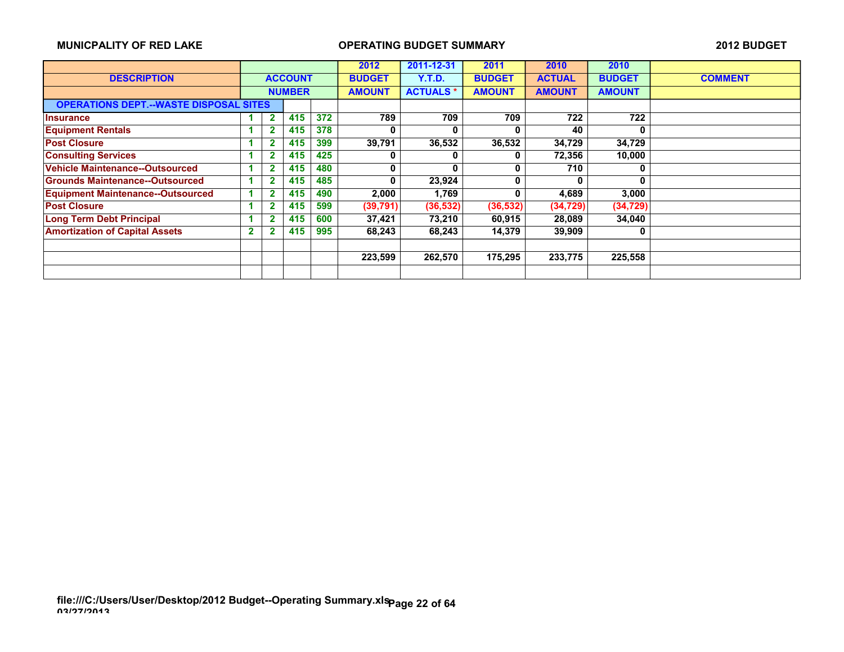|                                               |             |              |                |         | 2012          | 2011-12-31      | 2011          | 2010          | 2010          |                |
|-----------------------------------------------|-------------|--------------|----------------|---------|---------------|-----------------|---------------|---------------|---------------|----------------|
| <b>DESCRIPTION</b>                            |             |              | <b>ACCOUNT</b> |         | <b>BUDGET</b> | <b>Y.T.D.</b>   | <b>BUDGET</b> | <b>ACTUAL</b> | <b>BUDGET</b> | <b>COMMENT</b> |
|                                               |             |              | <b>NUMBER</b>  |         | <b>AMOUNT</b> | <b>ACTUALS*</b> | <b>AMOUNT</b> | <b>AMOUNT</b> | <b>AMOUNT</b> |                |
| <b>OPERATIONS DEPT.--WASTE DISPOSAL SITES</b> |             |              |                |         |               |                 |               |               |               |                |
| <b>Insurance</b>                              |             | $\mathbf{2}$ | 415            | 372     | 789           | 709             | 709           | 722           | 722           |                |
| <b>Equipment Rentals</b>                      |             | $\mathbf{2}$ | 415            | 378     | 0             | 0               | O             | 40            | 0             |                |
| <b>Post Closure</b>                           |             | $\mathbf{2}$ | 415            | 399     | 39,791        | 36,532          | 36,532        | 34,729        | 34,729        |                |
| <b>Consulting Services</b>                    |             | $\mathbf 2$  | 415            | 425     | 0             | 0               | 0             | 72,356        | 10,000        |                |
| <b>Vehicle Maintenance--Outsourced</b>        |             | $\mathbf{2}$ | 415            | 480     | 0             | 0               | 0             | 710           | 0             |                |
| <b>Grounds Maintenance--Outsourced</b>        |             | 2            | 415            | 485     | 0             | 23,924          | $\bf{0}$      | 0             | 0             |                |
| <b>Equipment Maintenance--Outsourced</b>      |             | 2            | 415            | 490     | 2.000         | 1,769           | 0             | 4,689         | 3,000         |                |
| <b>Post Closure</b>                           |             | $\mathbf 2$  | 415            | 599     | (39, 791)     | (36, 532)       | (36, 532)     | (34, 729)     | (34, 729)     |                |
| <b>Long Term Debt Principal</b>               |             | $\mathbf{2}$ | 415            | 600     | 37,421        | 73,210          | 60,915        | 28,089        | 34,040        |                |
| <b>Amortization of Capital Assets</b>         | $\mathbf 2$ | $\mathbf{2}$ | 415            | 995     | 68,243        | 68,243          | 14,379        | 39,909        | 0             |                |
|                                               |             |              |                |         |               |                 |               |               |               |                |
|                                               |             |              |                | 223,599 | 262,570       | 175,295         | 233,775       | 225,558       |               |                |
|                                               |             |              |                |         |               |                 |               |               |               |                |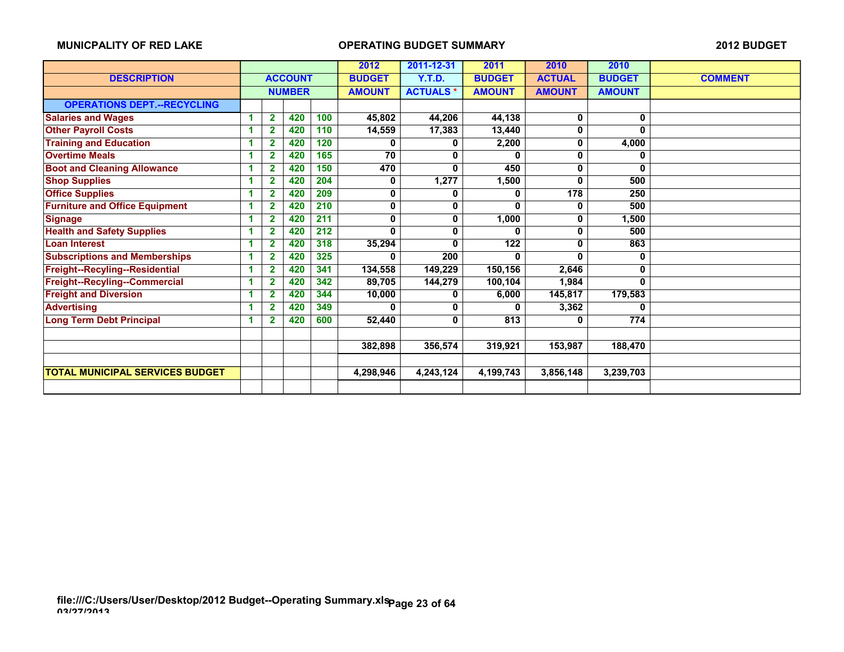|                                        |   |                |                |     | 2012          | 2011-12-31      | 2011             | 2010          | 2010          |                |
|----------------------------------------|---|----------------|----------------|-----|---------------|-----------------|------------------|---------------|---------------|----------------|
| <b>DESCRIPTION</b>                     |   |                | <b>ACCOUNT</b> |     | <b>BUDGET</b> | Y.T.D.          | <b>BUDGET</b>    | <b>ACTUAL</b> | <b>BUDGET</b> | <b>COMMENT</b> |
|                                        |   |                | <b>NUMBER</b>  |     | <b>AMOUNT</b> | <b>ACTUALS*</b> | <b>AMOUNT</b>    | <b>AMOUNT</b> | <b>AMOUNT</b> |                |
| <b>OPERATIONS DEPT.--RECYCLING</b>     |   |                |                |     |               |                 |                  |               |               |                |
| <b>Salaries and Wages</b>              | 1 | $\overline{2}$ | 420            | 100 | 45,802        | 44,206          | 44,138           | 0             | 0             |                |
| <b>Other Payroll Costs</b>             | и | $\mathbf{2}$   | 420            | 110 | 14,559        | 17,383          | 13,440           | 0             | $\Omega$      |                |
| <b>Training and Education</b>          | 1 | 2              | 420            | 120 | 0             | 0               | 2,200            | 0             | 4,000         |                |
| <b>Overtime Meals</b>                  |   |                | 420            | 165 | 70            | 0               |                  | 0             | 0             |                |
| <b>Boot and Cleaning Allowance</b>     |   | $\overline{2}$ | 420            | 150 | 470           | 0               | 450              | 0             | 0             |                |
| <b>Shop Supplies</b>                   | 1 | 2              | 420            | 204 | 0             | 1,277           | 1,500            | 0             | 500           |                |
| <b>Office Supplies</b>                 | 1 | 2              | 420            | 209 | 0             | 0               | 0                | 178           | 250           |                |
| <b>Furniture and Office Equipment</b>  | и | 2              | 420            | 210 | 0             | 0               | $\mathbf{0}$     | 0             | 500           |                |
| <b>Signage</b>                         | 1 | $\overline{2}$ | 420            | 211 | 0             | 0               | 1,000            | 0             | 1,500         |                |
| <b>Health and Safety Supplies</b>      |   | 2              | 420            | 212 | $\bf{0}$      | 0               | ŋ                | 0             | 500           |                |
| <b>Loan Interest</b>                   | и | 2              | 420            | 318 | 35,294        | 0               | $\overline{122}$ | 0             | 863           |                |
| <b>Subscriptions and Memberships</b>   | 1 | 2              | 420            | 325 | 0             | 200             | 0                | 0             | 0             |                |
| Freight--Recyling--Residential         | 1 | 2              | 420            | 341 | 134,558       | 149,229         | 150,156          | 2,646         | 0             |                |
| Freight--Recyling--Commercial          | 1 | 2              | 420            | 342 | 89,705        | 144,279         | 100,104          | 1,984         | 0             |                |
| <b>Freight and Diversion</b>           | 1 | 2              | 420            | 344 | 10,000        | 0               | 6,000            | 145,817       | 179,583       |                |
| <b>Advertising</b>                     |   | 2              | 420            | 349 | 0             | 0               | 0                | 3,362         | 0             |                |
| <b>Long Term Debt Principal</b>        | 4 | 2              | 420            | 600 | 52,440        | 0               | 813              | 0             | 774           |                |
|                                        |   |                |                |     |               |                 |                  |               |               |                |
|                                        |   |                |                |     | 382,898       | 356,574         | 319,921          | 153,987       | 188,470       |                |
|                                        |   |                |                |     |               |                 |                  |               |               |                |
| <b>TOTAL MUNICIPAL SERVICES BUDGET</b> |   |                |                |     | 4,298,946     | 4,243,124       | 4,199,743        | 3,856,148     | 3,239,703     |                |
|                                        |   |                |                |     |               |                 |                  |               |               |                |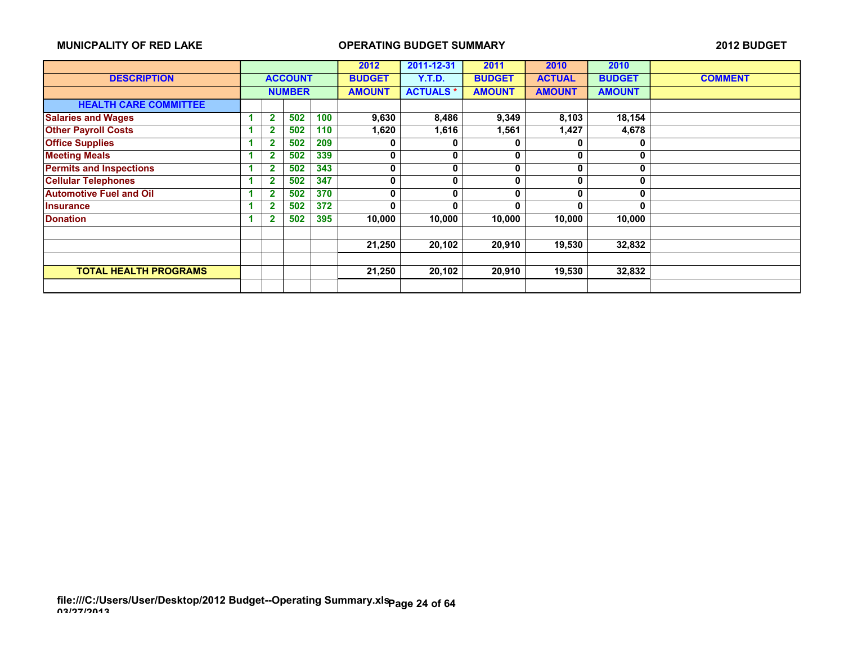|                                |                |                |        | 2012          | 2011-12-31      | 2011          | 2010          | 2010          |                |
|--------------------------------|----------------|----------------|--------|---------------|-----------------|---------------|---------------|---------------|----------------|
| <b>DESCRIPTION</b>             |                | <b>ACCOUNT</b> |        | <b>BUDGET</b> | <b>Y.T.D.</b>   | <b>BUDGET</b> | <b>ACTUAL</b> | <b>BUDGET</b> | <b>COMMENT</b> |
|                                |                | <b>NUMBER</b>  |        | <b>AMOUNT</b> | <b>ACTUALS*</b> | <b>AMOUNT</b> | <b>AMOUNT</b> | <b>AMOUNT</b> |                |
| <b>HEALTH CARE COMMITTEE</b>   |                |                |        |               |                 |               |               |               |                |
| <b>Salaries and Wages</b>      | $\mathbf{2}$   | 502            | 100    | 9,630         | 8,486           | 9,349         | 8,103         | 18,154        |                |
| <b>Other Payroll Costs</b>     | 2              | 502            | 110    | 1,620         | 1,616           | 1,561         | 1,427         | 4,678         |                |
| <b>Office Supplies</b>         | 2              | 502            | 209    | 0             | 0               | 0             | 0             | 0             |                |
| <b>Meeting Meals</b>           | 2              | 502            | 339    | 0             | 0               | 0             | 0             | 0             |                |
| <b>Permits and Inspections</b> | 2              | 502            | 343    | 0             | 0               | 0             | 0             | 0             |                |
| <b>Cellular Telephones</b>     | $\overline{2}$ | 502            | 347    | 0             | 0               | 0             | 0             | 0             |                |
| <b>Automotive Fuel and Oil</b> | $\overline{2}$ | 502            | 370    | 0             | 0               | $\mathbf{0}$  | U             | 0             |                |
| <b>Insurance</b>               | 2              | 502            | 372    | $\bf{0}$      | 0               | O             | O             | O             |                |
| <b>Donation</b>                |                | 502            | 395    | 10,000        | 10,000          | 10,000        | 10,000        | 10,000        |                |
|                                |                |                |        |               |                 |               |               |               |                |
|                                |                |                |        | 21,250        | 20,102          | 20,910        | 19,530        | 32,832        |                |
|                                |                |                |        |               |                 |               |               |               |                |
| <b>TOTAL HEALTH PROGRAMS</b>   |                |                | 21,250 | 20,102        | 20,910          | 19,530        | 32,832        |               |                |
|                                |                |                |        |               |                 |               |               |               |                |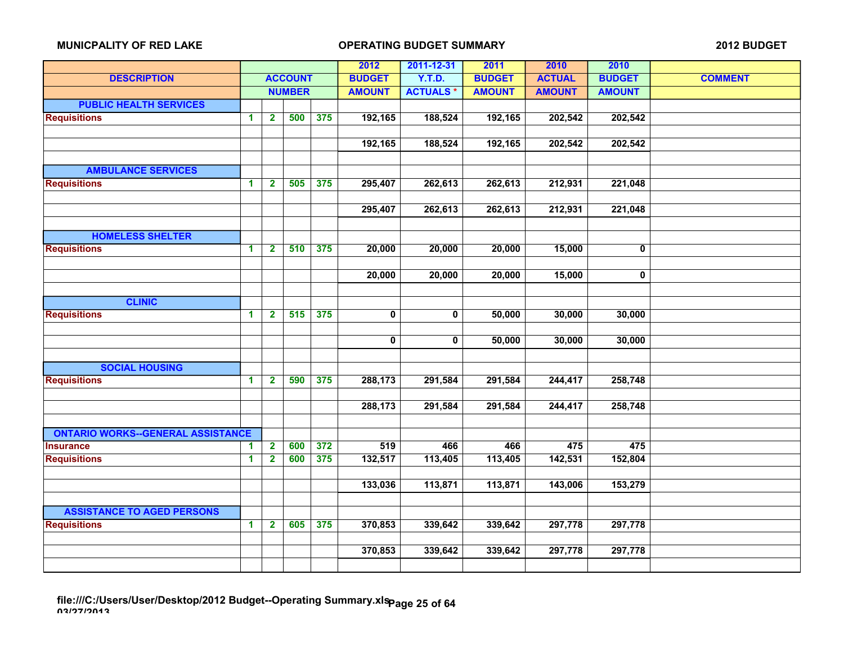|                                          |                      |                         |                |     | 2012                    | 2011-12-31      | 2011          | 2010          | 2010          |                |
|------------------------------------------|----------------------|-------------------------|----------------|-----|-------------------------|-----------------|---------------|---------------|---------------|----------------|
| <b>DESCRIPTION</b>                       |                      |                         | <b>ACCOUNT</b> |     | <b>BUDGET</b>           | <b>Y.T.D.</b>   | <b>BUDGET</b> | <b>ACTUAL</b> | <b>BUDGET</b> | <b>COMMENT</b> |
|                                          |                      |                         | <b>NUMBER</b>  |     | <b>AMOUNT</b>           | <b>ACTUALS*</b> | <b>AMOUNT</b> | <b>AMOUNT</b> | <b>AMOUNT</b> |                |
| <b>PUBLIC HEALTH SERVICES</b>            |                      |                         |                |     |                         |                 |               |               |               |                |
| <b>Requisitions</b>                      | $\mathbf 1$          | $\mathbf{2}$            | 500            | 375 | 192,165                 | 188,524         | 192,165       | 202,542       | 202,542       |                |
|                                          |                      |                         |                |     |                         |                 |               |               |               |                |
|                                          |                      |                         |                |     | 192,165                 | 188,524         | 192,165       | 202,542       | 202,542       |                |
|                                          |                      |                         |                |     |                         |                 |               |               |               |                |
| <b>AMBULANCE SERVICES</b>                |                      |                         |                |     |                         |                 |               |               |               |                |
| <b>Requisitions</b>                      | $\blacktriangleleft$ | $\mathbf{2}$            | 505            | 375 | 295,407                 | 262,613         | 262,613       | 212,931       | 221,048       |                |
|                                          |                      |                         |                |     |                         |                 |               |               |               |                |
|                                          |                      |                         |                |     | 295,407                 | 262,613         | 262,613       | 212,931       | 221,048       |                |
|                                          |                      |                         |                |     |                         |                 |               |               |               |                |
| <b>HOMELESS SHELTER</b>                  |                      |                         |                |     |                         |                 |               |               |               |                |
| <b>Requisitions</b>                      | $\blacktriangleleft$ | $\mathbf{2}$            | 510            | 375 | 20,000                  | 20,000          | 20,000        | 15,000        | $\mathbf{0}$  |                |
|                                          |                      |                         |                |     |                         |                 |               |               |               |                |
|                                          |                      |                         |                |     | 20,000                  | 20,000          | 20,000        | 15,000        | $\mathbf 0$   |                |
|                                          |                      |                         |                |     |                         |                 |               |               |               |                |
| <b>CLINIC</b>                            |                      |                         |                |     |                         |                 |               |               |               |                |
| <b>Requisitions</b>                      | $\blacktriangleleft$ | $\overline{2}$          | 515            | 375 | $\overline{\mathbf{0}}$ | 0               | 50,000        | 30,000        | 30,000        |                |
|                                          |                      |                         |                |     |                         |                 |               |               |               |                |
|                                          |                      |                         |                |     | $\mathbf 0$             | 0               | 50,000        | 30,000        | 30,000        |                |
|                                          |                      |                         |                |     |                         |                 |               |               |               |                |
| <b>SOCIAL HOUSING</b>                    |                      |                         |                |     |                         |                 |               |               |               |                |
| <b>Requisitions</b>                      | $\blacktriangleleft$ | $\mathbf{2}$            | 590            | 375 | 288,173                 | 291,584         | 291,584       | 244,417       | 258,748       |                |
|                                          |                      |                         |                |     |                         |                 |               |               |               |                |
|                                          |                      |                         |                |     | 288,173                 | 291,584         | 291,584       | 244,417       | 258,748       |                |
|                                          |                      |                         |                |     |                         |                 |               |               |               |                |
| <b>ONTARIO WORKS--GENERAL ASSISTANCE</b> |                      |                         |                |     |                         |                 |               |               |               |                |
| <b>Insurance</b>                         | 1                    | $\overline{2}$          | 600            | 372 | 519                     | 466             | 466           | 475           | 475           |                |
| <b>Requisitions</b>                      | $\overline{1}$       | $\overline{2}$          | 600            | 375 | 132,517                 | 113,405         | 113,405       | 142,531       | 152,804       |                |
|                                          |                      |                         |                |     |                         |                 |               |               |               |                |
|                                          |                      |                         |                |     | 133,036                 | 113,871         | 113,871       | 143,006       | 153,279       |                |
|                                          |                      |                         |                |     |                         |                 |               |               |               |                |
| <b>ASSISTANCE TO AGED PERSONS</b>        |                      |                         |                |     |                         |                 |               |               |               |                |
| <b>Requisitions</b>                      | $\blacktriangleleft$ | $\overline{\mathbf{2}}$ | 605            | 375 | 370,853                 | 339,642         | 339,642       | 297,778       | 297,778       |                |
|                                          |                      |                         |                |     |                         |                 |               |               |               |                |
|                                          |                      |                         |                |     | 370,853                 | 339,642         | 339,642       | 297,778       | 297,778       |                |
|                                          |                      |                         |                |     |                         |                 |               |               |               |                |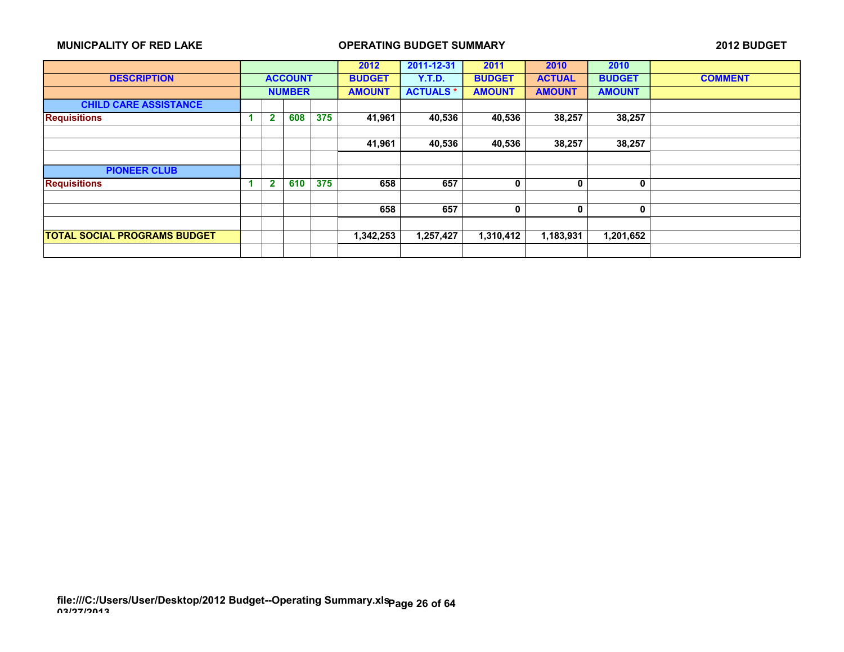|                                     |                |                |     | 2012          | 2011-12-31      | 2011          | 2010          | 2010          |                |
|-------------------------------------|----------------|----------------|-----|---------------|-----------------|---------------|---------------|---------------|----------------|
| <b>DESCRIPTION</b>                  |                | <b>ACCOUNT</b> |     | <b>BUDGET</b> | <b>Y.T.D.</b>   | <b>BUDGET</b> | <b>ACTUAL</b> | <b>BUDGET</b> | <b>COMMENT</b> |
|                                     | <b>NUMBER</b>  |                |     | <b>AMOUNT</b> | <b>ACTUALS*</b> | <b>AMOUNT</b> | <b>AMOUNT</b> | <b>AMOUNT</b> |                |
| <b>CHILD CARE ASSISTANCE</b>        |                |                |     |               |                 |               |               |               |                |
| <b>Requisitions</b>                 | $\overline{2}$ | 608            | 375 | 41,961        | 40,536          | 40,536        | 38,257        | 38,257        |                |
|                                     |                |                |     |               |                 |               |               |               |                |
|                                     |                |                |     | 41,961        | 40,536          | 40,536        | 38,257        | 38,257        |                |
|                                     |                |                |     |               |                 |               |               |               |                |
| <b>PIONEER CLUB</b>                 |                |                |     |               |                 |               |               |               |                |
| <b>Requisitions</b>                 | $\overline{2}$ | 610            | 375 | 658           | 657             | 0             | 0             | 0             |                |
|                                     |                |                |     |               |                 |               |               |               |                |
|                                     |                |                |     | 658           | 657             | 0             | 0             | $\mathbf{0}$  |                |
|                                     |                |                |     |               |                 |               |               |               |                |
| <b>TOTAL SOCIAL PROGRAMS BUDGET</b> |                |                |     | 1,342,253     | 1,257,427       | 1,310,412     | 1,183,931     | 1,201,652     |                |
|                                     |                |                |     |               |                 |               |               |               |                |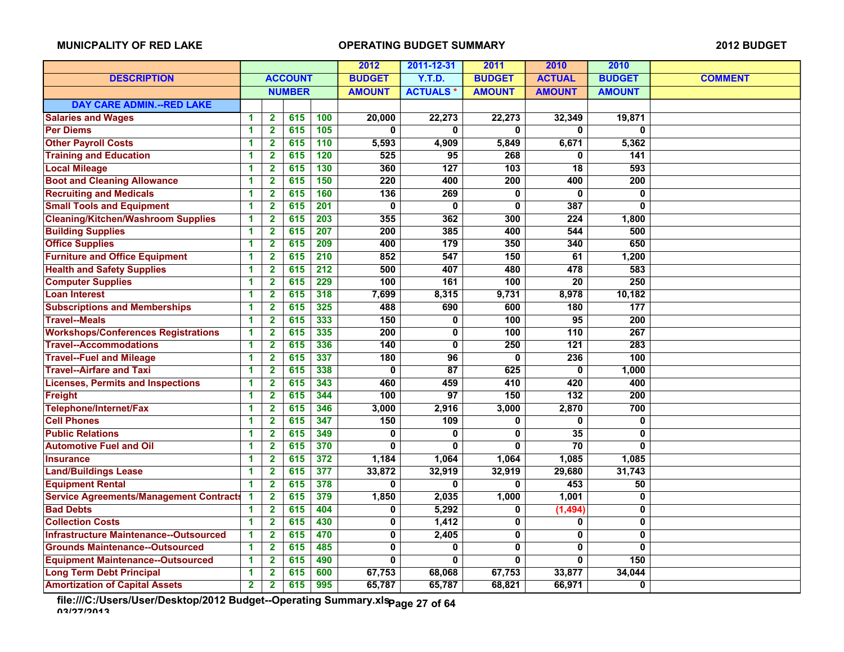|                                                |                      |                         |                |                  | 2012                    | 2011-12-31      | 2011           | 2010             | 2010           |                |
|------------------------------------------------|----------------------|-------------------------|----------------|------------------|-------------------------|-----------------|----------------|------------------|----------------|----------------|
| <b>DESCRIPTION</b>                             |                      |                         | <b>ACCOUNT</b> |                  | <b>BUDGET</b>           | <b>Y.T.D.</b>   | <b>BUDGET</b>  | <b>ACTUAL</b>    | <b>BUDGET</b>  | <b>COMMENT</b> |
|                                                |                      |                         | <b>NUMBER</b>  |                  | <b>AMOUNT</b>           | <b>ACTUALS*</b> | <b>AMOUNT</b>  | <b>AMOUNT</b>    | <b>AMOUNT</b>  |                |
| <b>DAY CARE ADMIN.--RED LAKE</b>               |                      |                         |                |                  |                         |                 |                |                  |                |                |
| <b>Salaries and Wages</b>                      | 1                    | $\mathbf{2}$            | 615            | 100              | 20,000                  | 22,273          | 22,273         | 32,349           | 19,871         |                |
| <b>Per Diems</b>                               | 1                    | $\overline{2}$          | 615            | 105              | $\bf{0}$                | $\mathbf{0}$    | 0              | $\mathbf{0}$     | $\mathbf{0}$   |                |
| <b>Other Payroll Costs</b>                     | 1                    | $\overline{2}$          | 615            | 110              | 5,593                   | 4,909           | 5,849          | 6,671            | 5,362          |                |
| <b>Training and Education</b>                  | 1                    | $\overline{\mathbf{2}}$ | 615            | 120              | 525                     | 95              | 268            | 0                | 141            |                |
| <b>Local Mileage</b>                           | 1                    | $\mathbf{2}$            | 615            | $\overline{130}$ | 360                     | 127             | 103            | 18               | 593            |                |
| <b>Boot and Cleaning Allowance</b>             | 1                    | $\mathbf{2}$            | 615            | 150              | $\overline{220}$        | 400             | 200            | 400              | 200            |                |
| <b>Recruiting and Medicals</b>                 | 1                    | $\overline{\mathbf{2}}$ | 615            | 160              | 136                     | 269             | 0              | $\mathbf{0}$     | 0              |                |
| <b>Small Tools and Equipment</b>               | 1                    | $\overline{2}$          | 615            | $\overline{201}$ | 0                       | $\bf{0}$        | 0              | 387              | $\mathbf{0}$   |                |
| <b>Cleaning/Kitchen/Washroom Supplies</b>      | 1                    | $\overline{2}$          | 615            | $\overline{203}$ | 355                     | 362             | 300            | 224              | 1,800          |                |
| <b>Building Supplies</b>                       | 1                    | $\mathbf{2}$            | 615            | 207              | 200                     | 385             | 400            | 544              | 500            |                |
| <b>Office Supplies</b>                         | 1                    | $\overline{\mathbf{2}}$ | 615            | 209              | 400                     | 179             | 350            | 340              | 650            |                |
| <b>Furniture and Office Equipment</b>          | 1                    | $\overline{\mathbf{2}}$ | 615            | $\overline{210}$ | 852                     | 547             | 150            | 61               | 1,200          |                |
| <b>Health and Safety Supplies</b>              | 1                    | $\overline{\mathbf{2}}$ | 615            | $\overline{212}$ | 500                     | 407             | 480            | 478              | 583            |                |
| <b>Computer Supplies</b>                       | 1                    | $\mathbf{2}$            | 615            | 229              | 100                     | 161             | 100            | 20               | 250            |                |
| <b>Loan Interest</b>                           | 1                    | $\mathbf{2}$            | 615            | 318              | 7,699                   | 8,315           | 9,731          | 8,978            | 10,182         |                |
| <b>Subscriptions and Memberships</b>           | 1                    | $\mathbf 2$             | 615            | 325              | 488                     | 690             | 600            | 180              | 177            |                |
| <b>Travel--Meals</b>                           | 1                    | $\overline{\mathbf{2}}$ | 615            | 333              | 150                     | $\mathbf 0$     | 100            | $\overline{95}$  | 200            |                |
| <b>Workshops/Conferences Registrations</b>     | 1                    | $\overline{2}$          | 615            | 335              | 200                     | $\mathbf 0$     | 100            | 110              | 267            |                |
| <b>Travel--Accommodations</b>                  | 1                    | $\mathbf{2}$            | 615            | 336              | 140                     | $\mathbf 0$     | 250            | $121$            | 283            |                |
| <b>Travel--Fuel and Mileage</b>                | 1                    | $\mathbf{2}$            | 615            | 337              | 180                     | 96              | $\mathbf{0}$   | 236              | 100            |                |
| <b>Travel--Airfare and Taxi</b>                | 1                    | $\mathbf{2}$            | 615            | 338              | $\overline{0}$          | $\overline{87}$ | 625            | $\overline{0}$   | 1,000          |                |
| <b>Licenses, Permits and Inspections</b>       | 1                    | $\mathbf{2}$            | 615            | 343              | 460                     | 459             | 410            | 420              | 400            |                |
| <b>Freight</b>                                 | 1                    | $\mathbf 2$             | 615            | 344              | 100                     | 97              | 150            | $\overline{132}$ | 200            |                |
| Telephone/Internet/Fax                         | 1                    | $\mathbf{2}$            | 615            | 346              | 3,000                   | 2,916           | 3,000          | 2,870            | 700            |                |
| <b>Cell Phones</b>                             | 1                    | $\overline{\mathbf{2}}$ | 615            | 347              | 150                     | 109             | 0              | $\mathbf{0}$     | 0              |                |
| <b>Public Relations</b>                        | 1                    | $\mathbf{2}$            | 615            | 349              | 0                       | $\bf{0}$        | 0              | $\overline{35}$  | 0              |                |
| <b>Automotive Fuel and Oil</b>                 | 1                    | $\overline{\mathbf{2}}$ | 615            | 370              | $\Omega$                | $\mathbf{0}$    | 0              | 70               | $\mathbf{0}$   |                |
| <b>Insurance</b>                               | 1                    | $\mathbf{2}$            | 615            | 372              | 1,184                   | 1,064           | 1,064          | 1,085            | 1,085          |                |
| <b>Land/Buildings Lease</b>                    | 1                    | $\mathbf{2}$            | 615            | 377              | 33,872                  | 32,919          | 32,919         | 29,680           | 31,743         |                |
| <b>Equipment Rental</b>                        | 1                    | $\overline{\mathbf{2}}$ | 615            | 378              | 0                       | $\mathbf{0}$    | 0              | 453              | 50             |                |
| <b>Service Agreements/Management Contracts</b> | $\blacktriangleleft$ | $\overline{\mathbf{2}}$ | 615            | 379              | 1,850                   | 2,035           | 1,000          | 1,001            | 0              |                |
| <b>Bad Debts</b>                               | 1                    | $\overline{\mathbf{2}}$ | 615            | 404              | 0                       | 5,292           | 0              | (1, 494)         | 0              |                |
| <b>Collection Costs</b>                        | 1                    | $\mathbf{2}$            | 615            | 430              | 0                       | 1,412           | 0              | 0                | 0              |                |
| <b>Infrastructure Maintenance--Outsourced</b>  | 1                    | $\overline{2}$          | 615            | 470              | $\mathbf 0$             | 2,405           | 0              | 0                | 0              |                |
| <b>Grounds Maintenance--Outsourced</b>         | 1                    | $\overline{2}$          | 615            | 485              | $\overline{\mathbf{0}}$ | $\overline{0}$  | $\overline{0}$ | $\overline{0}$   | $\overline{0}$ |                |
| <b>Equipment Maintenance--Outsourced</b>       | 1                    | $\overline{\mathbf{2}}$ | 615            | 490              | O                       | $\bf{0}$        | 0              | 0                | 150            |                |
| <b>Long Term Debt Principal</b>                | 1                    | $\mathbf{2}$            | 615            | 600              | 67,753                  | 68,068          | 67,753         | 33,877           | 34,044         |                |
| <b>Amortization of Capital Assets</b>          | $\mathbf{2}$         | $\overline{2}$          | 615            | 995              | 65,787                  | 65,787          | 68,821         | 66,971           | 0              |                |

**file:///C:/Users/User/Desktop/2012 Budget--Operating Summary.xls 03/27/2013 Page 27 of 64**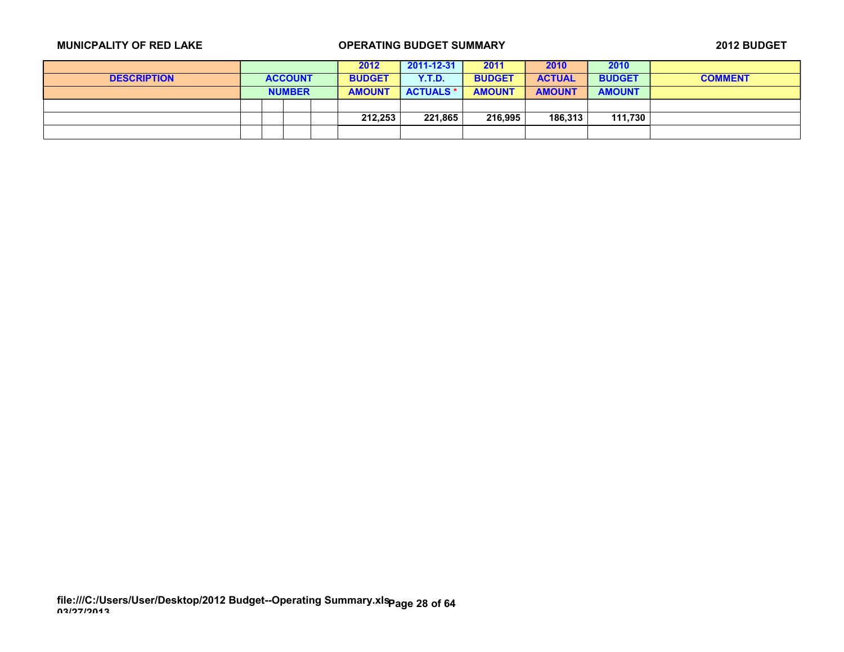|                    |  |                | 2012          | 2011-12-31       | 2011          | 2010          | 2010          |                |
|--------------------|--|----------------|---------------|------------------|---------------|---------------|---------------|----------------|
| <b>DESCRIPTION</b> |  | <b>ACCOUNT</b> | <b>BUDGET</b> | <b>Y.T.D.</b>    | <b>BUDGET</b> | <b>ACTUAL</b> | <b>BUDGET</b> | <b>COMMENT</b> |
|                    |  | <b>NUMBER</b>  | <b>AMOUNT</b> | <b>ACTUALS *</b> | <b>AMOUNT</b> | <b>AMOUNT</b> | <b>AMOUNT</b> |                |
|                    |  |                |               |                  |               |               |               |                |
|                    |  |                | 212,253       | 221,865          | 216,995       | 186,313       | 111,730       |                |
|                    |  |                |               |                  |               |               |               |                |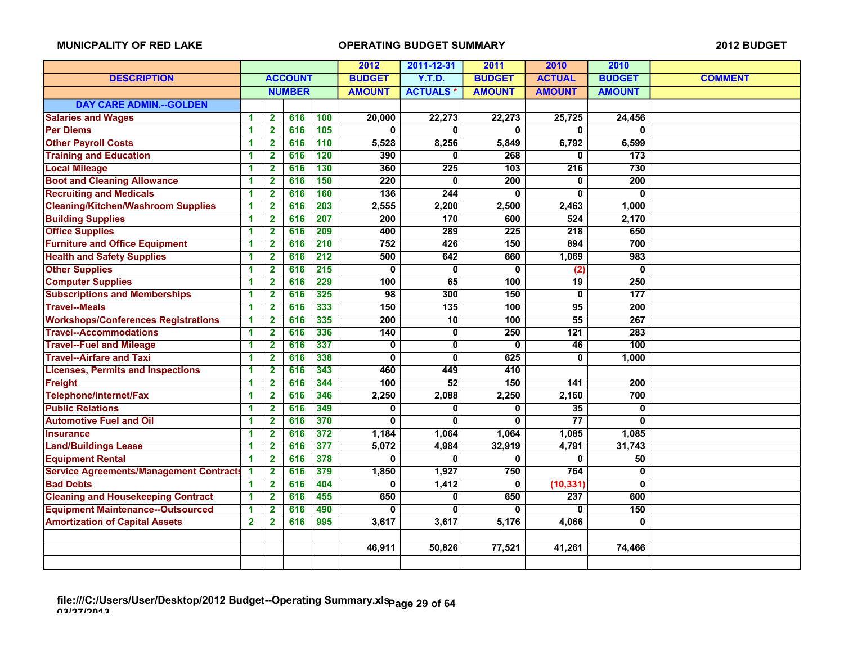|                                                |                |                         |                |                  | 2012             | 2011-12-31       | 2011             | 2010             | 2010             |                |
|------------------------------------------------|----------------|-------------------------|----------------|------------------|------------------|------------------|------------------|------------------|------------------|----------------|
| <b>DESCRIPTION</b>                             |                |                         | <b>ACCOUNT</b> |                  | <b>BUDGET</b>    | <b>Y.T.D.</b>    | <b>BUDGET</b>    | <b>ACTUAL</b>    | <b>BUDGET</b>    | <b>COMMENT</b> |
|                                                |                |                         | <b>NUMBER</b>  |                  | <b>AMOUNT</b>    | <b>ACTUALS*</b>  | <b>AMOUNT</b>    | <b>AMOUNT</b>    | <b>AMOUNT</b>    |                |
| <b>DAY CARE ADMIN.--GOLDEN</b>                 |                |                         |                |                  |                  |                  |                  |                  |                  |                |
| <b>Salaries and Wages</b>                      | 1              | $\overline{\mathbf{2}}$ | 616            | 100              | 20,000           | 22,273           | 22,273           | 25,725           | 24,456           |                |
| <b>Per Diems</b>                               | 1              | $\overline{\mathbf{2}}$ | 616            | 105              | 0                | $\bf{0}$         | 0                | 0                | 0                |                |
| <b>Other Payroll Costs</b>                     | 1              | $\overline{\mathbf{2}}$ | 616            | 110              | 5,528            | 8,256            | 5,849            | 6,792            | 6,599            |                |
| <b>Training and Education</b>                  | 1              | $\overline{\mathbf{2}}$ | 616            | 120              | 390              | $\mathbf{0}$     | 268              | 0                | 173              |                |
| <b>Local Mileage</b>                           | 1              | $\overline{2}$          | 616            | 130              | 360              | $\overline{225}$ | 103              | $\overline{216}$ | 730              |                |
| <b>Boot and Cleaning Allowance</b>             | 1              | $\overline{\mathbf{2}}$ | 616            | 150              | $\overline{220}$ | 0                | 200              | 0                | 200              |                |
| <b>Recruiting and Medicals</b>                 | 1              | $\overline{\mathbf{2}}$ | 616            | 160              | 136              | 244              | $\mathbf{0}$     | 0                | $\bf{0}$         |                |
| <b>Cleaning/Kitchen/Washroom Supplies</b>      | 1              | $\overline{\mathbf{2}}$ | 616            | 203              | 2,555            | 2,200            | 2,500            | 2,463            | 1,000            |                |
| <b>Building Supplies</b>                       | 1              | $\overline{\mathbf{2}}$ | 616            | 207              | 200              | 170              | 600              | 524              | 2,170            |                |
| <b>Office Supplies</b>                         | 1              | $\overline{2}$          | 616            | 209              | 400              | 289              | 225              | 218              | 650              |                |
| <b>Furniture and Office Equipment</b>          | 1              | $\overline{\mathbf{2}}$ | 616            | 210              | 752              | 426              | 150              | 894              | 700              |                |
| <b>Health and Safety Supplies</b>              | 1              | $\overline{\mathbf{2}}$ | 616            | $\overline{212}$ | 500              | 642              | 660              | 1,069            | 983              |                |
| <b>Other Supplies</b>                          | 1              | $\mathbf{2}$            | 616            | $\overline{215}$ | $\mathbf{0}$     | $\bf{0}$         | $\mathbf{0}$     | $\overline{(2)}$ | 0                |                |
| <b>Computer Supplies</b>                       | 1              | $\overline{2}$          | 616            | 229              | 100              | 65               | 100              | $\overline{19}$  | 250              |                |
| <b>Subscriptions and Memberships</b>           | 1              | $\overline{\mathbf{2}}$ | 616            | 325              | 98               | 300              | 150              | 0                | 177              |                |
| <b>Travel--Meals</b>                           | 1              | 2                       | 616            | 333              | 150              | 135              | 100              | 95               | 200              |                |
| <b>Workshops/Conferences Registrations</b>     | 1              | $\overline{2}$          | 616            | 335              | $\overline{200}$ | 10               | 100              | $\overline{55}$  | 267              |                |
| <b>Travel--Accommodations</b>                  | 1              | $\overline{2}$          | 616            | 336              | 140              | $\mathbf 0$      | $\overline{250}$ | 121              | $\overline{283}$ |                |
| <b>Travel--Fuel and Mileage</b>                | 1              | $\overline{\mathbf{2}}$ | 616            | 337              | 0                | 0                | 0                | 46               | 100              |                |
| <b>Travel--Airfare and Taxi</b>                | 1              | $\mathbf{2}$            | 616            | 338              | 0                | $\bf{0}$         | 625              | 0                | 1,000            |                |
| <b>Licenses, Permits and Inspections</b>       | 1              | $\overline{2}$          | 616            | 343              | 460              | 449              | 410              |                  |                  |                |
| Freight                                        | 1              | $\overline{2}$          | 616            | 344              | 100              | 52               | 150              | 141              | 200              |                |
| Telephone/Internet/Fax                         | 1              | $\mathbf{2}$            | 616            | 346              | 2,250            | 2,088            | 2,250            | 2,160            | 700              |                |
| <b>Public Relations</b>                        | 1              | $\mathbf{2}$            | 616            | 349              | 0                | 0                | $\mathbf 0$      | 35               | 0                |                |
| <b>Automotive Fuel and Oil</b>                 | 1              | $\mathbf{2}$            | 616            | 370              | $\mathbf{0}$     | $\mathbf{0}$     | 0                | $\overline{77}$  | 0                |                |
| <b>Insurance</b>                               | 1              | $\overline{2}$          | 616            | 372              | 1,184            | 1,064            | 1,064            | 1,085            | 1,085            |                |
| <b>Land/Buildings Lease</b>                    | 1              | $\mathbf{2}$            | 616            | 377              | 5,072            | 4,984            | 32,919           | 4,791            | 31,743           |                |
| <b>Equipment Rental</b>                        | 1              | $\overline{2}$          | 616            | 378              | $\bf{0}$         | 0                | $\mathbf{0}$     | 0                | 50               |                |
| <b>Service Agreements/Management Contracts</b> | 1              | $\overline{2}$          | 616            | 379              | 1,850            | 1,927            | 750              | 764              | 0                |                |
| <b>Bad Debts</b>                               | 1              | 2                       | 616            | 404              | 0                | 1,412            | 0                | (10, 331)        | 0                |                |
| <b>Cleaning and Housekeeping Contract</b>      | 1              | $\overline{\mathbf{2}}$ | 616            | 455              | 650              | 0                | 650              | $\overline{237}$ | 600              |                |
| <b>Equipment Maintenance--Outsourced</b>       | 1              | $\overline{2}$          | 616            | 490              | 0                | 0                | $\mathbf{0}$     | 0                | 150              |                |
| <b>Amortization of Capital Assets</b>          | $\overline{2}$ | $\overline{\mathbf{2}}$ | 616            | 995              | 3,617            | 3,617            | 5,176            | 4,066            | $\mathbf{0}$     |                |
|                                                |                |                         |                |                  |                  |                  |                  |                  |                  |                |
|                                                |                |                         |                |                  | 46,911           | 50,826           | 77,521           | 41,261           | 74,466           |                |
|                                                |                |                         |                |                  |                  |                  |                  |                  |                  |                |
|                                                |                |                         |                |                  |                  |                  |                  |                  |                  |                |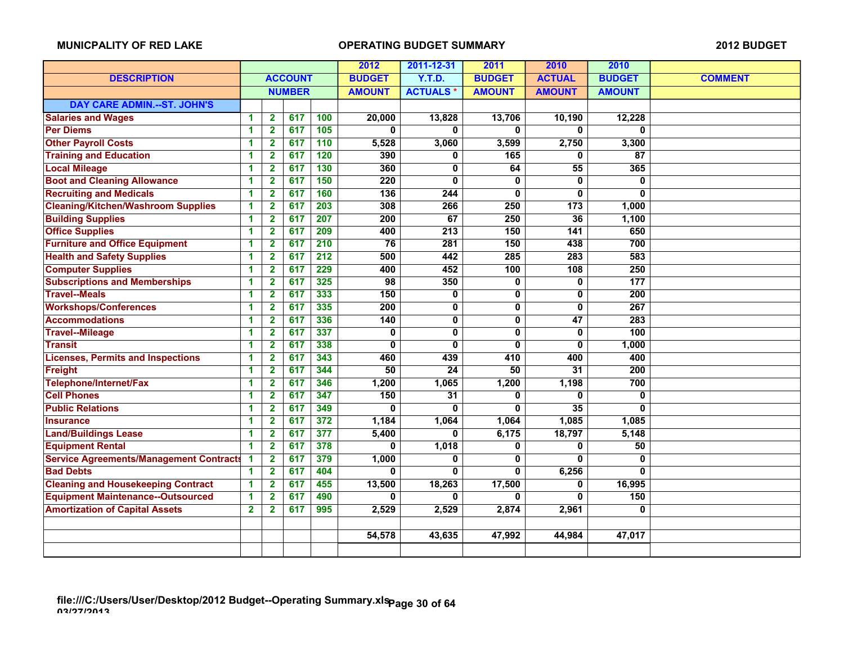|                                                |                      |                         |                |                  | 2012             | 2011-12-31       | 2011          | 2010             | 2010             |                |
|------------------------------------------------|----------------------|-------------------------|----------------|------------------|------------------|------------------|---------------|------------------|------------------|----------------|
| <b>DESCRIPTION</b>                             |                      |                         | <b>ACCOUNT</b> |                  | <b>BUDGET</b>    | <b>Y.T.D.</b>    | <b>BUDGET</b> | <b>ACTUAL</b>    | <b>BUDGET</b>    | <b>COMMENT</b> |
|                                                |                      |                         | <b>NUMBER</b>  |                  | <b>AMOUNT</b>    | <b>ACTUALS*</b>  | <b>AMOUNT</b> | <b>AMOUNT</b>    | <b>AMOUNT</b>    |                |
| <b>DAY CARE ADMIN.--ST. JOHN'S</b>             |                      |                         |                |                  |                  |                  |               |                  |                  |                |
| <b>Salaries and Wages</b>                      | $\blacktriangleleft$ | $\overline{2}$          | 617            | 100              | 20,000           | 13,828           | 13,706        | 10,190           | 12,228           |                |
| <b>Per Diems</b>                               | 1                    | $\overline{\mathbf{2}}$ | 617            | 105              | 0                | U                | $\mathbf{0}$  | 0                | 0                |                |
| <b>Other Payroll Costs</b>                     | 1                    | $\overline{2}$          | 617            | 110              | 5,528            | 3,060            | 3,599         | 2,750            | 3,300            |                |
| <b>Training and Education</b>                  | 1                    | $\overline{\mathbf{2}}$ | 617            | 120              | 390              | 0                | 165           | 0                | 87               |                |
| <b>Local Mileage</b>                           | 1                    | $\overline{\mathbf{2}}$ | 617            | 130              | 360              | 0                | 64            | 55               | 365              |                |
| <b>Boot and Cleaning Allowance</b>             | 1                    | 2                       | 617            | 150              | 220              | 0                | 0             | 0                | 0                |                |
| <b>Recruiting and Medicals</b>                 | 1                    | 2                       | 617            | 160              | $\overline{136}$ | 244              | 0             | 0                | 0                |                |
| <b>Cleaning/Kitchen/Washroom Supplies</b>      | 1                    | $\overline{\mathbf{2}}$ | 617            | $\overline{203}$ | 308              | 266              | 250           | $\overline{173}$ | 1,000            |                |
| <b>Building Supplies</b>                       | 1                    | $\overline{2}$          | 617            | 207              | $\overline{200}$ | 67               | 250           | 36               | 1,100            |                |
| <b>Office Supplies</b>                         | 1                    | $\overline{\mathbf{2}}$ | 617            | 209              | 400              | 213              | 150           | 141              | 650              |                |
| <b>Furniture and Office Equipment</b>          | 1                    | $\overline{\mathbf{2}}$ | 617            | $\overline{210}$ | $\overline{76}$  | $\overline{281}$ | 150           | 438              | 700              |                |
| <b>Health and Safety Supplies</b>              | 1                    | $\mathbf{2}$            | 617            | 212              | 500              | 442              | 285           | 283              | 583              |                |
| <b>Computer Supplies</b>                       | 1                    | $\overline{\mathbf{2}}$ | 617            | 229              | 400              | 452              | 100           | 108              | 250              |                |
| <b>Subscriptions and Memberships</b>           | 1                    | $\overline{\mathbf{2}}$ | 617            | 325              | $\overline{98}$  | 350              | $\mathbf 0$   | 0                | 177              |                |
| <b>Travel--Meals</b>                           | 1                    | $\overline{\mathbf{2}}$ | 617            | 333              | 150              | 0                | $\mathbf 0$   | 0                | 200              |                |
| <b>Workshops/Conferences</b>                   | 1                    | 2                       | 617            | 335              | 200              | 0                | 0             | 0                | 267              |                |
| <b>Accommodations</b>                          | 1                    | $\mathbf{2}$            | 617            | 336              | 140              | 0                | $\mathbf{0}$  | 47               | 283              |                |
| <b>Travel--Mileage</b>                         | 1                    | $\mathbf{2}$            | 617            | 337              | 0                | $\mathbf 0$      | $\mathbf 0$   | 0                | 100              |                |
| <b>Transit</b>                                 | 1                    | $\overline{\mathbf{2}}$ | 617            | 338              | 0                | $\mathbf{0}$     | 0             | 0                | 1,000            |                |
| <b>Licenses, Permits and Inspections</b>       | 1                    | $\overline{\mathbf{2}}$ | 617            | 343              | 460              | 439              | 410           | 400              | 400              |                |
| <b>Freight</b>                                 | 1                    | $\overline{2}$          | 617            | 344              | 50               | 24               | 50            | $\overline{31}$  | $\overline{200}$ |                |
| Telephone/Internet/Fax                         | 1                    | $\mathbf{2}$            | 617            | 346              | 1,200            | 1,065            | 1,200         | 1,198            | 700              |                |
| <b>Cell Phones</b>                             | 1                    | $\overline{\mathbf{2}}$ | 617            | 347              | 150              | $\overline{31}$  | $\mathbf{0}$  | 0                | 0                |                |
| <b>Public Relations</b>                        | 1                    | $\overline{\mathbf{2}}$ | 617            | 349              | $\Omega$         | 0                | $\mathbf{0}$  | 35               | $\mathbf{0}$     |                |
| <b>Insurance</b>                               | 1                    | $\overline{\mathbf{2}}$ | 617            | 372              | 1,184            | 1,064            | 1,064         | 1,085            | 1,085            |                |
| <b>Land/Buildings Lease</b>                    | 1                    | $\overline{\mathbf{2}}$ | 617            | 377              | 5,400            | 0                | 6,175         | 18,797           | 5,148            |                |
| <b>Equipment Rental</b>                        | 1                    | $\mathbf{2}$            | 617            | 378              | 0                | 1,018            | 0             | 0                | 50               |                |
| <b>Service Agreements/Management Contracts</b> | 1                    | $\overline{\mathbf{2}}$ | 617            | 379              | 1,000            | 0                | 0             | 0                | 0                |                |
| <b>Bad Debts</b>                               | 1                    | $\overline{\mathbf{2}}$ | 617            | 404              | 0                | 0                | $\mathbf{0}$  | 6,256            | 0                |                |
| <b>Cleaning and Housekeeping Contract</b>      | 1                    | $\overline{2}$          | 617            | 455              | 13,500           | 18,263           | 17,500        | 0                | 16,995           |                |
| <b>Equipment Maintenance--Outsourced</b>       | 1                    | $\overline{\mathbf{2}}$ | 617            | 490              | 0                | 0                | $\mathbf{0}$  | 0                | 150              |                |
| <b>Amortization of Capital Assets</b>          | $\mathbf{2}$         | $\mathbf{2}$            | 617            | 995              | 2,529            | 2,529            | 2,874         | 2,961            | 0                |                |
|                                                |                      |                         |                |                  |                  |                  |               |                  |                  |                |
|                                                |                      |                         |                |                  | 54,578           | 43,635           | 47,992        | 44,984           | 47,017           |                |
|                                                |                      |                         |                |                  |                  |                  |               |                  |                  |                |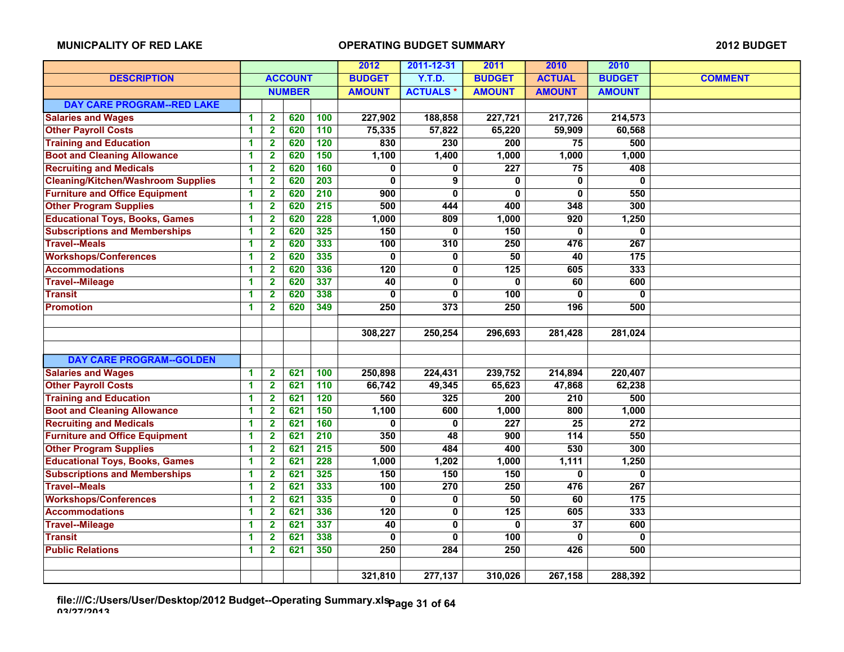|                                           |   |                         |                |                  | 2012            | 2011-12-31      | 2011             | 2010             | 2010             |                |
|-------------------------------------------|---|-------------------------|----------------|------------------|-----------------|-----------------|------------------|------------------|------------------|----------------|
| <b>DESCRIPTION</b>                        |   |                         | <b>ACCOUNT</b> |                  | <b>BUDGET</b>   | <b>Y.T.D.</b>   | <b>BUDGET</b>    | <b>ACTUAL</b>    | <b>BUDGET</b>    | <b>COMMENT</b> |
|                                           |   |                         | <b>NUMBER</b>  |                  | <b>AMOUNT</b>   | <b>ACTUALS*</b> | <b>AMOUNT</b>    | <b>AMOUNT</b>    | <b>AMOUNT</b>    |                |
| <b>DAY CARE PROGRAM--RED LAKE</b>         |   |                         |                |                  |                 |                 |                  |                  |                  |                |
| <b>Salaries and Wages</b>                 | 1 | $\mathbf{2}$            | 620            | 100              | 227,902         | 188,858         | 227,721          | 217,726          | 214,573          |                |
| <b>Other Payroll Costs</b>                | 1 | $\overline{\mathbf{2}}$ | 620            | 110              | 75,335          | 57,822          | 65,220           | 59,909           | 60,568           |                |
| <b>Training and Education</b>             | 1 | $\overline{\mathbf{2}}$ | 620            | $\overline{120}$ | 830             | 230             | 200              | $\overline{75}$  | 500              |                |
| <b>Boot and Cleaning Allowance</b>        | 1 | $\overline{\mathbf{2}}$ | 620            | 150              | 1,100           | 1,400           | 1,000            | 1,000            | 1,000            |                |
| <b>Recruiting and Medicals</b>            | 1 | $\overline{2}$          | 620            | 160              | 0               | $\bf{0}$        | $\overline{227}$ | 75               | 408              |                |
| <b>Cleaning/Kitchen/Washroom Supplies</b> | 1 | $\overline{2}$          | 620            | 203              | 0               | 9               | 0                | 0                | 0                |                |
| <b>Furniture and Office Equipment</b>     | 1 | $\mathbf{2}$            | 620            | 210              | 900             | 0               | 0                | 0                | 550              |                |
| <b>Other Program Supplies</b>             | 1 | $\overline{2}$          | 620            | $\overline{215}$ | 500             | 444             | 400              | 348              | 300              |                |
| <b>Educational Toys, Books, Games</b>     | 1 | $\overline{\mathbf{2}}$ | 620            | 228              | 1,000           | 809             | 1,000            | 920              | 1,250            |                |
| <b>Subscriptions and Memberships</b>      | 1 | $\overline{\mathbf{2}}$ | 620            | 325              | 150             | $\bf{0}$        | 150              | 0                | 0                |                |
| <b>Travel--Meals</b>                      | 1 | $\overline{\mathbf{2}}$ | 620            | 333              | 100             | 310             | $\overline{250}$ | 476              | 267              |                |
| <b>Workshops/Conferences</b>              | 1 | $\overline{\mathbf{2}}$ | 620            | 335              | 0               | 0               | 50               | 40               | 175              |                |
| <b>Accommodations</b>                     | 1 | $\mathbf{2}$            | 620            | 336              | 120             | 0               | 125              | 605              | 333              |                |
| <b>Travel--Mileage</b>                    | 1 | $\mathbf{2}$            | 620            | 337              | $\overline{40}$ | $\bf{0}$        | 0                | 60               | 600              |                |
| <b>Transit</b>                            | 1 | $\overline{\mathbf{2}}$ | 620            | 338              | 0               | $\bf{0}$        | 100              | 0                | 0                |                |
| <b>Promotion</b>                          | 1 | $\overline{\mathbf{2}}$ | 620            | 349              | 250             | 373             | 250              | 196              | 500              |                |
|                                           |   |                         |                |                  |                 |                 |                  |                  |                  |                |
|                                           |   |                         |                |                  | 308,227         | 250,254         | 296,693          | 281,428          | 281,024          |                |
|                                           |   |                         |                |                  |                 |                 |                  |                  |                  |                |
| <b>DAY CARE PROGRAM--GOLDEN</b>           |   |                         |                |                  |                 |                 |                  |                  |                  |                |
| <b>Salaries and Wages</b>                 | 1 | $\mathbf 2$             | 621            | 100              | 250,898         | 224,431         | 239,752          | 214,894          | 220,407          |                |
| <b>Other Payroll Costs</b>                | 1 | $\overline{\mathbf{2}}$ | 621            | 110              | 66,742          | 49,345          | 65,623           | 47,868           | 62,238           |                |
| <b>Training and Education</b>             | 1 | $\overline{\mathbf{2}}$ | 621            | 120              | 560             | 325             | 200              | 210              | 500              |                |
| <b>Boot and Cleaning Allowance</b>        | 1 | $\overline{\mathbf{2}}$ | 621            | 150              | 1,100           | 600             | 1,000            | 800              | 1,000            |                |
| <b>Recruiting and Medicals</b>            | 1 | $\mathbf{2}$            | 621            | 160              | 0               | $\mathbf 0$     | $\overline{227}$ | $\overline{25}$  | $\overline{272}$ |                |
| <b>Furniture and Office Equipment</b>     | 1 | $\overline{\mathbf{2}}$ | 621            | $\overline{210}$ | 350             | 48              | 900              | $\overline{114}$ | 550              |                |
| <b>Other Program Supplies</b>             | 1 | $\overline{\mathbf{2}}$ | 621            | $\overline{215}$ | 500             | 484             | 400              | 530              | 300              |                |
| <b>Educational Toys, Books, Games</b>     | 1 | $\overline{2}$          | 621            | 228              | 1,000           | 1,202           | 1,000            | 1,111            | 1,250            |                |
| <b>Subscriptions and Memberships</b>      | 1 | $\mathbf{2}$            | 621            | 325              | 150             | 150             | 150              | 0                | 0                |                |
| <b>Travel--Meals</b>                      | 1 | $\overline{\mathbf{2}}$ | 621            | 333              | 100             | 270             | 250              | 476              | 267              |                |
| <b>Workshops/Conferences</b>              | 1 | $\overline{2}$          | 621            | 335              | 0               | 0               | 50               | 60               | $\overline{175}$ |                |
| <b>Accommodations</b>                     | 1 | $\mathbf{2}$            | 621            | 336              | 120             | $\pmb{0}$       | 125              | 605              | 333              |                |
| <b>Travel--Mileage</b>                    | 1 | $\overline{\mathbf{2}}$ | 621            | 337              | $\overline{40}$ | $\mathbf 0$     | 0                | $\overline{37}$  | 600              |                |
| <b>Transit</b>                            | 1 | $\mathbf{2}$            | 621            | 338              | 0               | 0               | 100              | 0                | 0                |                |
| <b>Public Relations</b>                   | 1 | $\overline{\mathbf{2}}$ | 621            | 350              | 250             | 284             | $\overline{250}$ | 426              | 500              |                |
|                                           |   |                         |                |                  |                 |                 |                  |                  |                  |                |
|                                           |   |                         |                |                  | 321,810         | 277,137         | 310,026          | 267,158          | 288,392          |                |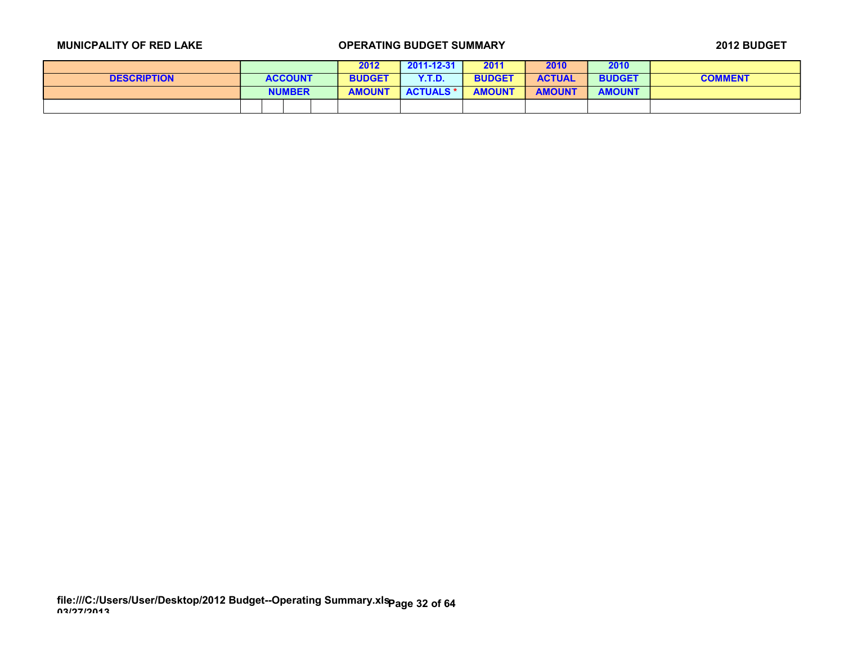|                    |                | 2012          | $2011 - 12 - 31$ | 2011          | 2010          | 2010          |                |
|--------------------|----------------|---------------|------------------|---------------|---------------|---------------|----------------|
| <b>DESCRIPTION</b> | <b>ACCOUNT</b> | <b>BUDGET</b> | Y.T.D.           | <b>BUDGET</b> | <b>ACTUAL</b> | <b>BUDGET</b> | <b>COMMENT</b> |
|                    | <b>NUMBER</b>  | <b>AMOUNT</b> | <b>ACTUALS *</b> | <b>AMOUNT</b> | <b>AMOUNT</b> | <b>AMOUNT</b> |                |
|                    |                |               |                  |               |               |               |                |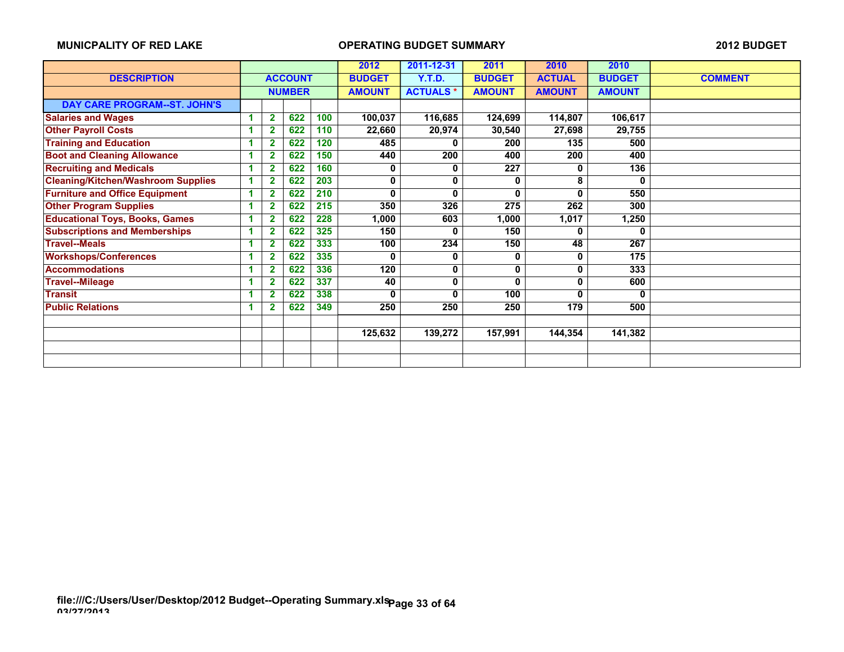|                                           |   |                |                |     | 2012          | 2011-12-31      | 2011             | 2010          | 2010          |                |
|-------------------------------------------|---|----------------|----------------|-----|---------------|-----------------|------------------|---------------|---------------|----------------|
| <b>DESCRIPTION</b>                        |   |                | <b>ACCOUNT</b> |     | <b>BUDGET</b> | Y.T.D.          | <b>BUDGET</b>    | <b>ACTUAL</b> | <b>BUDGET</b> | <b>COMMENT</b> |
|                                           |   |                | <b>NUMBER</b>  |     | <b>AMOUNT</b> | <b>ACTUALS*</b> | <b>AMOUNT</b>    | <b>AMOUNT</b> | <b>AMOUNT</b> |                |
| DAY CARE PROGRAM--ST. JOHN'S              |   |                |                |     |               |                 |                  |               |               |                |
| <b>Salaries and Wages</b>                 |   | $\mathbf{2}$   | 622            | 100 | 100,037       | 116,685         | 124,699          | 114,807       | 106,617       |                |
| <b>Other Payroll Costs</b>                |   | $\overline{2}$ | 622            | 110 | 22,660        | 20,974          | 30,540           | 27,698        | 29,755        |                |
| <b>Training and Education</b>             |   | $\mathbf{2}$   | 622            | 120 | 485           |                 | 200              | 135           | 500           |                |
| <b>Boot and Cleaning Allowance</b>        |   | $\mathbf{2}$   | 622            | 150 | 440           | 200             | 400              | 200           | 400           |                |
| <b>Recruiting and Medicals</b>            |   | $\overline{2}$ | 622            | 160 | 0             | 0               | $\overline{227}$ | 0             | 136           |                |
| <b>Cleaning/Kitchen/Washroom Supplies</b> |   | $\overline{2}$ | 622            | 203 | 0             | 0               | 0                | 8             | 0             |                |
| <b>Furniture and Office Equipment</b>     | 1 | $\mathbf{2}$   | 622            | 210 | 0             | 0               | 0                | 0             | 550           |                |
| <b>Other Program Supplies</b>             |   | $\mathbf 2$    | 622            | 215 | 350           | 326             | 275              | 262           | 300           |                |
| <b>Educational Toys, Books, Games</b>     |   | $\mathbf{2}$   | 622            | 228 | 1,000         | 603             | 1,000            | 1,017         | 1,250         |                |
| <b>Subscriptions and Memberships</b>      |   | $\mathbf{2}$   | 622            | 325 | 150           | 0               | 150              | 0             | 0             |                |
| <b>Travel--Meals</b>                      |   | $\mathbf{2}$   | 622            | 333 | 100           | 234             | 150              | 48            | 267           |                |
| <b>Workshops/Conferences</b>              | 1 | $\mathbf{2}$   | 622            | 335 | 0             | 0               | 0                | 0             | 175           |                |
| <b>Accommodations</b>                     |   | $\overline{2}$ | 622            | 336 | 120           | 0               | 0                | 0             | 333           |                |
| <b>Travel--Mileage</b>                    | 1 | $\overline{2}$ | 622            | 337 | 40            | 0               | 0                | 0             | 600           |                |
| <b>Transit</b>                            |   | $\mathbf 2$    | 622            | 338 | 0             | 0               | 100              | 0             | 0             |                |
| <b>Public Relations</b>                   |   | $\overline{2}$ | 622            | 349 | 250           | 250             | 250              | 179           | 500           |                |
|                                           |   |                |                |     |               |                 |                  |               |               |                |
|                                           |   |                |                |     | 125,632       | 139,272         | 157,991          | 144,354       | 141,382       |                |
|                                           |   |                |                |     |               |                 |                  |               |               |                |
|                                           |   |                |                |     |               |                 |                  |               |               |                |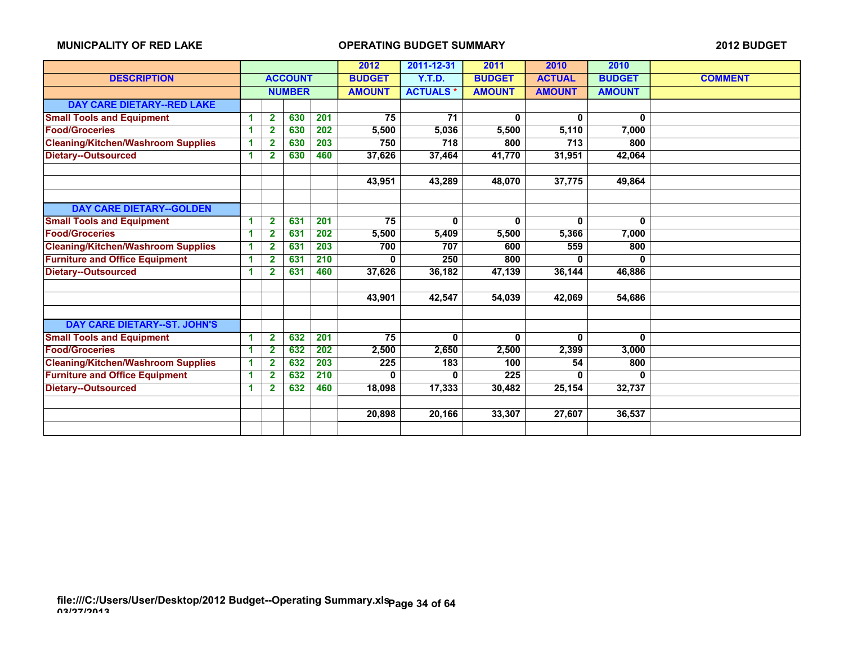|                                           |    |                |                |     | 2011-12-31<br>2012 |                 | 2011          | 2010          | 2010          |                |
|-------------------------------------------|----|----------------|----------------|-----|--------------------|-----------------|---------------|---------------|---------------|----------------|
| <b>DESCRIPTION</b>                        |    |                | <b>ACCOUNT</b> |     | <b>BUDGET</b>      | <b>Y.T.D.</b>   | <b>BUDGET</b> | <b>ACTUAL</b> | <b>BUDGET</b> | <b>COMMENT</b> |
|                                           |    |                | <b>NUMBER</b>  |     | <b>AMOUNT</b>      | <b>ACTUALS*</b> | <b>AMOUNT</b> | <b>AMOUNT</b> | <b>AMOUNT</b> |                |
| DAY CARE DIETARY--RED LAKE                |    |                |                |     |                    |                 |               |               |               |                |
| <b>Small Tools and Equipment</b>          | 1  | 2              | 630            | 201 | 75                 | 71              | $\bf{0}$      | 0             | 0             |                |
| <b>Food/Groceries</b>                     | 1  | $\mathbf{2}$   | 630            | 202 | 5,500              | 5,036           | 5,500         | 5,110         | 7,000         |                |
| <b>Cleaning/Kitchen/Washroom Supplies</b> | 1  | $\overline{2}$ | 630            | 203 | 750                | 718             | 800           | 713           | 800           |                |
| <b>Dietary--Outsourced</b>                | 1  | $\overline{2}$ | 630            | 460 | 37,626             | 37,464          | 41,770        | 31,951        | 42,064        |                |
|                                           |    |                |                |     |                    |                 |               |               |               |                |
|                                           |    |                |                |     | 43,951             | 43,289          | 48.070        | 37,775        | 49,864        |                |
|                                           |    |                |                |     |                    |                 |               |               |               |                |
| <b>DAY CARE DIETARY--GOLDEN</b>           |    |                |                |     |                    |                 |               |               |               |                |
| <b>Small Tools and Equipment</b>          | 1  | $\overline{2}$ | 631            | 201 | 75                 | 0               | 0             | 0             | $\mathbf 0$   |                |
| <b>Food/Groceries</b>                     | -1 | $\mathbf{2}$   | 631            | 202 | 5,500              | 5,409           | 5,500         | 5,366         | 7,000         |                |
| <b>Cleaning/Kitchen/Washroom Supplies</b> | 1  | $\mathbf{2}$   | 631            | 203 | 700                | 707             | 600           | 559           | 800           |                |
| <b>Furniture and Office Equipment</b>     | 1  | $\mathbf{2}$   | 631            | 210 | 0                  | 250             | 800           | 0             | $\bf{0}$      |                |
| <b>Dietary--Outsourced</b>                | 1  | $\overline{2}$ | 631            | 460 | 37,626             | 36,182          | 47,139        | 36,144        | 46,886        |                |
|                                           |    |                |                |     |                    |                 |               |               |               |                |
|                                           |    |                |                |     | 43,901             | 42,547          | 54,039        | 42,069        | 54,686        |                |
|                                           |    |                |                |     |                    |                 |               |               |               |                |
| <b>DAY CARE DIETARY--ST. JOHN'S</b>       |    |                |                |     |                    |                 |               |               |               |                |
| <b>Small Tools and Equipment</b>          | и  | 2              | 632            | 201 | 75                 | $\bf{0}$        | $\bf{0}$      | 0             | 0             |                |
| <b>Food/Groceries</b>                     | -1 | $\overline{2}$ | 632            | 202 | 2,500              | 2,650           | 2,500         | 2,399         | 3,000         |                |
| <b>Cleaning/Kitchen/Washroom Supplies</b> | -1 | 2              | 632            | 203 | 225                | 183             | 100           | 54            | 800           |                |
| <b>Furniture and Office Equipment</b>     | 1  | $\mathbf{2}$   | 632            | 210 | $\mathbf{0}$       | 0               | 225           | 0             | $\mathbf{0}$  |                |
| <b>Dietary--Outsourced</b>                | 1  | 2              | 632            | 460 | 18,098             | 17,333          | 30,482        | 25,154        | 32,737        |                |
|                                           |    |                |                |     |                    |                 |               |               |               |                |
|                                           |    |                |                |     | 20,898<br>20,166   |                 | 33,307        | 27,607        | 36,537        |                |
|                                           |    |                |                |     |                    |                 |               |               |               |                |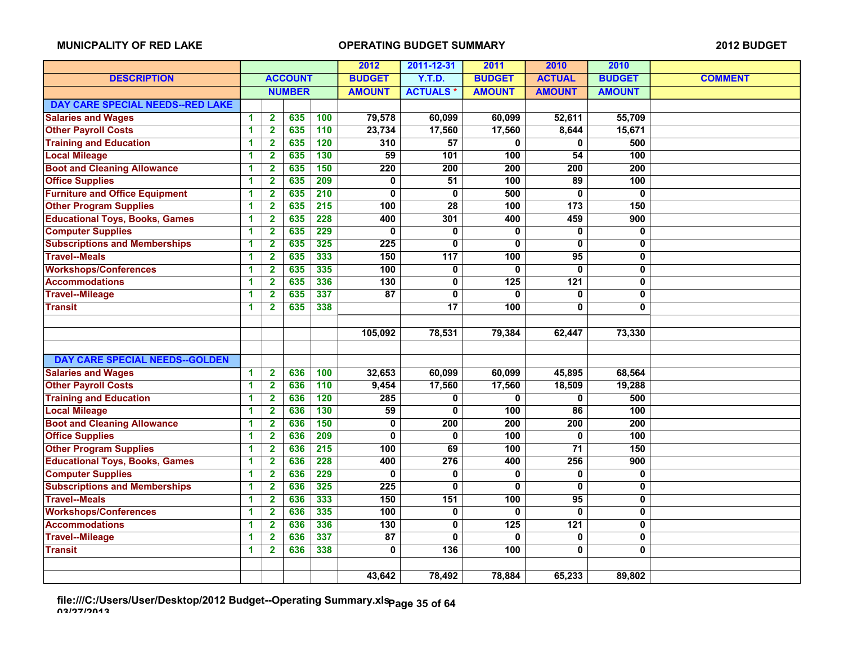|                                       |   |                         |                |                  | 2012             | 2011-12-31       | 2011             | 2010             | 2010             |                |
|---------------------------------------|---|-------------------------|----------------|------------------|------------------|------------------|------------------|------------------|------------------|----------------|
| <b>DESCRIPTION</b>                    |   |                         | <b>ACCOUNT</b> |                  | <b>BUDGET</b>    | <b>Y.T.D.</b>    | <b>BUDGET</b>    | <b>ACTUAL</b>    | <b>BUDGET</b>    | <b>COMMENT</b> |
|                                       |   |                         | <b>NUMBER</b>  |                  | <b>AMOUNT</b>    | <b>ACTUALS*</b>  | <b>AMOUNT</b>    | <b>AMOUNT</b>    | <b>AMOUNT</b>    |                |
| DAY CARE SPECIAL NEEDS--RED LAKE      |   |                         |                |                  |                  |                  |                  |                  |                  |                |
| <b>Salaries and Wages</b>             | 1 | $\overline{\mathbf{2}}$ | 635            | 100              | 79,578           | 60,099           | 60,099           | 52,611           | 55,709           |                |
| <b>Other Payroll Costs</b>            | 1 | $\mathbf{2}$            | 635            | 110              | 23,734           | 17,560           | 17,560           | 8,644            | 15,671           |                |
| <b>Training and Education</b>         | 1 | $\overline{\mathbf{2}}$ | 635            | 120              | 310              | 57               | 0                | 0                | 500              |                |
| <b>Local Mileage</b>                  | 1 | $\overline{\mathbf{2}}$ | 635            | 130              | 59               | 101              | 100              | 54               | 100              |                |
| <b>Boot and Cleaning Allowance</b>    | 1 | $\overline{2}$          | 635            | 150              | 220              | 200              | $\overline{200}$ | $\overline{200}$ | $\overline{200}$ |                |
| <b>Office Supplies</b>                | 1 | $\overline{\mathbf{2}}$ | 635            | 209              | 0                | $\overline{51}$  | 100              | 89               | 100              |                |
| <b>Furniture and Office Equipment</b> | 1 | $\overline{\mathbf{2}}$ | 635            | 210              | 0                | 0                | 500              | 0                | 0                |                |
| <b>Other Program Supplies</b>         | 1 | $\mathbf{2}$            | 635            | $\overline{215}$ | 100              | $\overline{28}$  | $\overline{100}$ | $\overline{173}$ | 150              |                |
| <b>Educational Toys, Books, Games</b> | 1 | $\overline{2}$          | 635            | 228              | 400              | 301              | 400              | 459              | $\overline{900}$ |                |
| <b>Computer Supplies</b>              | 1 | $\overline{\mathbf{2}}$ | 635            | 229              | 0                | $\mathbf 0$      | $\mathbf 0$      | 0                | 0                |                |
| <b>Subscriptions and Memberships</b>  | 1 | $\overline{\mathbf{2}}$ | 635            | 325              | 225              | $\bf{0}$         | $\bf{0}$         | 0                | 0                |                |
| <b>Travel--Meals</b>                  | 1 | $\mathbf{2}$            | 635            | 333              | 150              | $\overline{117}$ | 100              | $\overline{95}$  | 0                |                |
| <b>Workshops/Conferences</b>          | 1 | $\overline{2}$          | 635            | 335              | 100              | 0                | $\mathbf{0}$     | 0                | 0                |                |
| <b>Accommodations</b>                 | 1 | $\overline{\mathbf{2}}$ | 635            | 336              | $\overline{130}$ | 0                | 125              | $\overline{121}$ | 0                |                |
| <b>Travel--Mileage</b>                | 1 | $\overline{\mathbf{2}}$ | 635            | 337              | $\overline{87}$  | $\bf{0}$         | $\mathbf{0}$     | 0                | 0                |                |
| <b>Transit</b>                        | 1 | $\overline{2}$          | 635            | 338              |                  | 17               | 100              | 0                | $\mathbf{0}$     |                |
|                                       |   |                         |                |                  |                  |                  |                  |                  |                  |                |
|                                       |   |                         |                |                  | 105,092          | 78,531           | 79,384           | 62,447           | 73,330           |                |
|                                       |   |                         |                |                  |                  |                  |                  |                  |                  |                |
| <b>DAY CARE SPECIAL NEEDS--GOLDEN</b> |   |                         |                |                  |                  |                  |                  |                  |                  |                |
| <b>Salaries and Wages</b>             | 1 | $\mathbf{2}$            | 636            | 100              | 32,653           | 60,099           | 60,099           | 45,895           | 68,564           |                |
| <b>Other Payroll Costs</b>            | 1 | $\overline{\mathbf{2}}$ | 636            | 110              | 9,454            | 17,560           | 17,560           | 18,509           | 19,288           |                |
| <b>Training and Education</b>         | 1 | $\overline{2}$          | 636            | 120              | 285              | 0                | $\mathbf{0}$     | 0                | 500              |                |
| <b>Local Mileage</b>                  | 1 | $\mathbf 2$             | 636            | $\overline{130}$ | 59               | 0                | 100              | 86               | 100              |                |
| <b>Boot and Cleaning Allowance</b>    | 1 | $\overline{\mathbf{2}}$ | 636            | $\overline{150}$ | 0                | 200              | 200              | $\overline{200}$ | 200              |                |
| <b>Office Supplies</b>                | 1 | $\overline{\mathbf{2}}$ | 636            | 209              | $\mathbf{0}$     | 0                | 100              | 0                | 100              |                |
| <b>Other Program Supplies</b>         | 1 | $\overline{2}$          | 636            | $\overline{215}$ | 100              | 69               | 100              | $\overline{71}$  | 150              |                |
| <b>Educational Toys, Books, Games</b> | 1 | $\overline{\mathbf{2}}$ | 636            | 228              | 400              | 276              | 400              | 256              | 900              |                |
| <b>Computer Supplies</b>              | 1 | $\overline{\mathbf{2}}$ | 636            | 229              | 0                | 0                | 0                | 0                | 0                |                |
| <b>Subscriptions and Memberships</b>  | 1 | $\mathbf{2}$            | 636            | 325              | 225              | 0                | 0                | $\mathbf 0$      | 0                |                |
| <b>Travel--Meals</b>                  | 1 | $\overline{\mathbf{2}}$ | 636            | 333              | 150              | 151              | 100              | 95               | $\bf{0}$         |                |
| <b>Workshops/Conferences</b>          | 1 | $\overline{\mathbf{2}}$ | 636            | 335              | 100              | 0                | $\mathbf{0}$     | 0                | 0                |                |
| <b>Accommodations</b>                 | 1 | $\overline{\mathbf{2}}$ | 636            | 336              | $\overline{130}$ | $\mathbf{0}$     | 125              | $\overline{121}$ | 0                |                |
| <b>Travel--Mileage</b>                | 1 | $\mathbf 2$             | 636            | 337              | 87               | 0                | 0                | 0                | 0                |                |
| <b>Transit</b>                        | 1 | $\overline{\mathbf{2}}$ | 636            | 338              | 0                | 136              | 100              | 0                | 0                |                |
|                                       |   |                         |                |                  |                  |                  |                  |                  |                  |                |
|                                       |   |                         |                |                  | 43,642           | 78,492           | 78,884           | 65,233           | 89,802           |                |

**file:///C:/Users/User/Desktop/2012 Budget--Operating Summary.xls 03/27/2013 Page 35 of 64**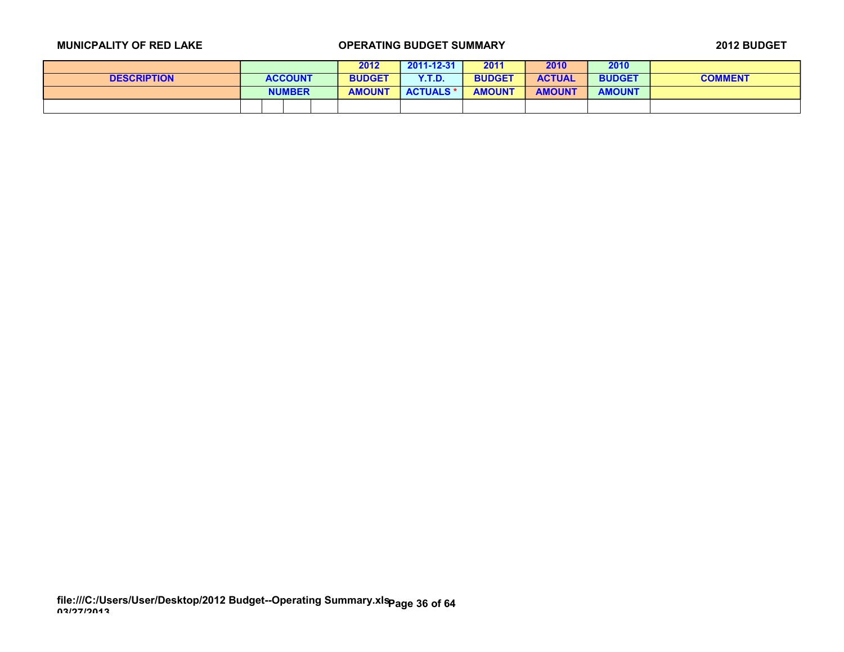|                    |                | 2012          | $2011 - 12 - 31$ | 2011          | 2010          | 2010          |                |
|--------------------|----------------|---------------|------------------|---------------|---------------|---------------|----------------|
| <b>DESCRIPTION</b> | <b>ACCOUNT</b> | <b>BUDGET</b> | Y.T.D.           | <b>BUDGET</b> | <b>ACTUAL</b> | <b>BUDGET</b> | <b>COMMENT</b> |
|                    | <b>NUMBER</b>  | <b>AMOUNT</b> | <b>ACTUALS *</b> | <b>AMOUNT</b> | <b>AMOUNT</b> | <b>AMOUNT</b> |                |
|                    |                |               |                  |               |               |               |                |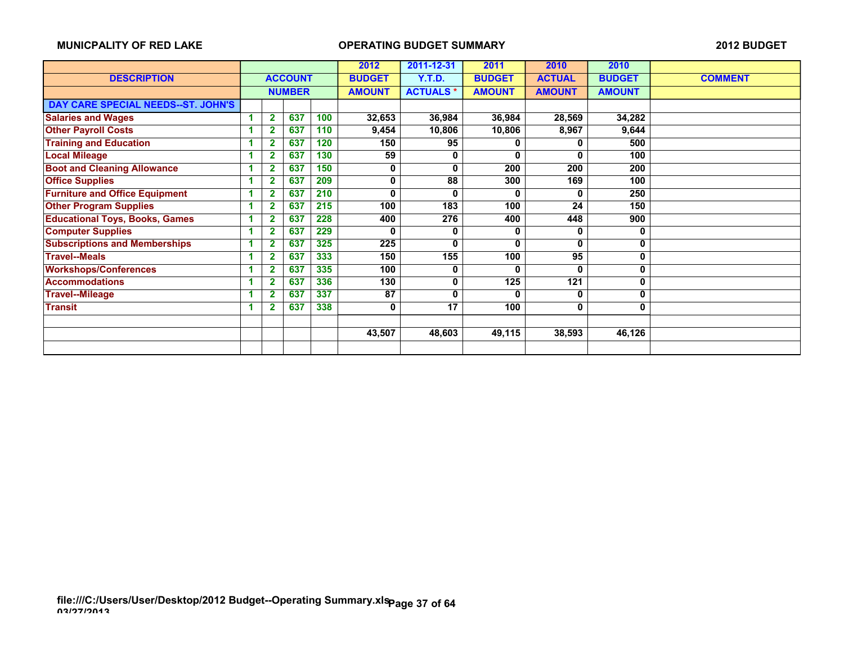|                                       |   |                         |     | 2012 | 2011-12-31    | 2011             | 2010          | 2010          |               |                |
|---------------------------------------|---|-------------------------|-----|------|---------------|------------------|---------------|---------------|---------------|----------------|
| <b>DESCRIPTION</b>                    |   | <b>ACCOUNT</b>          |     |      | <b>BUDGET</b> | <b>Y.T.D.</b>    | <b>BUDGET</b> | <b>ACTUAL</b> | <b>BUDGET</b> | <b>COMMENT</b> |
|                                       |   | <b>NUMBER</b>           |     |      | <b>AMOUNT</b> | <b>ACTUALS*</b>  | <b>AMOUNT</b> | <b>AMOUNT</b> | <b>AMOUNT</b> |                |
| DAY CARE SPECIAL NEEDS--ST. JOHN'S    |   |                         |     |      |               |                  |               |               |               |                |
| <b>Salaries and Wages</b>             | 1 | $\mathbf{2}$            | 637 | 100  | 32,653        | 36,984           | 36,984        | 28,569        | 34,282        |                |
| <b>Other Payroll Costs</b>            |   | $\overline{\mathbf{2}}$ | 637 | 110  | 9,454         | 10,806           | 10,806        | 8,967         | 9,644         |                |
| <b>Training and Education</b>         |   | 2                       | 637 | 120  | 150           | 95               |               | 0             | 500           |                |
| <b>Local Mileage</b>                  |   | $\overline{2}$          | 637 | 130  | 59            | 0                | $\bf{0}$      | 0             | 100           |                |
| <b>Boot and Cleaning Allowance</b>    |   | 2                       | 637 | 150  | 0             | $\Omega$         | 200           | 200           | 200           |                |
| <b>Office Supplies</b>                |   | $\overline{2}$          | 637 | 209  | 0             | 88               | 300           | 169           | 100           |                |
| <b>Furniture and Office Equipment</b> |   | 2                       | 637 | 210  | 0             | $\mathbf{0}$     | 0             | 0             | 250           |                |
| <b>Other Program Supplies</b>         |   | $\overline{2}$          | 637 | 215  | 100           | $\overline{183}$ | 100           | 24            | 150           |                |
| <b>Educational Toys, Books, Games</b> |   | $\mathbf{2}$            | 637 | 228  | 400           | 276              | 400           | 448           | 900           |                |
| <b>Computer Supplies</b>              |   | $\overline{2}$          | 637 | 229  | O             | 0                | 0             | 0             | $\bf{0}$      |                |
| <b>Subscriptions and Memberships</b>  |   | $\overline{2}$          | 637 | 325  | 225           | $\bf{0}$         | 0             | 0             | 0             |                |
| <b>Travel--Meals</b>                  |   | $\overline{2}$          | 637 | 333  | 150           | 155              | 100           | 95            | 0             |                |
| <b>Workshops/Conferences</b>          |   | 2                       | 637 | 335  | 100           | 0                | 0             | 0             | 0             |                |
| <b>Accommodations</b>                 |   | $\overline{2}$          | 637 | 336  | 130           | 0                | 125           | 121           | 0             |                |
| <b>Travel--Mileage</b>                |   | $\overline{2}$          | 637 | 337  | 87            | 0                | 0             | 0             | 0             |                |
| <b>Transit</b>                        |   | $\overline{\mathbf{2}}$ | 637 | 338  | 0             | 17               | 100           | 0             | $\mathbf{0}$  |                |
|                                       |   |                         |     |      |               |                  |               |               |               |                |
|                                       |   |                         |     |      | 43,507        | 48,603           | 49,115        | 38,593        | 46,126        |                |
|                                       |   |                         |     |      |               |                  |               |               |               |                |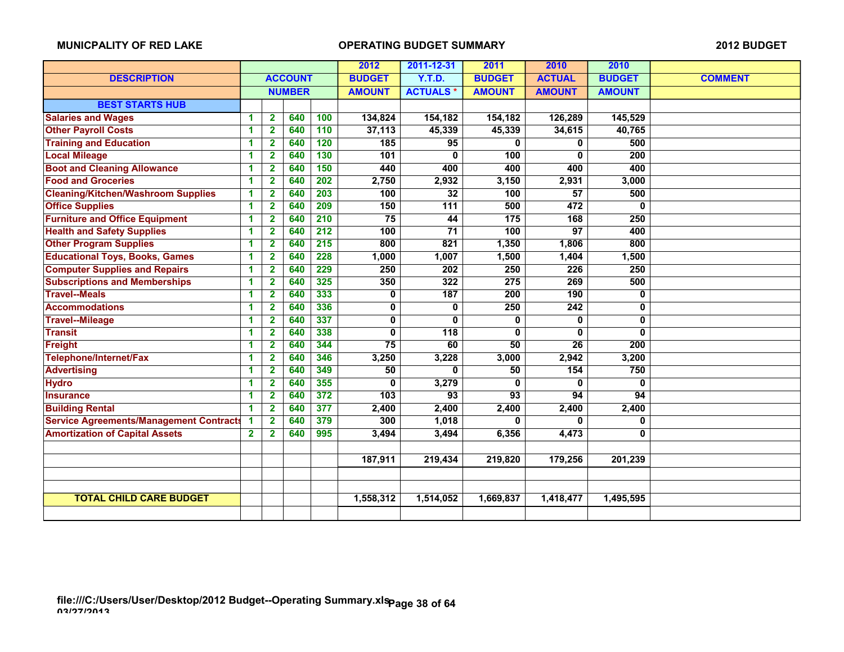|                                                |                      |                         |                |                  | 2012          | 2011-12-31      | 2011            | 2010             | 2010          |                |
|------------------------------------------------|----------------------|-------------------------|----------------|------------------|---------------|-----------------|-----------------|------------------|---------------|----------------|
| <b>DESCRIPTION</b>                             |                      |                         | <b>ACCOUNT</b> |                  | <b>BUDGET</b> | <b>Y.T.D.</b>   | <b>BUDGET</b>   | <b>ACTUAL</b>    | <b>BUDGET</b> | <b>COMMENT</b> |
|                                                |                      |                         | <b>NUMBER</b>  |                  | <b>AMOUNT</b> | <b>ACTUALS*</b> | <b>AMOUNT</b>   | <b>AMOUNT</b>    | <b>AMOUNT</b> |                |
| <b>BEST STARTS HUB</b>                         |                      |                         |                |                  |               |                 |                 |                  |               |                |
| <b>Salaries and Wages</b>                      | -1                   | $\mathbf{2}$            | 640            | 100              | 134,824       | 154,182         | 154,182         | 126,289          | 145,529       |                |
| <b>Other Payroll Costs</b>                     | 1                    | $\mathbf{2}$            | 640            | 110              | 37,113        | 45,339          | 45,339          | 34,615           | 40,765        |                |
| <b>Training and Education</b>                  | 1                    | $\mathbf{2}$            | 640            | 120              | 185           | 95              | U               | 0                | 500           |                |
| <b>Local Mileage</b>                           | 1                    | $\mathbf{2}$            | 640            | 130              | 101           | $\bf{0}$        | 100             | 0                | 200           |                |
| <b>Boot and Cleaning Allowance</b>             | 1                    | $\overline{\mathbf{2}}$ | 640            | 150              | 440           | 400             | 400             | 400              | 400           |                |
| <b>Food and Groceries</b>                      | 1                    | $\overline{2}$          | 640            | $\overline{202}$ | 2,750         | 2,932           | 3,150           | 2,931            | 3,000         |                |
| <b>Cleaning/Kitchen/Washroom Supplies</b>      | 1                    | $\mathbf{2}$            | 640            | 203              | 100           | 32              | 100             | 57               | 500           |                |
| <b>Office Supplies</b>                         | 1                    | $\mathbf{2}$            | 640            | 209              | 150           | 111             | 500             | 472              | 0             |                |
| <b>Furniture and Office Equipment</b>          | 1                    | $\overline{\mathbf{2}}$ | 640            | 210              | 75            | 44              | 175             | 168              | 250           |                |
| <b>Health and Safety Supplies</b>              | 1                    | $\overline{2}$          | 640            | 212              | 100           | $\overline{71}$ | 100             | $\overline{97}$  | 400           |                |
| <b>Other Program Supplies</b>                  | -1                   | $\mathbf{2}$            | 640            | 215              | 800           | 821             | 1,350           | 1,806            | 800           |                |
| <b>Educational Toys, Books, Games</b>          | 1                    | $\mathbf{2}$            | 640            | 228              | 1,000         | 1,007           | 1,500           | 1,404            | 1,500         |                |
| <b>Computer Supplies and Repairs</b>           | 1                    | $\overline{\mathbf{2}}$ | 640            | 229              | 250           | 202             | 250             | 226              | 250           |                |
| <b>Subscriptions and Memberships</b>           | 1                    | $\overline{2}$          | 640            | 325              | 350           | 322             | 275             | 269              | 500           |                |
| <b>Travel--Meals</b>                           | -1                   | $\overline{2}$          | 640            | 333              | 0             | 187             | 200             | 190              | 0             |                |
| <b>Accommodations</b>                          | 1                    | $\mathbf{2}$            | 640            | 336              | 0             | 0               | 250             | 242              | 0             |                |
| <b>Travel--Mileage</b>                         | 1                    | $\overline{\mathbf{2}}$ | 640            | 337              | $\mathbf 0$   | 0               | 0               | $\mathbf{0}$     | 0             |                |
| <b>Transit</b>                                 | 1                    | $\mathbf{2}$            | 640            | 338              | 0             | 118             | 0               | 0                | 0             |                |
| <b>Freight</b>                                 | -1                   | $\mathbf{2}$            | 640            | 344              | 75            | 60              | 50              | 26               | 200           |                |
| Telephone/Internet/Fax                         | 1                    | $\mathbf{2}$            | 640            | 346              | 3,250         | 3,228           | 3,000           | 2,942            | 3,200         |                |
| <b>Advertising</b>                             | 1                    | $\mathbf{2}$            | 640            | 349              | 50            | $\Omega$        | 50              | $\overline{154}$ | 750           |                |
| <b>Hydro</b>                                   | 1                    | $\overline{\mathbf{2}}$ | 640            | 355              | 0             | 3,279           | 0               | $\mathbf{0}$     | 0             |                |
| <b>Insurance</b>                               | $\blacktriangleleft$ | $\overline{\mathbf{2}}$ | 640            | 372              | 103           | $\overline{93}$ | $\overline{93}$ | 94               | 94            |                |
| <b>Building Rental</b>                         | -1                   | $\overline{2}$          | 640            | 377              | 2,400         | 2,400           | 2,400           | 2,400            | 2,400         |                |
| <b>Service Agreements/Management Contracts</b> |                      | $\mathbf{2}$            | 640            | 379              | 300           | 1,018           | U               | 0                | 0             |                |
| <b>Amortization of Capital Assets</b>          | $\mathbf{2}$         | $\overline{\mathbf{2}}$ | 640            | 995              | 3,494         | 3,494           | 6,356           | 4,473            | 0             |                |
|                                                |                      |                         |                |                  |               |                 |                 |                  |               |                |
|                                                |                      |                         |                |                  | 187,911       | 219,434         | 219,820         | 179,256          | 201,239       |                |
|                                                |                      |                         |                |                  |               |                 |                 |                  |               |                |
|                                                |                      |                         |                |                  |               |                 |                 |                  |               |                |
| <b>TOTAL CHILD CARE BUDGET</b>                 |                      |                         |                |                  | 1,558,312     | 1,514,052       | 1,669,837       | 1,418,477        | 1,495,595     |                |
|                                                |                      |                         |                |                  |               |                 |                 |                  |               |                |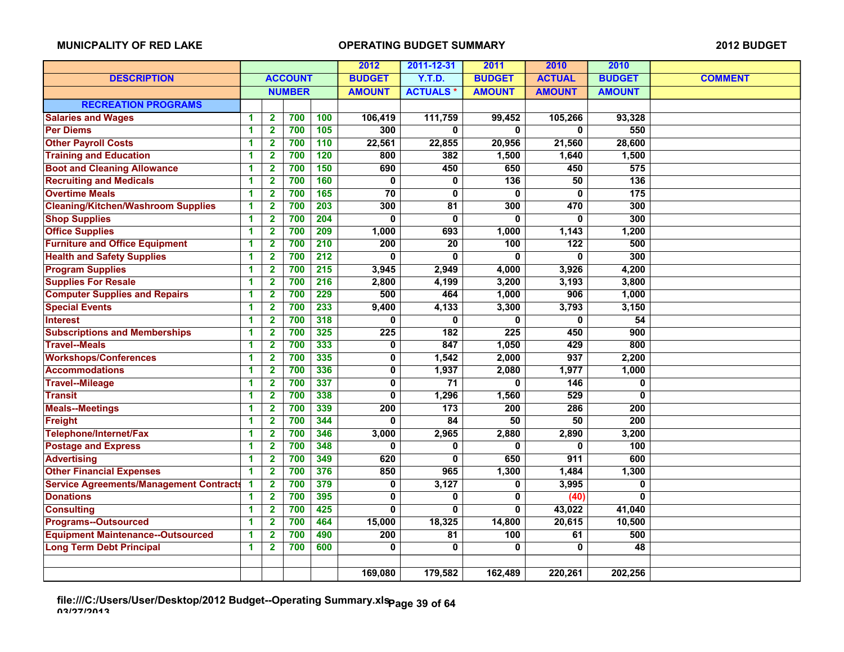|                                                |                         |                         |                |                  | 2012                    | 2011-12-31      | 2011             | 2010             | 2010             |                |
|------------------------------------------------|-------------------------|-------------------------|----------------|------------------|-------------------------|-----------------|------------------|------------------|------------------|----------------|
| <b>DESCRIPTION</b>                             |                         |                         | <b>ACCOUNT</b> |                  | <b>BUDGET</b>           | <b>Y.T.D.</b>   | <b>BUDGET</b>    | <b>ACTUAL</b>    | <b>BUDGET</b>    | <b>COMMENT</b> |
|                                                |                         |                         | <b>NUMBER</b>  |                  | <b>AMOUNT</b>           | <b>ACTUALS*</b> | <b>AMOUNT</b>    | <b>AMOUNT</b>    | <b>AMOUNT</b>    |                |
| <b>RECREATION PROGRAMS</b>                     |                         |                         |                |                  |                         |                 |                  |                  |                  |                |
| <b>Salaries and Wages</b>                      | 1                       | 2                       | 700            | 100              | 106,419                 | 111,759         | 99,452           | 105,266          | 93,328           |                |
| <b>Per Diems</b>                               | 1                       | $\mathbf{2}$            | 700            | 105              | 300                     | $\bf{0}$        | 0                | 0                | 550              |                |
| <b>Other Payroll Costs</b>                     | 1                       | $\overline{\mathbf{2}}$ | 700            | 110              | 22,561                  | 22,855          | 20,956           | 21,560           | 28,600           |                |
| <b>Training and Education</b>                  | 1                       | $\mathbf{2}$            | 700            | 120              | 800                     | 382             | 1,500            | 1,640            | 1,500            |                |
| <b>Boot and Cleaning Allowance</b>             | 1                       | $\overline{\mathbf{2}}$ | 700            | 150              | 690                     | 450             | 650              | 450              | 575              |                |
| <b>Recruiting and Medicals</b>                 | 1                       | $\overline{\mathbf{2}}$ | 700            | 160              | 0                       | 0               | $\overline{136}$ | 50               | $\overline{136}$ |                |
| <b>Overtime Meals</b>                          | 1                       | $\mathbf{2}$            | 700            | 165              | $\overline{70}$         | 0               | 0                | 0                | $\frac{1}{175}$  |                |
| <b>Cleaning/Kitchen/Washroom Supplies</b>      | 1                       | $\mathbf{2}$            | 700            | $\overline{203}$ | 300                     | 81              | 300              | 470              | 300              |                |
| <b>Shop Supplies</b>                           | 1                       | $\overline{\mathbf{2}}$ | 700            | 204              | O                       | $\bf{0}$        | $\mathbf{0}$     | 0                | 300              |                |
| <b>Office Supplies</b>                         | 1                       | $\overline{2}$          | 700            | 209              | 1,000                   | 693             | 1,000            | 1,143            | 1,200            |                |
| <b>Furniture and Office Equipment</b>          | $\overline{\mathbf{1}}$ | $\overline{\mathbf{2}}$ | 700            | 210              | $\overline{200}$        | $\overline{20}$ | 100              | $\overline{122}$ | 500              |                |
| <b>Health and Safety Supplies</b>              | 1                       | $\mathbf{2}$            | 700            | $\overline{212}$ | 0                       | 0               | 0                | 0                | 300              |                |
| <b>Program Supplies</b>                        | 1                       | $\overline{2}$          | 700            | 215              | 3,945                   | 2,949           | 4,000            | 3,926            | 4,200            |                |
| <b>Supplies For Resale</b>                     | 1                       | $\overline{2}$          | 700            | $\overline{216}$ | 2,800                   | 4,199           | 3,200            | 3,193            | 3,800            |                |
| <b>Computer Supplies and Repairs</b>           | 1                       | $\overline{\mathbf{2}}$ | 700            | 229              | 500                     | 464             | 1,000            | 906              | 1,000            |                |
| <b>Special Events</b>                          | 1                       | $\mathbf{2}$            | 700            | 233              | 9,400                   | 4,133           | 3,300            | 3,793            | 3,150            |                |
| <b>Interest</b>                                | 1                       | $\overline{\mathbf{2}}$ | 700            | 318              | 0                       | $\mathbf{0}$    | $\mathbf{0}$     | 0                | 54               |                |
| <b>Subscriptions and Memberships</b>           | 1                       | $\mathbf{2}$            | 700            | 325              | 225                     | 182             | 225              | 450              | 900              |                |
| <b>Travel--Meals</b>                           | 1                       | $\overline{2}$          | 700            | 333              | 0                       | 847             | 1,050            | 429              | 800              |                |
| <b>Workshops/Conferences</b>                   | 1                       | $\overline{2}$          | 700            | 335              | 0                       | 1,542           | 2,000            | 937              | 2,200            |                |
| <b>Accommodations</b>                          | 1                       | $\overline{\mathbf{2}}$ | 700            | 336              | $\overline{\mathbf{0}}$ | 1,937           | 2,080            | 1,977            | 1,000            |                |
| <b>Travel--Mileage</b>                         | 1                       | $\overline{2}$          | 700            | 337              | $\mathbf 0$             | $\overline{71}$ | $\mathbf{0}$     | 146              | $\mathbf 0$      |                |
| <b>Transit</b>                                 | 1                       | $\overline{\mathbf{2}}$ | 700            | 338              | 0                       | 1,296           | 1,560            | 529              | $\mathbf 0$      |                |
| <b>Meals--Meetings</b>                         | 1                       | $\mathbf{2}$            | 700            | 339              | 200                     | 173             | 200              | 286              | 200              |                |
| Freight                                        | 1                       | $\mathbf{2}$            | 700            | 344              | $\mathbf{0}$            | 84              | 50               | 50               | 200              |                |
| Telephone/Internet/Fax                         | 1                       | $\mathbf{2}$            | 700            | 346              | 3,000                   | 2,965           | 2.880            | 2,890            | 3,200            |                |
| <b>Postage and Express</b>                     | 1                       | $\overline{2}$          | 700            | 348              | 0                       | $\mathbf{0}$    | $\mathbf{0}$     | 0                | 100              |                |
| <b>Advertising</b>                             | 1                       | $\overline{2}$          | 700            | 349              | 620                     | $\bf{0}$        | 650              | 911              | 600              |                |
| <b>Other Financial Expenses</b>                | 1                       | $\mathbf{2}$            | 700            | 376              | 850                     | 965             | 1,300            | 1,484            | 1,300            |                |
| <b>Service Agreements/Management Contracts</b> | $\blacktriangleleft$    | $\mathbf{2}$            | 700            | 379              | 0                       | 3,127           | 0                | 3,995            | 0                |                |
| <b>Donations</b>                               | 1                       | $\overline{2}$          | 700            | 395              | 0                       | 0               | $\mathbf 0$      | (40)             | $\mathbf 0$      |                |
| <b>Consulting</b>                              | 1                       | $\mathbf{2}$            | 700            | 425              | 0                       | $\mathbf{0}$    | $\mathbf{0}$     | 43,022           | 41,040           |                |
| <b>Programs--Outsourced</b>                    | 1                       | $\overline{\mathbf{2}}$ | 700            | 464              | 15,000                  | 18,325          | 14,800           | 20,615           | 10,500           |                |
| <b>Equipment Maintenance--Outsourced</b>       | 1                       | $\overline{2}$          | 700            | 490              | 200                     | 81              | 100              | 61               | 500              |                |
| <b>Long Term Debt Principal</b>                | 1                       | $\overline{2}$          | 700            | 600              | 0                       | $\bf{0}$        | 0                | 0                | 48               |                |
|                                                |                         |                         |                |                  |                         |                 |                  |                  |                  |                |
|                                                |                         |                         |                |                  | 169,080                 | 179,582         | 162,489          | 220,261          | 202,256          |                |

**file:///C:/Users/User/Desktop/2012 Budget--Operating Summary.xls 03/27/2013 Page 39 of 64**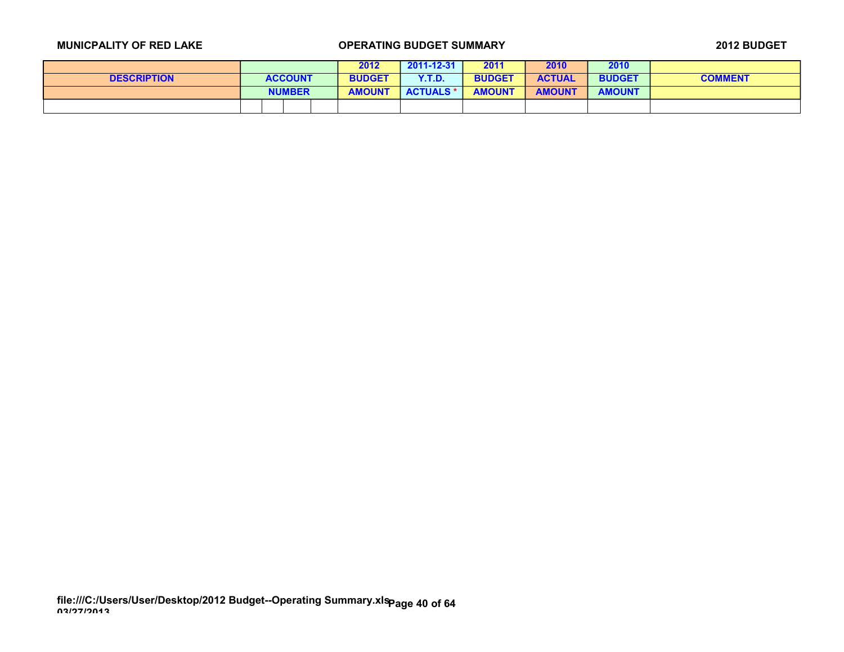|                    |                | 2012          | $2011 - 12 - 31$ | 2011          | 2010          | 2010          |                |
|--------------------|----------------|---------------|------------------|---------------|---------------|---------------|----------------|
| <b>DESCRIPTION</b> | <b>ACCOUNT</b> | <b>BUDGET</b> | Y.T.D.           | <b>BUDGET</b> | <b>ACTUAL</b> | <b>BUDGET</b> | <b>COMMENT</b> |
|                    | <b>NUMBER</b>  | <b>AMOUNT</b> | <b>ACTUALS *</b> | <b>AMOUNT</b> | <b>AMOUNT</b> | <b>AMOUNT</b> |                |
|                    |                |               |                  |               |               |               |                |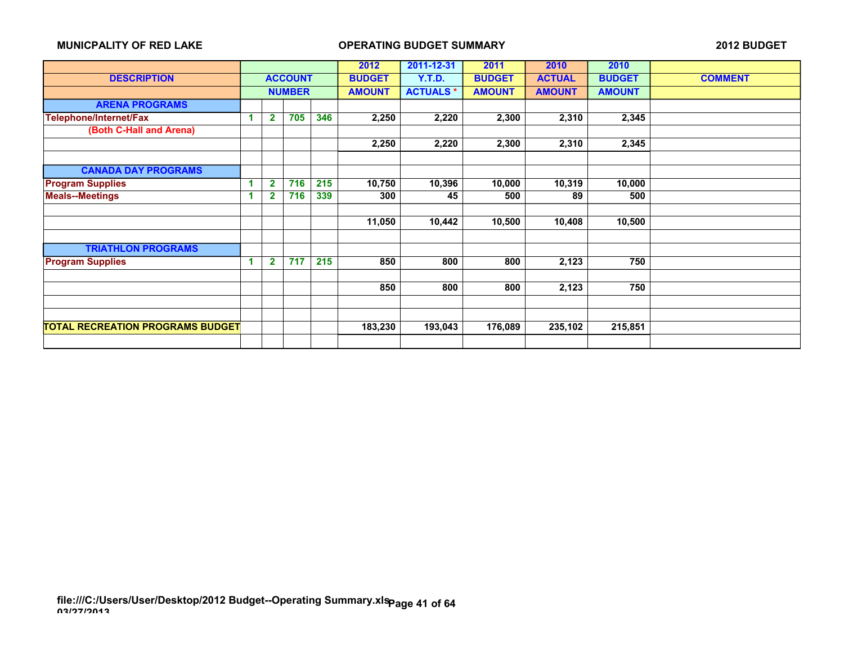|                                         |   |              |                |     | 2012          | 2011-12-31      | 2011          | 2010          | 2010          |                |
|-----------------------------------------|---|--------------|----------------|-----|---------------|-----------------|---------------|---------------|---------------|----------------|
| <b>DESCRIPTION</b>                      |   |              | <b>ACCOUNT</b> |     | <b>BUDGET</b> | <b>Y.T.D.</b>   | <b>BUDGET</b> | <b>ACTUAL</b> | <b>BUDGET</b> | <b>COMMENT</b> |
|                                         |   |              | <b>NUMBER</b>  |     | <b>AMOUNT</b> | <b>ACTUALS*</b> | <b>AMOUNT</b> | <b>AMOUNT</b> | <b>AMOUNT</b> |                |
| <b>ARENA PROGRAMS</b>                   |   |              |                |     |               |                 |               |               |               |                |
| Telephone/Internet/Fax                  | 4 | $\mathbf{2}$ | 705            | 346 | 2,250         | 2,220           | 2,300         | 2,310         | 2,345         |                |
| (Both C-Hall and Arena)                 |   |              |                |     |               |                 |               |               |               |                |
|                                         |   |              |                |     | 2,250         | 2,220           | 2,300         | 2,310         | 2,345         |                |
|                                         |   |              |                |     |               |                 |               |               |               |                |
| <b>CANADA DAY PROGRAMS</b>              |   |              |                |     |               |                 |               |               |               |                |
| <b>Program Supplies</b>                 | 1 | $\mathbf{2}$ | 716            | 215 | 10,750        | 10,396          | 10,000        | 10,319        | 10,000        |                |
| <b>Meals--Meetings</b>                  |   |              | 716            | 339 | 300           | 45              | 500           | 89            | 500           |                |
|                                         |   |              |                |     |               |                 |               |               |               |                |
|                                         |   |              |                |     | 11,050        | 10,442          | 10,500        | 10,408        | 10,500        |                |
|                                         |   |              |                |     |               |                 |               |               |               |                |
| <b>TRIATHLON PROGRAMS</b>               |   |              |                |     |               |                 |               |               |               |                |
| <b>Program Supplies</b>                 | 1 | $\mathbf{2}$ | 717            | 215 | 850           | 800             | 800           | 2,123         | 750           |                |
|                                         |   |              |                |     |               |                 |               |               |               |                |
|                                         |   |              |                |     | 850           | 800             | 800           | 2,123         | 750           |                |
|                                         |   |              |                |     |               |                 |               |               |               |                |
|                                         |   |              |                |     |               |                 |               |               |               |                |
| <b>TOTAL RECREATION PROGRAMS BUDGET</b> |   |              |                |     | 183,230       | 193,043         | 176,089       | 235,102       | 215,851       |                |
|                                         |   |              |                |     |               |                 |               |               |               |                |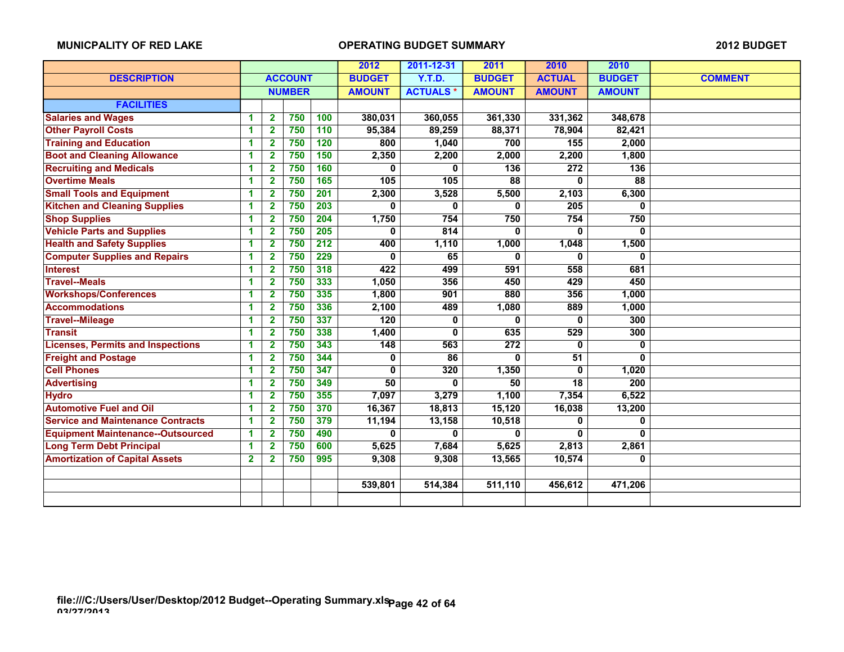|                                          |                      |                         |                |                  | 2012          | 2011-12-31      | 2011             | 2010             | 2010            |                |
|------------------------------------------|----------------------|-------------------------|----------------|------------------|---------------|-----------------|------------------|------------------|-----------------|----------------|
| <b>DESCRIPTION</b>                       |                      |                         | <b>ACCOUNT</b> |                  | <b>BUDGET</b> | <b>Y.T.D.</b>   |                  | <b>ACTUAL</b>    | <b>BUDGET</b>   | <b>COMMENT</b> |
|                                          |                      |                         | <b>NUMBER</b>  |                  | <b>AMOUNT</b> | <b>ACTUALS*</b> | <b>AMOUNT</b>    | <b>AMOUNT</b>    | <b>AMOUNT</b>   |                |
| <b>FACILITIES</b>                        |                      |                         |                |                  |               |                 |                  |                  |                 |                |
| <b>Salaries and Wages</b>                | 1                    | $\overline{2}$          | 750            | 100              | 380,031       | 360,055         | 361,330          | 331,362          | 348,678         |                |
| <b>Other Payroll Costs</b>               | 1                    | $\overline{\mathbf{2}}$ | 750            | 110              | 95,384        | 89,259          | 88,371           | 78,904           | 82,421          |                |
| <b>Training and Education</b>            | 1                    | $\mathbf{2}$            | 750            | 120              | 800           | 1,040           | 700              | 155              | 2,000           |                |
| <b>Boot and Cleaning Allowance</b>       | -1                   | $\mathbf{2}$            | 750            | 150              | 2,350         | 2,200           | 2,000            | 2,200            | 1,800           |                |
| <b>Recruiting and Medicals</b>           | 1                    | $\overline{2}$          | 750            | 160              | 0             | 0               | 136              | $\overline{272}$ | 136             |                |
| <b>Overtime Meals</b>                    | 1                    | $\overline{2}$          | 750            | 165              | 105           | 105             | $\overline{88}$  | 0                | $\overline{88}$ |                |
| <b>Small Tools and Equipment</b>         | 1                    | $\mathbf{2}$            | 750            | 201              | 2,300         | 3,528           | 5,500            | 2,103            | 6,300           |                |
| <b>Kitchen and Cleaning Supplies</b>     | 1                    | $\mathbf{2}$            | 750            | 203              | 0             | 0               | 0                | 205              | 0               |                |
| <b>Shop Supplies</b>                     | -1                   | 2                       | 750            | 204              | 1,750         | 754             | 750              | 754              | 750             |                |
| <b>Vehicle Parts and Supplies</b>        | $\blacktriangleleft$ | $\overline{2}$          | 750            | 205              | $\bf{0}$      | 814             | 0                | 0                | $\bf{0}$        |                |
| <b>Health and Safety Supplies</b>        | 1                    | $\overline{2}$          | 750            | $\overline{212}$ | 400           | 1,110           | 1,000            | 1,048            | 1,500           |                |
| <b>Computer Supplies and Repairs</b>     | 1                    | $\overline{\mathbf{2}}$ | 750            | 229              | $\bf{0}$      | 65              | 0                | 0                | $\mathbf{0}$    |                |
| <b>Interest</b>                          | 1                    | $\mathbf{2}$            | 750            | 318              | 422           | 499             | 591              | 558              | 681             |                |
| <b>Travel--Meals</b>                     | 1                    | $\overline{2}$          | 750            | 333              | 1,050         | 356             | 450              | 429              | 450             |                |
| <b>Workshops/Conferences</b>             | 1                    | $\overline{2}$          | 750            | 335              | 1,800         | 901             | 880              | 356              | 1,000           |                |
| <b>Accommodations</b>                    | 1                    | 2                       | 750            | 336              | 2,100         | 489             | 1,080            | 889              | 1,000           |                |
| <b>Travel--Mileage</b>                   | 1                    | $\mathbf{2}$            | 750            | 337              | 120           | $\mathbf 0$     | $\bf{0}$         | 0                | 300             |                |
| <b>Transit</b>                           | 1                    | 2                       | 750            | 338              | 1,400         | 0               | 635              | 529              | 300             |                |
| <b>Licenses, Permits and Inspections</b> | 1                    | $\mathbf{2}$            | 750            | 343              | 148           | 563             | $\overline{272}$ | 0                | $\bf{0}$        |                |
| <b>Freight and Postage</b>               | $\blacktriangleleft$ | $\overline{\mathbf{2}}$ | 750            | 344              | 0             | 86              | 0                | $\overline{51}$  | $\bf{0}$        |                |
| <b>Cell Phones</b>                       | -1                   | $\mathbf{2}$            | 750            | 347              | 0             | 320             | 1,350            | 0                | 1,020           |                |
| <b>Advertising</b>                       | 1                    | $\mathbf{2}$            | 750            | 349              | 50            | 0               | 50               | 18               | 200             |                |
| <b>Hydro</b>                             | 1                    | 2                       | 750            | 355              | 7,097         | 3,279           | 1,100            | 7,354            | 6,522           |                |
| <b>Automotive Fuel and Oil</b>           | 1                    | $\mathbf{2}$            | 750            | 370              | 16,367        | 18,813          | 15,120           | 16,038           | 13,200          |                |
| <b>Service and Maintenance Contracts</b> | $\blacktriangleleft$ | $\overline{2}$          | 750            | 379              | 11,194        | 13,158          | 10,518           | 0                | 0               |                |
| <b>Equipment Maintenance--Outsourced</b> | 1                    | 2                       | 750            | 490              | $\bf{0}$      | 0               | 0                | 0                | $\mathbf{0}$    |                |
| <b>Long Term Debt Principal</b>          | $\blacktriangleleft$ | $\overline{2}$          | 750            | 600              | 5,625         | 7,684           | 5,625            | 2,813            | 2,861           |                |
| <b>Amortization of Capital Assets</b>    | $\mathbf{2}$         | $\mathbf{2}$            | 750            | 995              | 9,308         | 9.308           | 13,565           | 10,574           | 0               |                |
|                                          |                      |                         |                |                  |               |                 |                  |                  |                 |                |
|                                          |                      |                         |                |                  | 539,801       | 514,384         | 511,110          | 456,612          | 471,206         |                |
|                                          |                      |                         |                |                  |               |                 |                  |                  |                 |                |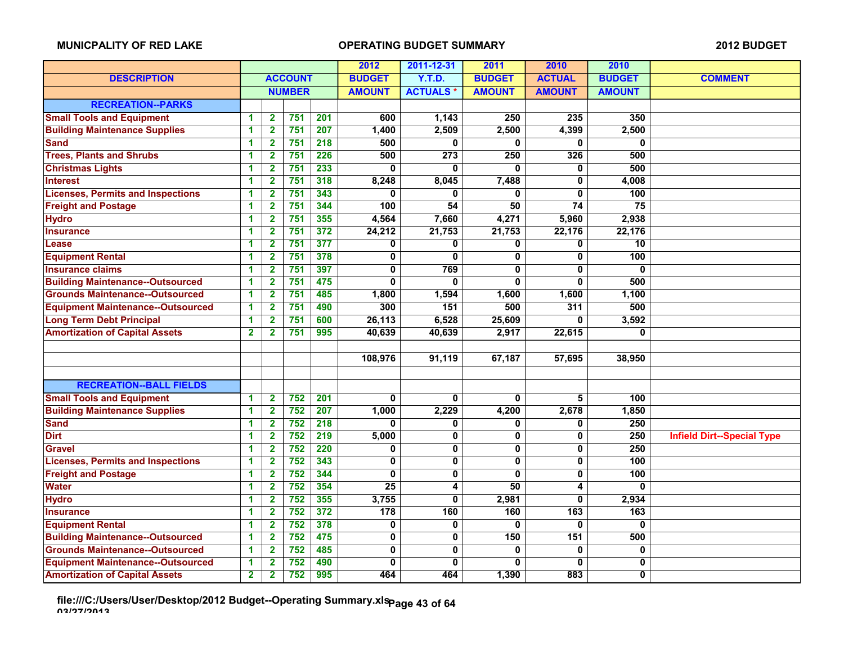|                                          |                         |                         |                |                  | 2012                    | 2011-12-31       | 2011                    | 2010                    | 2010            |                                   |
|------------------------------------------|-------------------------|-------------------------|----------------|------------------|-------------------------|------------------|-------------------------|-------------------------|-----------------|-----------------------------------|
| <b>DESCRIPTION</b>                       |                         |                         | <b>ACCOUNT</b> |                  | <b>BUDGET</b>           | Y.T.D.           | <b>BUDGET</b>           | <b>ACTUAL</b>           | <b>BUDGET</b>   | <b>COMMENT</b>                    |
|                                          |                         |                         | <b>NUMBER</b>  |                  | <b>AMOUNT</b>           | <b>ACTUALS*</b>  | <b>AMOUNT</b>           | <b>AMOUNT</b>           | <b>AMOUNT</b>   |                                   |
| <b>RECREATION--PARKS</b>                 |                         |                         |                |                  |                         |                  |                         |                         |                 |                                   |
| <b>Small Tools and Equipment</b>         | 1                       | 2                       | 751            | 201              | 600                     | 1,143            | 250                     | 235                     | 350             |                                   |
| <b>Building Maintenance Supplies</b>     | 1                       | $\overline{2}$          | 751            | 207              | 1,400                   | 2,509            | 2,500                   | 4,399                   | 2,500           |                                   |
| <b>Sand</b>                              | 1                       | $\mathbf{2}$            | 751            | $\overline{218}$ | 500                     | 0                | 0                       | 0                       | 0               |                                   |
| <b>Trees, Plants and Shrubs</b>          | 1                       | $\overline{2}$          | 751            | 226              | 500                     | $\overline{273}$ | 250                     | 326                     | 500             |                                   |
| <b>Christmas Lights</b>                  | 1                       | $\mathbf{2}$            | 751            | 233              | O                       | 0                | $\mathbf{0}$            | 0                       | 500             |                                   |
| <b>Interest</b>                          | 1                       | $\mathbf{2}$            | 751            | 318              | 8,248                   | 8,045            | 7,488                   | 0                       | 4,008           |                                   |
| <b>Licenses, Permits and Inspections</b> | 1                       | $\mathbf{2}$            | 751            | 343              | 0                       | 0                | 0                       | 0                       | 100             |                                   |
| <b>Freight and Postage</b>               | 1                       | $\mathbf{2}$            | 751            | 344              | 100                     | $\overline{54}$  | 50                      | $\overline{74}$         | $\overline{75}$ |                                   |
| <b>Hydro</b>                             | 1                       | $\mathbf{2}$            | 751            | 355              | 4,564                   | 7,660            | 4,271                   | 5,960                   | 2,938           |                                   |
| <b>Insurance</b>                         | 1                       | $\mathbf{2}$            | 751            | 372              | 24,212                  | 21,753           | 21,753                  | 22,176                  | 22,176          |                                   |
| Lease                                    | 1                       | $\mathbf{2}$            | 751            | $\overline{377}$ | 0                       | 0                | 0                       | 0                       | 10              |                                   |
| <b>Equipment Rental</b>                  | 1                       | $\mathbf{2}$            | 751            | 378              | 0                       | 0                | 0                       | 0                       | 100             |                                   |
| <b>Insurance claims</b>                  | 1                       | $\mathbf{2}$            | 751            | 397              | 0                       | 769              | $\mathbf{0}$            | 0                       | 0               |                                   |
| <b>Building Maintenance--Outsourced</b>  | 1                       | $\overline{\mathbf{2}}$ | 751            | 475              | $\overline{\mathbf{0}}$ | $\mathbf{0}$     | $\mathbf{0}$            | 0                       | 500             |                                   |
| <b>Grounds Maintenance--Outsourced</b>   | 1                       | $\overline{2}$          | 751            | 485              | 1,800                   | 1,594            | 1,600                   | 1,600                   | 1,100           |                                   |
| <b>Equipment Maintenance--Outsourced</b> | $\overline{\mathbf{1}}$ | $\overline{\mathbf{2}}$ | 751            | 490              | 300                     | 151              | 500                     | 311                     | 500             |                                   |
| <b>Long Term Debt Principal</b>          | 1                       | $\mathbf{2}$            | 751            | 600              | 26,113                  | 6,528            | 25,609                  | 0                       | 3,592           |                                   |
| <b>Amortization of Capital Assets</b>    | $\overline{\mathbf{2}}$ | $\mathbf{2}$            | 751            | 995              | 40,639                  | 40,639           | 2,917                   | 22,615                  | 0               |                                   |
|                                          |                         |                         |                |                  |                         |                  |                         |                         |                 |                                   |
|                                          |                         |                         |                |                  | 108,976                 | 91,119           | 67,187                  | 57,695                  | 38,950          |                                   |
|                                          |                         |                         |                |                  |                         |                  |                         |                         |                 |                                   |
| <b>RECREATION--BALL FIELDS</b>           |                         |                         |                |                  |                         |                  |                         |                         |                 |                                   |
| <b>Small Tools and Equipment</b>         | 1                       | $\overline{\mathbf{2}}$ | 752            | $\overline{201}$ | $\mathbf{0}$            | $\bf{0}$         | $\mathbf{0}$            | 5                       | 100             |                                   |
| <b>Building Maintenance Supplies</b>     | 1                       | $\overline{2}$          | 752            | 207              | 1,000                   | 2,229            | 4,200                   | 2,678                   | 1,850           |                                   |
| <b>Sand</b>                              | 1                       | 2                       | 752            | $\overline{218}$ | 0                       | 0                | 0                       | 0                       | 250             |                                   |
| <b>Dirt</b>                              | 1                       | $\mathbf{2}$            | 752            | 219              | 5,000                   | 0                | $\mathbf{0}$            | 0                       | 250             | <b>Infield Dirt--Special Type</b> |
| <b>Gravel</b>                            | 1                       | $\mathbf{2}$            | 752            | 220              | 0                       | 0                | $\overline{\mathbf{0}}$ | $\overline{\mathbf{0}}$ | 250             |                                   |
| <b>Licenses, Permits and Inspections</b> | 1                       | $\overline{\mathbf{2}}$ | 752            | 343              | 0                       | $\mathbf 0$      | $\mathbf 0$             | 0                       | 100             |                                   |
| <b>Freight and Postage</b>               | 1                       | $\mathbf{2}$            | 752            | 344              | 0                       | 0                | $\mathbf{0}$            | 0                       | 100             |                                   |
| <b>Water</b>                             | 1                       | $\mathbf{2}$            | 752            | 354              | 25                      | 4                | 50                      | 4                       | 0               |                                   |
| <b>Hydro</b>                             | 1                       | $\mathbf{2}$            | 752            | 355              | 3,755                   | 0                | 2,981                   | 0                       | 2,934           |                                   |
| <b>Insurance</b>                         | 1                       | $\mathbf{2}$            | 752            | 372              | 178                     | 160              | 160                     | 163                     | 163             |                                   |
| <b>Equipment Rental</b>                  | 1                       | $\overline{2}$          | 752            | 378              | 0                       | $\mathbf 0$      | O.                      | 0                       | $\bf{0}$        |                                   |
| <b>Building Maintenance--Outsourced</b>  | 1                       | $\overline{2}$          | 752            | 475              | 0                       | $\mathbf 0$      | 150                     | 151                     | 500             |                                   |
| <b>Grounds Maintenance--Outsourced</b>   | 1                       | $\overline{2}$          | 752            | 485              | 0                       | $\mathbf 0$      | $\mathbf{0}$            | 0                       | $\mathbf 0$     |                                   |
| <b>Equipment Maintenance--Outsourced</b> | 1                       | 2                       | 752            | 490              | 0                       | 0                | 0                       | 0                       | 0               |                                   |
| <b>Amortization of Capital Assets</b>    | $\overline{2}$          | $\overline{2}$          | 752            | 995              | 464                     | 464              | 1,390                   | 883                     | 0               |                                   |

**file:///C:/Users/User/Desktop/2012 Budget--Operating Summary.xls 03/27/2013 Page 43 of 64**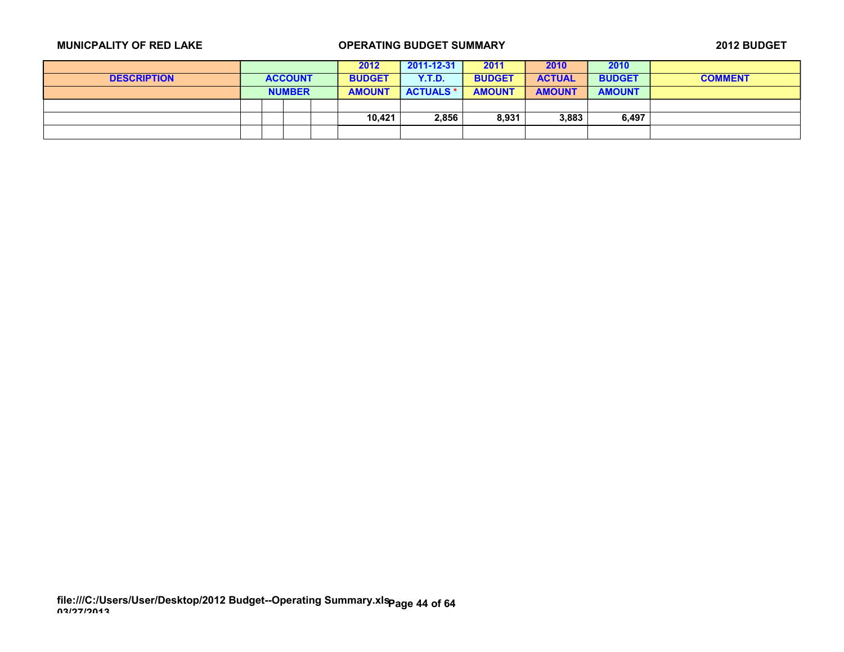|                    |  |                | 2012          | 2011-12-31       | 2011          | 2010          | 2010          |                |
|--------------------|--|----------------|---------------|------------------|---------------|---------------|---------------|----------------|
| <b>DESCRIPTION</b> |  | <b>ACCOUNT</b> | <b>BUDGET</b> | Y.T.D.           | <b>BUDGET</b> | <b>ACTUAL</b> | <b>BUDGET</b> | <b>COMMENT</b> |
|                    |  | <b>NUMBER</b>  | <b>AMOUNT</b> | <b>ACTUALS *</b> | <b>AMOUNT</b> | <b>AMOUNT</b> | <b>AMOUNT</b> |                |
|                    |  |                |               |                  |               |               |               |                |
|                    |  |                | 10,421        | 2,856            | 8,931         | 3,883         | 6,497         |                |
|                    |  |                |               |                  |               |               |               |                |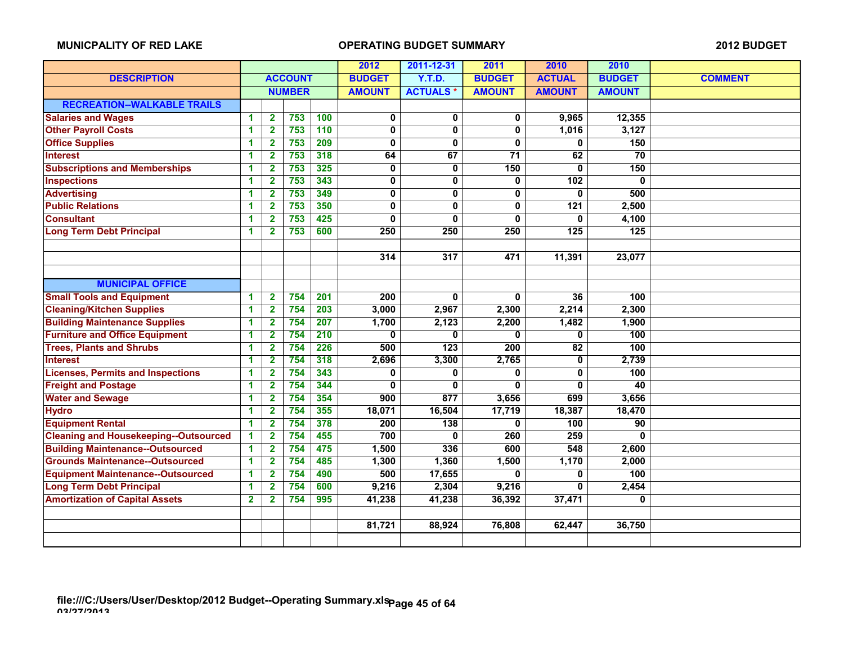|                                              |                         |                         |                  |     | 2012                    | 2011-12-31              | 2011                    | 2010             | 2010             |                |
|----------------------------------------------|-------------------------|-------------------------|------------------|-----|-------------------------|-------------------------|-------------------------|------------------|------------------|----------------|
| <b>DESCRIPTION</b>                           |                         |                         | <b>ACCOUNT</b>   |     | <b>BUDGET</b>           | Y.T.D.                  | <b>BUDGET</b>           | <b>ACTUAL</b>    | <b>BUDGET</b>    | <b>COMMENT</b> |
|                                              |                         |                         | <b>NUMBER</b>    |     | <b>AMOUNT</b>           | <b>ACTUALS*</b>         | <b>AMOUNT</b>           | <b>AMOUNT</b>    | <b>AMOUNT</b>    |                |
| <b>RECREATION--WALKABLE TRAILS</b>           |                         |                         |                  |     |                         |                         |                         |                  |                  |                |
| <b>Salaries and Wages</b>                    | $\blacktriangleleft$    | $\mathbf{2}$            | 753              | 100 | 0                       | 0                       | 0                       | 9,965            | 12,355           |                |
| <b>Other Payroll Costs</b>                   | 1                       | $\overline{2}$          | 753              | 110 | $\mathbf 0$             | $\mathbf 0$             | 0                       | 1,016            | 3,127            |                |
| <b>Office Supplies</b>                       | $\blacktriangleleft$    | $\overline{\mathbf{2}}$ | 753              | 209 | $\mathbf 0$             | 0                       | 0                       | 0                | 150              |                |
| <b>Interest</b>                              | 1                       | $\overline{\mathbf{2}}$ | 753              | 318 | 64                      | 67                      | 71                      | 62               | 70               |                |
| <b>Subscriptions and Memberships</b>         | $\blacktriangleleft$    | $\mathbf{2}$            | 753              | 325 | 0                       | $\mathbf 0$             | 150                     | $\mathbf{0}$     | 150              |                |
| <b>Inspections</b>                           | 1                       | $\overline{\mathbf{2}}$ | 753              | 343 | $\overline{\mathbf{0}}$ | $\overline{\mathbf{0}}$ | $\overline{\mathbf{0}}$ | 102              | 0                |                |
| <b>Advertising</b>                           | 1                       | $\overline{\mathbf{2}}$ | 753              | 349 | $\mathbf 0$             | 0                       | $\mathbf{0}$            | 0                | 500              |                |
| <b>Public Relations</b>                      | 1                       | $\overline{\mathbf{2}}$ | 753              | 350 | $\overline{\mathbf{0}}$ | 0                       | 0                       | $\overline{121}$ | 2,500            |                |
| <b>Consultant</b>                            | 1                       | $\overline{2}$          | $\overline{753}$ | 425 | $\mathbf 0$             | 0                       | $\bf{0}$                | 0                | 4,100            |                |
| <b>Long Term Debt Principal</b>              | 1                       | $\mathbf{2}$            | 753              | 600 | 250                     | 250                     | 250                     | 125              | $\overline{125}$ |                |
|                                              |                         |                         |                  |     |                         |                         |                         |                  |                  |                |
|                                              |                         |                         |                  |     | 314                     | 317                     | 471                     | 11,391           | 23,077           |                |
|                                              |                         |                         |                  |     |                         |                         |                         |                  |                  |                |
| <b>MUNICIPAL OFFICE</b>                      |                         |                         |                  |     |                         |                         |                         |                  |                  |                |
| <b>Small Tools and Equipment</b>             | $\blacktriangleleft$    | $\overline{2}$          | 754              | 201 | 200                     | $\bf{0}$                | $\mathbf{0}$            | 36               | 100              |                |
| <b>Cleaning/Kitchen Supplies</b>             | $\blacktriangleleft$    | $\overline{\mathbf{2}}$ | 754              | 203 | 3,000                   | 2,967                   | 2,300                   | 2,214            | 2,300            |                |
| <b>Building Maintenance Supplies</b>         | $\blacktriangleleft$    | $\mathbf{2}$            | 754              | 207 | 1,700                   | 2,123                   | 2,200                   | 1,482            | 1,900            |                |
| <b>Furniture and Office Equipment</b>        | 1                       | $\mathbf{2}$            | 754              | 210 | 0                       | 0                       | 0                       | 0                | 100              |                |
| <b>Trees, Plants and Shrubs</b>              | $\blacktriangleleft$    | 2                       | 754              | 226 | 500                     | 123                     | 200                     | 82               | 100              |                |
| <b>Interest</b>                              | $\blacktriangleleft$    | 2                       | 754              | 318 | 2,696                   | 3,300                   | 2,765                   | 0                | 2,739            |                |
| <b>Licenses, Permits and Inspections</b>     | 1                       | $\mathbf 2$             | 754              | 343 | 0                       | $\bf{0}$                | 0                       | 0                | 100              |                |
| <b>Freight and Postage</b>                   | 1                       | $\mathbf{2}$            | 754              | 344 | 0                       | 0                       | 0                       | 0                | 40               |                |
| <b>Water and Sewage</b>                      | 1                       | $\overline{\mathbf{2}}$ | 754              | 354 | 900                     | 877                     | 3,656                   | 699              | 3,656            |                |
| <b>Hydro</b>                                 | 1                       | $\mathbf{2}$            | 754              | 355 | 18,071                  | 16,504                  | 17,719                  | 18,387           | 18,470           |                |
| <b>Equipment Rental</b>                      | $\blacktriangleleft$    | $\overline{\mathbf{2}}$ | 754              | 378 | $\overline{200}$        | $\overline{138}$        | $\mathbf 0$             | 100              | 90               |                |
| <b>Cleaning and Housekeeping--Outsourced</b> | $\blacktriangleleft$    | $\mathbf{2}$            | 754              | 455 | 700                     | 0                       | 260                     | 259              | 0                |                |
| <b>Building Maintenance--Outsourced</b>      | 1                       | $\overline{\mathbf{2}}$ | 754              | 475 | 1,500                   | 336                     | 600                     | 548              | 2,600            |                |
| <b>Grounds Maintenance--Outsourced</b>       | $\blacktriangleleft$    | $\mathbf{2}$            | 754              | 485 | 1,300                   | 1,360                   | 1,500                   | 1,170            | 2,000            |                |
| <b>Equipment Maintenance--Outsourced</b>     | $\blacktriangleleft$    | $\overline{\mathbf{2}}$ | 754              | 490 | 500                     | 17,655                  | 0                       | 0                | 100              |                |
| <b>Long Term Debt Principal</b>              | 1                       | $\overline{\mathbf{2}}$ | 754              | 600 | 9,216                   | 2,304                   | 9,216                   | 0                | 2,454            |                |
| <b>Amortization of Capital Assets</b>        | $\overline{\mathbf{2}}$ | $\overline{\mathbf{2}}$ | 754              | 995 | 41,238                  | 41,238                  | 36,392                  | 37,471           | 0                |                |
|                                              |                         |                         |                  |     |                         |                         |                         |                  |                  |                |
|                                              |                         |                         |                  |     | 81,721                  | 88,924                  | 76,808                  | 62,447           | 36,750           |                |
|                                              |                         |                         |                  |     |                         |                         |                         |                  |                  |                |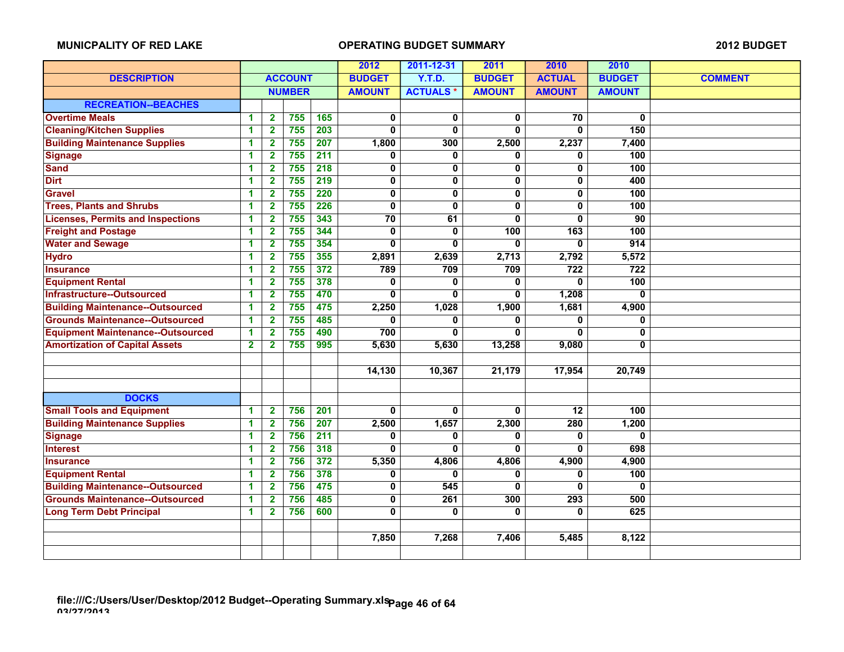|                                          |                |                         |                  |                  | 2012                    | 2011-12-31      | 2011                    | 2010                    | 2010             |                |
|------------------------------------------|----------------|-------------------------|------------------|------------------|-------------------------|-----------------|-------------------------|-------------------------|------------------|----------------|
| <b>DESCRIPTION</b>                       |                |                         | <b>ACCOUNT</b>   |                  | <b>BUDGET</b>           | <b>Y.T.D.</b>   | <b>BUDGET</b>           | <b>ACTUAL</b>           | <b>BUDGET</b>    | <b>COMMENT</b> |
|                                          |                |                         | <b>NUMBER</b>    |                  | <b>AMOUNT</b>           | <b>ACTUALS*</b> | <b>AMOUNT</b>           | <b>AMOUNT</b>           | <b>AMOUNT</b>    |                |
| <b>RECREATION--BEACHES</b>               |                |                         |                  |                  |                         |                 |                         |                         |                  |                |
| <b>Overtime Meals</b>                    | 1              | $\overline{2}$          | 755              | 165              | $\mathbf 0$             | $\mathbf 0$     | $\mathbf{0}$            | 70                      | $\bf{0}$         |                |
| <b>Cleaning/Kitchen Supplies</b>         | $\mathbf{1}$   | $\overline{\mathbf{2}}$ | 755              | 203              | $\mathbf{0}$            | $\mathbf{0}$    | 0                       | 0                       | 150              |                |
| <b>Building Maintenance Supplies</b>     | 1              | $\overline{\mathbf{2}}$ | 755              | 207              | 1,800                   | 300             | 2,500                   | 2,237                   | 7,400            |                |
| <b>Signage</b>                           | 1              | $\mathbf{2}$            | 755              | 211              | 0                       | 0               | 0                       | 0                       | 100              |                |
| <b>Sand</b>                              | 1              | $\mathbf{2}$            | 755              | $\overline{218}$ | 0                       | $\mathbf 0$     | 0                       | 0                       | 100              |                |
| <b>Dirt</b>                              | 1              | $\overline{\mathbf{2}}$ | 755              | $\overline{219}$ | $\overline{\mathbf{0}}$ | $\overline{0}$  | $\overline{\mathbf{0}}$ | $\overline{\mathbf{0}}$ | 400              |                |
| <b>Gravel</b>                            | 1              | $\overline{\mathbf{2}}$ | 755              | 220              | $\overline{\mathbf{0}}$ | $\pmb{0}$       | 0                       | 0                       | 100              |                |
| <b>Trees, Plants and Shrubs</b>          | 1              | $\overline{\mathbf{2}}$ | 755              | 226              | $\bf{0}$                | $\bf{0}$        | 0                       | 0                       | 100              |                |
| <b>Licenses, Permits and Inspections</b> | 1              | $\mathbf{2}$            | $\overline{755}$ | 343              | $\overline{70}$         | 61              | 0                       | 0                       | $\overline{90}$  |                |
| <b>Freight and Postage</b>               | 1              | $\mathbf{2}$            | 755              | 344              | $\mathbf 0$             | $\mathbf 0$     | 100                     | $\frac{163}{ }$         | 100              |                |
| <b>Water and Sewage</b>                  | $\mathbf{1}$   | $\overline{2}$          | 755              | 354              | $\overline{0}$          | $\bf{0}$        | 0                       | 0                       | $\overline{914}$ |                |
| <b>Hydro</b>                             | 1              | $\mathbf{2}$            | 755              | 355              | 2,891                   | 2,639           | 2,713                   | 2,792                   | 5,572            |                |
| <b>Insurance</b>                         | 1              | $\mathbf{2}$            | 755              | 372              | 789                     | 709             | 709                     | 722                     | 722              |                |
| <b>Equipment Rental</b>                  | 1              | $\mathbf{2}$            | 755              | 378              | 0                       | 0               | 0                       | 0                       | 100              |                |
| <b>Infrastructure--Outsourced</b>        | 1              | $\mathbf{2}$            | 755              | 470              | 0                       | 0               | 0                       | 1,208                   | 0                |                |
| <b>Building Maintenance--Outsourced</b>  | 1              | $\mathbf{2}$            | 755              | 475              | 2,250                   | 1,028           | 1,900                   | 1,681                   | 4,900            |                |
| <b>Grounds Maintenance--Outsourced</b>   | 1              | $\mathbf{2}$            | 755              | 485              | 0                       | $\bf{0}$        | 0                       | 0                       | 0                |                |
| <b>Equipment Maintenance--Outsourced</b> | 1              | $\mathbf{2}$            | 755              | 490              | 700                     | 0               | 0                       | 0                       | 0                |                |
| <b>Amortization of Capital Assets</b>    | $\overline{2}$ | $\overline{2}$          | 755              | 995              | 5,630                   | 5,630           | 13,258                  | 9,080                   | $\bf{0}$         |                |
|                                          |                |                         |                  |                  |                         |                 |                         |                         |                  |                |
|                                          |                |                         |                  |                  | 14,130                  | 10,367          | 21,179                  | 17,954                  | 20,749           |                |
|                                          |                |                         |                  |                  |                         |                 |                         |                         |                  |                |
| <b>DOCKS</b>                             |                |                         |                  |                  |                         |                 |                         |                         |                  |                |
| <b>Small Tools and Equipment</b>         | 1              | $\overline{2}$          | 756              | 201              | $\mathbf{0}$            | $\mathbf{0}$    | 0                       | $\overline{12}$         | 100              |                |
| <b>Building Maintenance Supplies</b>     | 1              | $\overline{\mathbf{2}}$ | 756              | 207              | 2,500                   | 1,657           | 2,300                   | 280                     | 1,200            |                |
| <b>Signage</b>                           | 1              | $\mathbf{2}$            | 756              | $\overline{211}$ | 0                       | 0               | 0                       | 0                       | 0                |                |
| <b>Interest</b>                          | 1              | $\mathbf{2}$            | 756              | 318              | 0                       | 0               | 0                       | 0                       | 698              |                |
| <b>Insurance</b>                         | 1              | $\mathbf{2}$            | 756              | 372              | 5,350                   | 4,806           | 4,806                   | 4,900                   | 4,900            |                |
| <b>Equipment Rental</b>                  | 1              | $\mathbf{2}$            | 756              | 378              | 0                       | $\bf{0}$        | 0                       | 0                       | 100              |                |
| <b>Building Maintenance--Outsourced</b>  | 1              | $\overline{\mathbf{2}}$ | 756              | 475              | 0                       | 545             | 0                       | 0                       | 0                |                |
| <b>Grounds Maintenance--Outsourced</b>   | 1              | $\overline{2}$          | 756              | 485              | $\bf{0}$                | 261             | 300                     | 293                     | 500              |                |
| <b>Long Term Debt Principal</b>          | 1              | $\mathbf{2}$            | 756              | 600              | $\mathbf 0$             | 0               | 0                       | 0                       | 625              |                |
|                                          |                |                         |                  |                  |                         |                 |                         |                         |                  |                |
|                                          |                |                         |                  |                  | 7,850                   | 7,268           | 7.406                   | 5,485                   | 8,122            |                |
|                                          |                |                         |                  |                  |                         |                 |                         |                         |                  |                |
|                                          |                |                         |                  |                  |                         |                 |                         |                         |                  |                |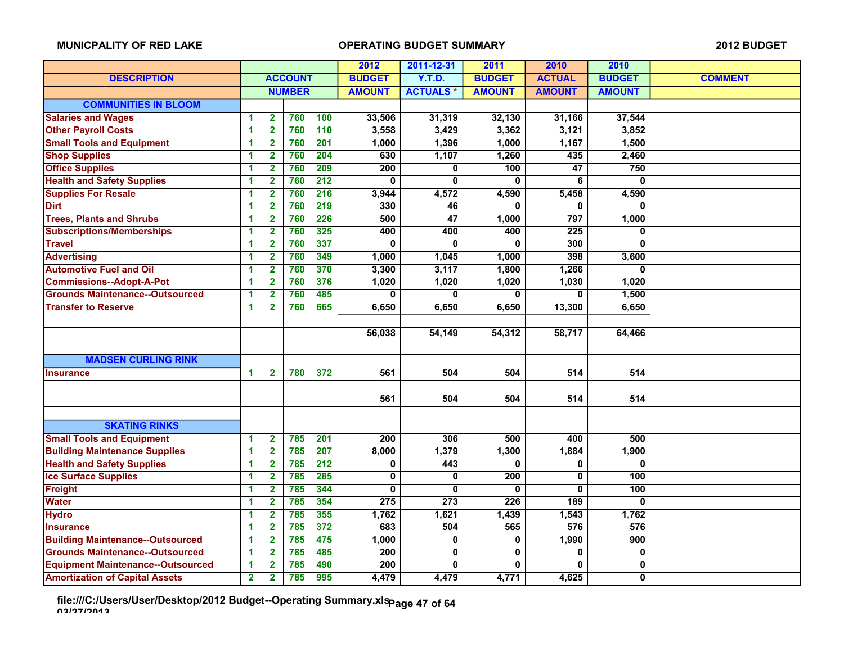|                                          |                |                         |                |                  | 2012             | 2011-12-31      | 2011           | 2010                    | 2010             |                |
|------------------------------------------|----------------|-------------------------|----------------|------------------|------------------|-----------------|----------------|-------------------------|------------------|----------------|
| <b>DESCRIPTION</b>                       |                |                         | <b>ACCOUNT</b> |                  | <b>BUDGET</b>    | Y.T.D.          | <b>BUDGET</b>  | <b>ACTUAL</b>           | <b>BUDGET</b>    | <b>COMMENT</b> |
|                                          |                |                         | <b>NUMBER</b>  |                  | <b>AMOUNT</b>    | <b>ACTUALS*</b> | <b>AMOUNT</b>  | <b>AMOUNT</b>           | <b>AMOUNT</b>    |                |
| <b>COMMUNITIES IN BLOOM</b>              |                |                         |                |                  |                  |                 |                |                         |                  |                |
| <b>Salaries and Wages</b>                | 1              | $\mathbf{2}$            | 760            | 100              | 33,506           | 31,319          | 32,130         | 31,166                  | 37,544           |                |
| <b>Other Payroll Costs</b>               | 1              | $\mathbf{2}$            | 760            | 110              | 3,558            | 3,429           | 3,362          | 3,121                   | 3,852            |                |
| <b>Small Tools and Equipment</b>         | 1              | $\overline{\mathbf{2}}$ | 760            | $\overline{201}$ | 1,000            | 1,396           | 1,000          | 1,167                   | 1,500            |                |
| <b>Shop Supplies</b>                     | 1              | $\mathbf{2}$            | 760            | 204              | 630              | 1,107           | 1,260          | 435                     | 2,460            |                |
| <b>Office Supplies</b>                   | 1              | $\overline{\mathbf{2}}$ | 760            | 209              | 200              | $\bf{0}$        | 100            | $\overline{47}$         | 750              |                |
| <b>Health and Safety Supplies</b>        | 1              | $\mathbf{2}$            | 760            | $\overline{212}$ | $\mathbf{0}$     | 0               | 0              | 6                       | 0                |                |
| <b>Supplies For Resale</b>               | 1              | $\mathbf{2}$            | 760            | 216              | 3,944            | 4,572           | 4,590          | 5,458                   | 4,590            |                |
| <b>Dirt</b>                              | 1              | $\mathbf{2}$            | 760            | $\overline{219}$ | 330              | 46              | 0              | 0                       | $\bf{0}$         |                |
| <b>Trees, Plants and Shrubs</b>          | 1              | $\mathbf{2}$            | 760            | 226              | 500              | $\overline{47}$ | 1,000          | 797                     | 1,000            |                |
| <b>Subscriptions/Memberships</b>         | 1              | $\overline{\mathbf{2}}$ | 760            | 325              | 400              | 400             | 400            | $\overline{225}$        | 0                |                |
| <b>Travel</b>                            | 1              | $\mathbf{2}$            | 760            | 337              | 0                | 0               | 0              | 300                     | 0                |                |
| <b>Advertising</b>                       | 1              | $\mathbf{2}$            | 760            | 349              | 1,000            | 1,045           | 1,000          | 398                     | 3,600            |                |
| <b>Automotive Fuel and Oil</b>           | 1              | $\overline{\mathbf{2}}$ | 760            | 370              | 3,300            | 3,117           | 1,800          | 1,266                   | 0                |                |
| <b>Commissions--Adopt-A-Pot</b>          | 1              | $\mathbf{2}$            | 760            | 376              | 1,020            | 1,020           | 1,020          | 1,030                   | 1,020            |                |
| <b>Grounds Maintenance--Outsourced</b>   | 1              | $\mathbf{2}$            | 760            | 485              | 0                | $\bf{0}$        | $\overline{0}$ | $\overline{0}$          | 1,500            |                |
| <b>Transfer to Reserve</b>               | 1              | $\overline{2}$          | 760            | 665              | 6,650            | 6,650           | 6,650          | 13,300                  | 6,650            |                |
|                                          |                |                         |                |                  |                  |                 |                |                         |                  |                |
|                                          |                |                         |                |                  | 56,038           | 54,149          | 54,312         | 58,717                  | 64,466           |                |
|                                          |                |                         |                |                  |                  |                 |                |                         |                  |                |
| <b>MADSEN CURLING RINK</b>               |                |                         |                |                  |                  |                 |                |                         |                  |                |
| <b>Insurance</b>                         | 1              | $\mathbf{2}$            | 780            | 372              | 561              | 504             | 504            | 514                     | 514              |                |
|                                          |                |                         |                |                  |                  |                 |                |                         |                  |                |
|                                          |                |                         |                |                  | 561              | 504             | 504            | 514                     | $\overline{514}$ |                |
|                                          |                |                         |                |                  |                  |                 |                |                         |                  |                |
| <b>SKATING RINKS</b>                     |                |                         |                |                  |                  |                 |                |                         |                  |                |
| <b>Small Tools and Equipment</b>         | 1              | $\mathbf{2}$            | 785            | 201              | 200              | 306             | 500            | 400                     | 500              |                |
| <b>Building Maintenance Supplies</b>     | 1              | $\mathbf{2}$            | 785            | 207              | 8,000            | 1,379           | 1,300          | 1,884                   | 1,900            |                |
| <b>Health and Safety Supplies</b>        | 1              | $\overline{\mathbf{2}}$ | 785            | $\overline{212}$ | 0                | 443             | 0              | $\overline{\mathbf{0}}$ | $\overline{0}$   |                |
| <b>Ice Surface Supplies</b>              | 1              | $\mathbf{2}$            | 785            | 285              | 0                | $\bf{0}$        | 200            | 0                       | 100              |                |
| Freight                                  | 1              | $\overline{2}$          | 785            | 344              | $\mathbf{0}$     | $\mathbf{0}$    | 0              | 0                       | 100              |                |
| <b>Water</b>                             | 1              | $\mathbf{2}$            | 785            | 354              | $\overline{275}$ | 273             | 226            | 189                     | 0                |                |
| <b>Hydro</b>                             | 1              | $\mathbf{2}$            | 785            | 355              | 1,762            | 1,621           | 1,439          | 1,543                   | 1,762            |                |
| <b>Insurance</b>                         | 1              | $\mathbf{2}$            | 785            | 372              | 683              | 504             | 565            | 576                     | 576              |                |
| <b>Building Maintenance--Outsourced</b>  | 1              | $\mathbf{2}$            | 785            | 475              | 1,000            | $\overline{0}$  | $\overline{0}$ | 1,990                   | 900              |                |
| <b>Grounds Maintenance--Outsourced</b>   | 1              | $\overline{\mathbf{2}}$ | 785            | 485              | 200              | $\mathbf 0$     | 0              | 0                       | 0                |                |
| <b>Equipment Maintenance--Outsourced</b> | 1              | 2                       | 785            | 490              | 200              | 0               | 0              | 0                       | 0                |                |
| <b>Amortization of Capital Assets</b>    | $\overline{2}$ | $\mathbf{2}$            | 785            | 995              | 4,479            | 4,479           | 4,771          | 4,625                   | $\overline{0}$   |                |

**file:///C:/Users/User/Desktop/2012 Budget--Operating Summary.xls 03/27/2013 Page 47 of 64**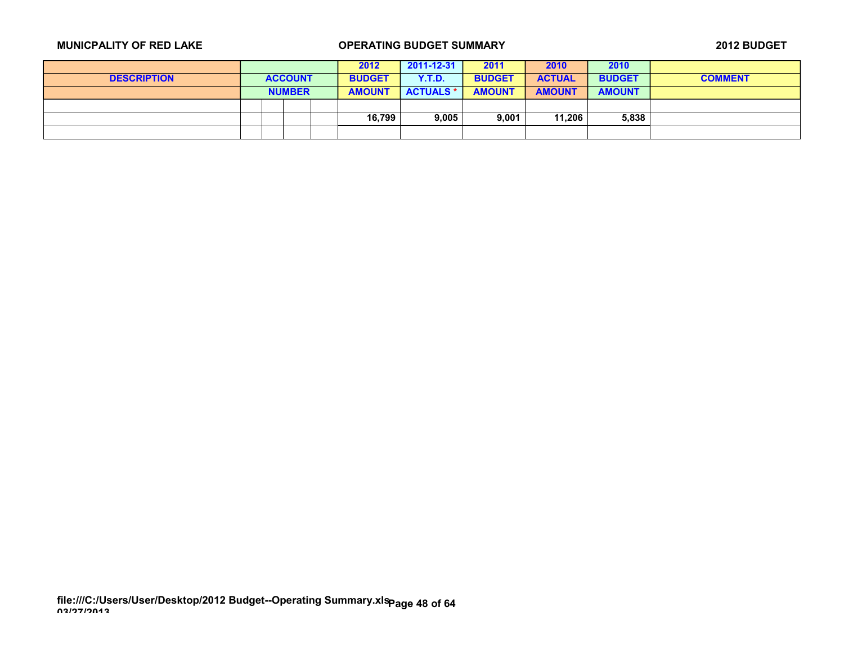|                    |  |                |  | 2012          | 2011-12-31       | 2011          | 2010          | 2010          |                |
|--------------------|--|----------------|--|---------------|------------------|---------------|---------------|---------------|----------------|
| <b>DESCRIPTION</b> |  | <b>ACCOUNT</b> |  | <b>BUDGET</b> | Y.T.D.           | <b>BUDGET</b> | <b>ACTUAL</b> | <b>BUDGET</b> | <b>COMMENT</b> |
|                    |  | <b>NUMBER</b>  |  | <b>AMOUNT</b> | <b>ACTUALS *</b> | <b>AMOUNT</b> | <b>AMOUNT</b> | <b>AMOUNT</b> |                |
|                    |  |                |  |               |                  |               |               |               |                |
|                    |  |                |  | 16,799        | 9,005            | 9,001         | 11,206        | 5,838         |                |
|                    |  |                |  |               |                  |               |               |               |                |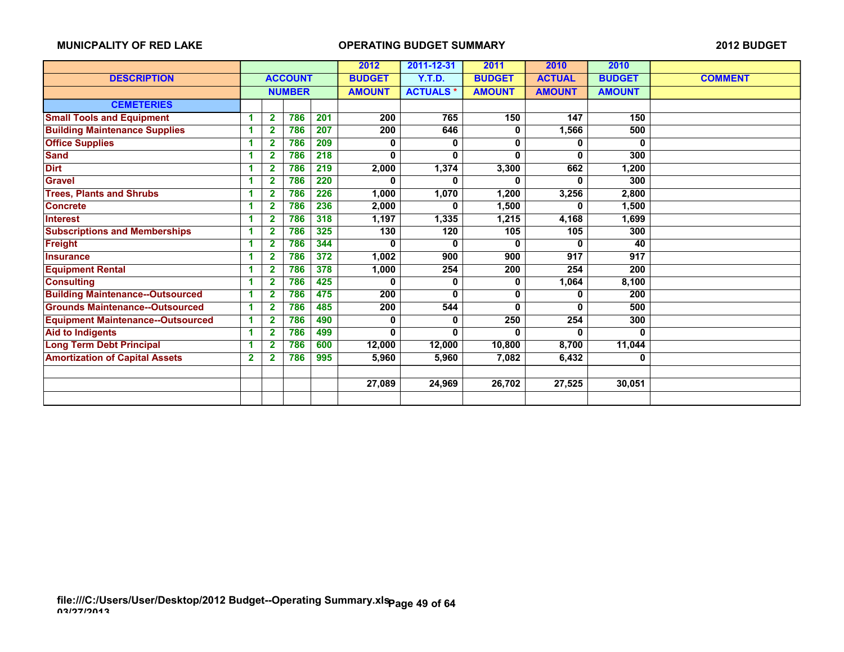|                                          |              |                |                | 2012 | 2011-12-31    | 2011            | 2010          | 2010          |               |                |
|------------------------------------------|--------------|----------------|----------------|------|---------------|-----------------|---------------|---------------|---------------|----------------|
| <b>DESCRIPTION</b>                       |              |                | <b>ACCOUNT</b> |      | <b>BUDGET</b> | <b>Y.T.D.</b>   | <b>BUDGET</b> | <b>ACTUAL</b> | <b>BUDGET</b> | <b>COMMENT</b> |
|                                          |              |                | <b>NUMBER</b>  |      | <b>AMOUNT</b> | <b>ACTUALS*</b> | <b>AMOUNT</b> | <b>AMOUNT</b> | <b>AMOUNT</b> |                |
| <b>CEMETERIES</b>                        |              |                |                |      |               |                 |               |               |               |                |
| <b>Small Tools and Equipment</b>         |              | $\overline{2}$ | 786            | 201  | 200           | 765             | 150           | 147           | 150           |                |
| <b>Building Maintenance Supplies</b>     | 4            | $\overline{2}$ | 786            | 207  | 200           | 646             | 0             | 1,566         | 500           |                |
| <b>Office Supplies</b>                   | 1            | $\overline{2}$ | 786            | 209  | 0             | 0               | 0             | 0             | 0             |                |
| <b>Sand</b>                              | 1            | $\mathbf{2}$   | 786            | 218  | $\bf{0}$      | 0               | 0             | 0             | 300           |                |
| <b>Dirt</b>                              | 1            | 2              | 786            | 219  | 2,000         | 1,374           | 3,300         | 662           | 1,200         |                |
| <b>Gravel</b>                            | 1            | $\mathbf{2}$   | 786            | 220  | $\bf{0}$      | 0               | 0             | 0             | 300           |                |
| <b>Trees, Plants and Shrubs</b>          | 1            | $\overline{2}$ | 786            | 226  | 1,000         | 1,070           | 1,200         | 3,256         | 2,800         |                |
| <b>Concrete</b>                          | 1            | $\mathbf{2}$   | 786            | 236  | 2,000         | 0               | 1,500         | 0             | 1,500         |                |
| <b>Interest</b>                          | и            | 2              | 786            | 318  | 1,197         | 1,335           | 1,215         | 4,168         | 1,699         |                |
| <b>Subscriptions and Memberships</b>     | 1            | $\overline{2}$ | 786            | 325  | 130           | 120             | 105           | 105           | 300           |                |
| <b>Freight</b>                           | 1            | $\mathbf{2}$   | 786            | 344  | 0             | 0               | 0             | 0             | 40            |                |
| <b>Insurance</b>                         | 1            | 2              | 786            | 372  | 1,002         | 900             | 900           | 917           | 917           |                |
| <b>Equipment Rental</b>                  | 1            | $\mathbf{2}$   | 786            | 378  | 1,000         | 254             | 200           | 254           | 200           |                |
| <b>Consulting</b>                        | 1            | $\mathbf{2}$   | 786            | 425  | 0             | 0               | 0             | 1,064         | 8,100         |                |
| <b>Building Maintenance--Outsourced</b>  | 1            | $\mathbf{2}$   | 786            | 475  | 200           | 0               | 0             | 0             | 200           |                |
| <b>Grounds Maintenance--Outsourced</b>   | и            | 2              | 786            | 485  | 200           | 544             | 0             | 0             | 500           |                |
| <b>Equipment Maintenance--Outsourced</b> | -1           | $\overline{2}$ | 786            | 490  | 0             | 0               | 250           | 254           | 300           |                |
| <b>Aid to Indigents</b>                  | 1            | $\overline{2}$ | 786            | 499  | $\bf{0}$      | 0               | $\Omega$      | 0             | O             |                |
| <b>Long Term Debt Principal</b>          | 1            | $\mathbf{2}$   | 786            | 600  | 12,000        | 12,000          | 10,800        | 8,700         | 11,044        |                |
| <b>Amortization of Capital Assets</b>    | $\mathbf{2}$ | $\mathbf{2}$   | 786            | 995  | 5,960         | 5,960           | 7,082         | 6,432         | 0             |                |
|                                          |              |                |                |      |               |                 |               |               |               |                |
|                                          |              |                |                |      | 27,089        | 24,969          | 26,702        | 27,525        | 30,051        |                |
|                                          |              |                |                |      |               |                 |               |               |               |                |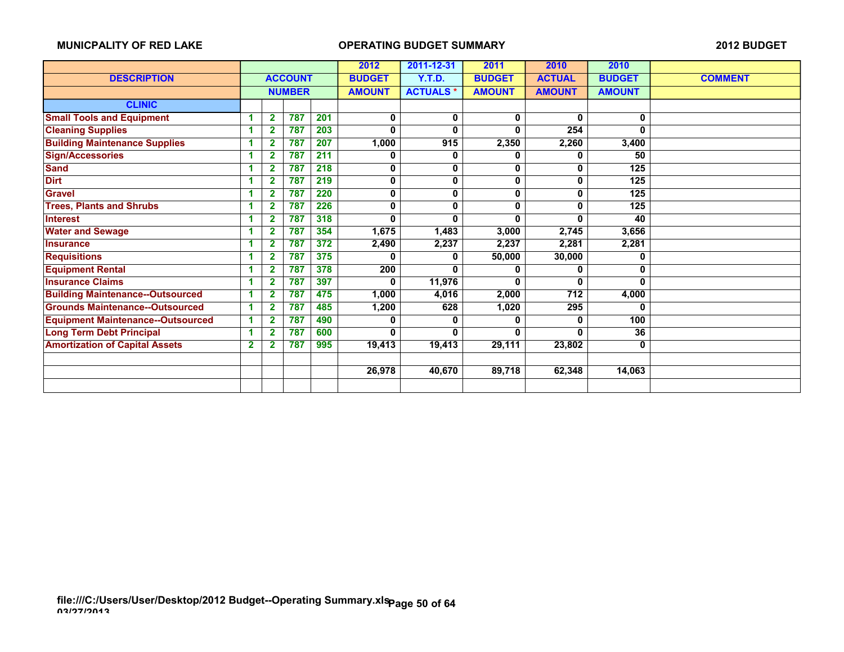|                                          |                |                |                | 2012 | 2011-12-31    | 2011            | 2010          | 2010          |                  |                |
|------------------------------------------|----------------|----------------|----------------|------|---------------|-----------------|---------------|---------------|------------------|----------------|
| <b>DESCRIPTION</b>                       |                |                | <b>ACCOUNT</b> |      | <b>BUDGET</b> | <b>Y.T.D.</b>   | <b>BUDGET</b> | <b>ACTUAL</b> | <b>BUDGET</b>    | <b>COMMENT</b> |
|                                          |                |                | <b>NUMBER</b>  |      | <b>AMOUNT</b> | <b>ACTUALS*</b> | <b>AMOUNT</b> | <b>AMOUNT</b> | <b>AMOUNT</b>    |                |
| <b>CLINIC</b>                            |                |                |                |      |               |                 |               |               |                  |                |
| <b>Small Tools and Equipment</b>         | и              | $\overline{2}$ | 787            | 201  | 0             | 0               | 0             | 0             | 0                |                |
| <b>Cleaning Supplies</b>                 | 4              | $\overline{2}$ | 787            | 203  | $\mathbf 0$   | 0               | 0             | 254           | 0                |                |
| <b>Building Maintenance Supplies</b>     | 1              | $\mathbf{2}$   | 787            | 207  | 1,000         | 915             | 2,350         | 2,260         | 3,400            |                |
| <b>Sign/Accessories</b>                  | 4              | $\mathbf 2$    | 787            | 211  | 0             | 0               | Λ             | 0             | 50               |                |
| <b>Sand</b>                              |                | $\overline{2}$ | 787            | 218  | 0             | 0               | 0             | 0             | $\overline{125}$ |                |
| <b>Dirt</b>                              | и              | $\overline{2}$ | 787            | 219  | 0             | 0               | 0             | 0             | 125              |                |
| <b>Gravel</b>                            | 4              | $\overline{2}$ | 787            | 220  | 0             | 0               | 0             | 0             | $\overline{125}$ |                |
| <b>Trees, Plants and Shrubs</b>          | 1              | $\overline{2}$ | 787            | 226  | 0             | 0               | 0             | 0             | 125              |                |
| <b>Interest</b>                          | 1              | $\mathbf{2}$   | 787            | 318  | 0             | 0               | 0             | 0             | 40               |                |
| <b>Water and Sewage</b>                  | 4              | 2              | 787            | 354  | 1,675         | 1,483           | 3,000         | 2,745         | 3,656            |                |
| <b>Insurance</b>                         | и              | $\mathbf{2}$   | 787            | 372  | 2,490         | 2,237           | 2,237         | 2,281         | 2,281            |                |
| <b>Requisitions</b>                      | и              | $\overline{2}$ | 787            | 375  | 0             | 0               | 50,000        | 30,000        | 0                |                |
| <b>Equipment Rental</b>                  | 1              | $\overline{2}$ | 787            | 378  | 200           | 0               | 0             | 0             | 0                |                |
| <b>Insurance Claims</b>                  | 4              | $\mathbf{2}$   | 787            | 397  | 0             | 11,976          | 0             | 0             | O                |                |
| <b>Building Maintenance--Outsourced</b>  | 1              | $\overline{2}$ | 787            | 475  | 1,000         | 4,016           | 2,000         | 712           | 4,000            |                |
| <b>Grounds Maintenance--Outsourced</b>   | -1             | $\overline{2}$ | 787            | 485  | 1,200         | 628             | 1,020         | 295           | 0                |                |
| <b>Equipment Maintenance--Outsourced</b> | и              | $\overline{2}$ | 787            | 490  | 0             | 0               | Λ             | 0             | 100              |                |
| <b>Long Term Debt Principal</b>          | -1             | $\overline{2}$ | 787            | 600  | $\bf{0}$      | 0               | 0             | 0             | 36               |                |
| <b>Amortization of Capital Assets</b>    | $\overline{2}$ | $\overline{2}$ | 787            | 995  | 19,413        | 19,413          | 29,111        | 23,802        | 0                |                |
|                                          |                |                |                |      |               |                 |               |               |                  |                |
|                                          |                |                |                |      | 26,978        | 40,670          | 89,718        | 62,348        | 14,063           |                |
|                                          |                |                |                |      |               |                 |               |               |                  |                |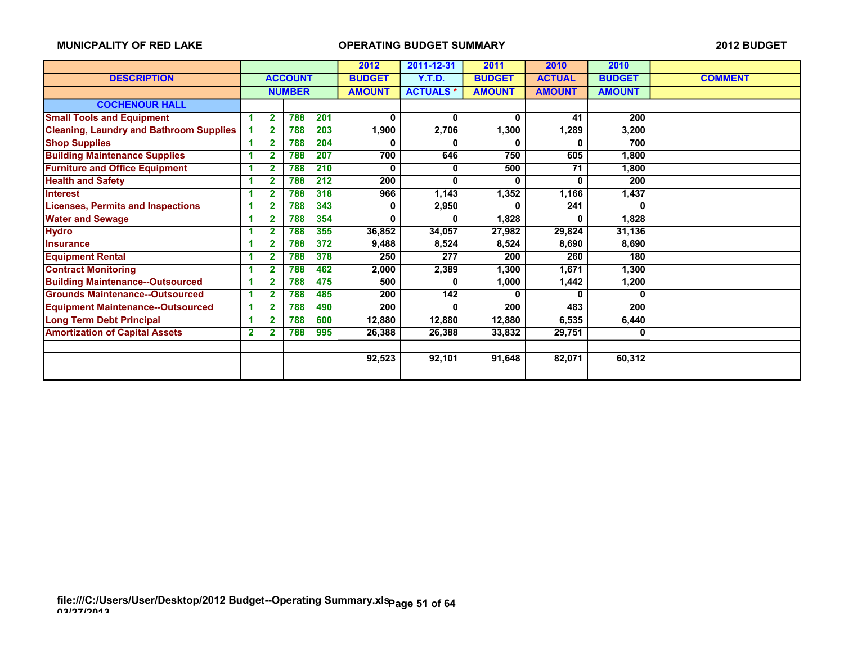|                                                |              |                         |                | 2012 | 2011-12-31    | 2011            | 2010          | 2010          |               |                |
|------------------------------------------------|--------------|-------------------------|----------------|------|---------------|-----------------|---------------|---------------|---------------|----------------|
| <b>DESCRIPTION</b>                             |              |                         | <b>ACCOUNT</b> |      | <b>BUDGET</b> | Y.T.D.          | <b>BUDGET</b> | <b>ACTUAL</b> | <b>BUDGET</b> | <b>COMMENT</b> |
|                                                |              |                         | <b>NUMBER</b>  |      | <b>AMOUNT</b> | <b>ACTUALS*</b> | <b>AMOUNT</b> | <b>AMOUNT</b> | <b>AMOUNT</b> |                |
| <b>COCHENOUR HALL</b>                          |              |                         |                |      |               |                 |               |               |               |                |
| <b>Small Tools and Equipment</b>               |              | $\mathbf{2}$            | 788            | 201  | 0             | $\bf{0}$        | $\bf{0}$      | 41            | 200           |                |
| <b>Cleaning, Laundry and Bathroom Supplies</b> |              | $\overline{2}$          | 788            | 203  | 1,900         | 2,706           | 1,300         | 1,289         | 3,200         |                |
| <b>Shop Supplies</b>                           |              | $\overline{2}$          | 788            | 204  |               | n               |               | 0             | 700           |                |
| <b>Building Maintenance Supplies</b>           |              | $\mathbf 2$             | 788            | 207  | 700           | 646             | 750           | 605           | 1,800         |                |
| <b>Furniture and Office Equipment</b>          |              | $\overline{2}$          | 788            | 210  | o             | 0               | 500           | 71            | 1,800         |                |
| <b>Health and Safety</b>                       |              | $\overline{2}$          | 788            | 212  | 200           | 0               | $\mathbf{0}$  | 0             | 200           |                |
| <b>Interest</b>                                |              | $\overline{\mathbf{2}}$ | 788            | 318  | 966           | 1,143           | 1,352         | 1,166         | 1,437         |                |
| <b>Licenses, Permits and Inspections</b>       |              | $\overline{2}$          | 788            | 343  | 0             | 2,950           | 0             | 241           | 0             |                |
| <b>Water and Sewage</b>                        |              | $\overline{2}$          | 788            | 354  | 0             |                 | 1,828         | 0             | 1,828         |                |
| <b>Hydro</b>                                   |              | $\overline{2}$          | 788            | 355  | 36,852        | 34,057          | 27,982        | 29,824        | 31,136        |                |
| <b>Insurance</b>                               |              | $\overline{\mathbf{2}}$ | 788            | 372  | 9,488         | 8,524           | 8,524         | 8,690         | 8,690         |                |
| <b>Equipment Rental</b>                        |              | $\overline{2}$          | 788            | 378  | 250           | 277             | 200           | 260           | 180           |                |
| <b>Contract Monitoring</b>                     |              | $\overline{\mathbf{2}}$ | 788            | 462  | 2,000         | 2,389           | 1,300         | 1,671         | 1,300         |                |
| <b>Building Maintenance--Outsourced</b>        |              | $\mathbf{2}$            | 788            | 475  | 500           | 0               | 1,000         | 1,442         | 1,200         |                |
| <b>Grounds Maintenance--Outsourced</b>         |              | $\overline{2}$          | 788            | 485  | 200           | 142             | 0             | 0             | 0             |                |
| <b>Equipment Maintenance--Outsourced</b>       |              | $\overline{2}$          | 788            | 490  | 200           | n.              | 200           | 483           | 200           |                |
| <b>Long Term Debt Principal</b>                |              | $\overline{2}$          | 788            | 600  | 12,880        | 12,880          | 12,880        | 6,535         | 6,440         |                |
| <b>Amortization of Capital Assets</b>          | $\mathbf{2}$ | 2                       | 788            | 995  | 26,388        | 26,388          | 33,832        | 29,751        | 0             |                |
|                                                |              |                         |                |      |               |                 |               |               |               |                |
|                                                |              |                         |                |      | 92,523        | 92,101          | 91,648        | 82,071        | 60,312        |                |
|                                                |              |                         |                |      |               |                 |               |               |               |                |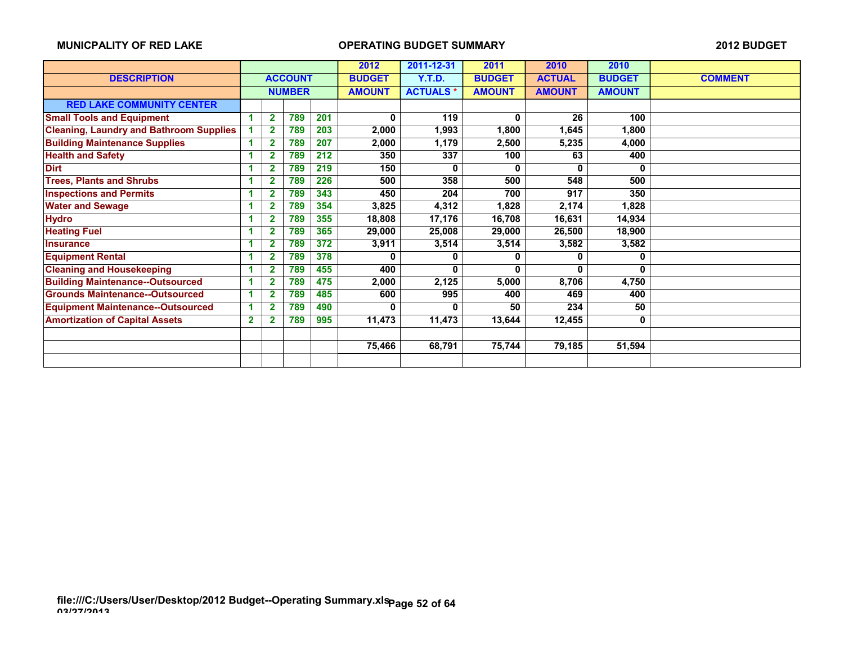|                                                |                         |                         |                |     | 2012          | 2011-12-31      | 2011          | 2010          | 2010          |                |
|------------------------------------------------|-------------------------|-------------------------|----------------|-----|---------------|-----------------|---------------|---------------|---------------|----------------|
| <b>DESCRIPTION</b>                             |                         |                         | <b>ACCOUNT</b> |     | <b>BUDGET</b> | <b>Y.T.D.</b>   | <b>BUDGET</b> | <b>ACTUAL</b> | <b>BUDGET</b> | <b>COMMENT</b> |
|                                                |                         |                         | <b>NUMBER</b>  |     | <b>AMOUNT</b> | <b>ACTUALS*</b> | <b>AMOUNT</b> | <b>AMOUNT</b> | <b>AMOUNT</b> |                |
| <b>RED LAKE COMMUNITY CENTER</b>               |                         |                         |                |     |               |                 |               |               |               |                |
| <b>Small Tools and Equipment</b>               |                         | $\mathbf{2}$            | 789            | 201 | 0             | 119             | 0             | 26            | 100           |                |
| <b>Cleaning, Laundry and Bathroom Supplies</b> |                         | $\overline{2}$          | 789            | 203 | 2,000         | 1,993           | 1,800         | 1,645         | 1,800         |                |
| <b>Building Maintenance Supplies</b>           |                         | $\overline{2}$          | 789            | 207 | 2,000         | 1,179           | 2,500         | 5,235         | 4,000         |                |
| <b>Health and Safety</b>                       |                         | $\overline{\mathbf{2}}$ | 789            | 212 | 350           | 337             | 100           | 63            | 400           |                |
| <b>Dirt</b>                                    |                         | 2                       | 789            | 219 | 150           | 0               | 0             | 0             | 0             |                |
| <b>Trees, Plants and Shrubs</b>                |                         | $\overline{2}$          | 789            | 226 | 500           | 358             | 500           | 548           | 500           |                |
| <b>Inspections and Permits</b>                 |                         | $\overline{2}$          | 789            | 343 | 450           | 204             | 700           | 917           | 350           |                |
| <b>Water and Sewage</b>                        |                         | $\overline{2}$          | 789            | 354 | 3,825         | 4,312           | 1,828         | 2,174         | 1,828         |                |
| <b>Hydro</b>                                   |                         | $\overline{\mathbf{2}}$ | 789            | 355 | 18,808        | 17,176          | 16,708        | 16,631        | 14,934        |                |
| <b>Heating Fuel</b>                            |                         | $\overline{2}$          | 789            | 365 | 29,000        | 25,008          | 29,000        | 26,500        | 18,900        |                |
| <b>Insurance</b>                               |                         | $\overline{\mathbf{2}}$ | 789            | 372 | 3,911         | 3,514           | 3,514         | 3,582         | 3,582         |                |
| <b>Equipment Rental</b>                        |                         | 2                       | 789            | 378 |               | 0               | 0             | 0             | 0             |                |
| <b>Cleaning and Housekeeping</b>               |                         | $\overline{2}$          | 789            | 455 | 400           | 0               | 0             | 0             | 0             |                |
| <b>Building Maintenance--Outsourced</b>        |                         | $\mathbf{2}$            | 789            | 475 | 2,000         | 2,125           | 5,000         | 8,706         | 4,750         |                |
| <b>Grounds Maintenance--Outsourced</b>         |                         | $\mathbf 2$             | 789            | 485 | 600           | 995             | 400           | 469           | 400           |                |
| <b>Equipment Maintenance--Outsourced</b>       |                         | $\overline{2}$          | 789            | 490 | 0             | 0               | 50            | 234           | 50            |                |
| <b>Amortization of Capital Assets</b>          | $\overline{\mathbf{2}}$ |                         | 789            | 995 | 11,473        | 11,473          | 13,644        | 12,455        | $\mathbf 0$   |                |
|                                                |                         |                         |                |     |               |                 |               |               |               |                |
|                                                |                         |                         |                |     | 75,466        | 68,791          | 75,744        | 79,185        | 51,594        |                |
|                                                |                         |                         |                |     |               |                 |               |               |               |                |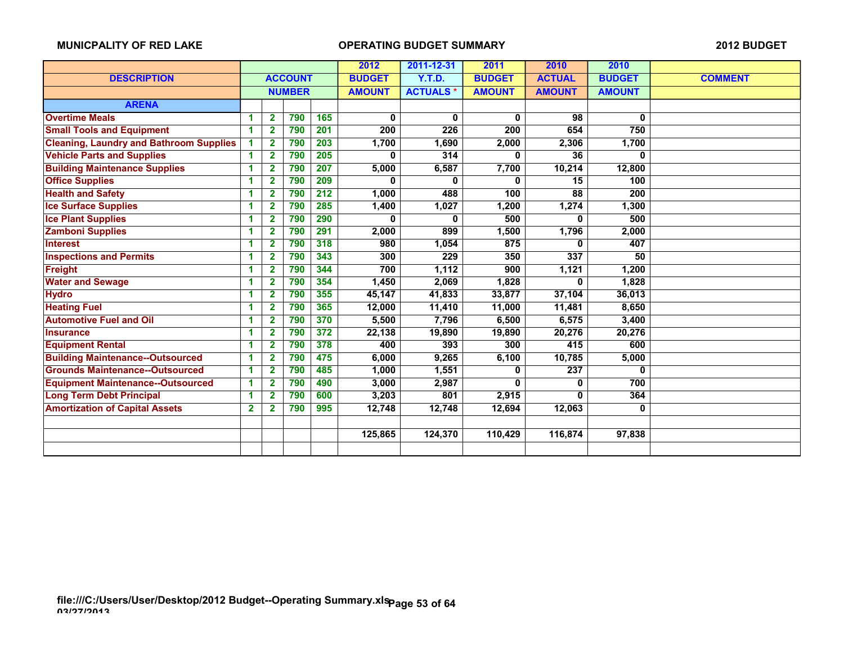|                                                |              |                |                | 2012 | 2011-12-31    | 2011            | 2010          | 2010          |               |                |
|------------------------------------------------|--------------|----------------|----------------|------|---------------|-----------------|---------------|---------------|---------------|----------------|
| <b>DESCRIPTION</b>                             |              |                | <b>ACCOUNT</b> |      | <b>BUDGET</b> | <b>Y.T.D.</b>   | <b>BUDGET</b> | <b>ACTUAL</b> | <b>BUDGET</b> | <b>COMMENT</b> |
|                                                |              |                | <b>NUMBER</b>  |      | <b>AMOUNT</b> | <b>ACTUALS*</b> | <b>AMOUNT</b> | <b>AMOUNT</b> | <b>AMOUNT</b> |                |
| <b>ARENA</b>                                   |              |                |                |      |               |                 |               |               |               |                |
| <b>Overtime Meals</b>                          | 1            | $\mathbf{2}$   | 790            | 165  | 0             | 0               | $\mathbf{0}$  | 98            | 0             |                |
| <b>Small Tools and Equipment</b>               | 1            | $\mathbf{2}$   | 790            | 201  | 200           | 226             | 200           | 654           | 750           |                |
| <b>Cleaning, Laundry and Bathroom Supplies</b> | 1            | $\mathbf{2}$   | 790            | 203  | 1,700         | 1,690           | 2,000         | 2,306         | 1,700         |                |
| <b>Vehicle Parts and Supplies</b>              | 1            | $\overline{2}$ | 790            | 205  | 0             | 314             | 0             | 36            | 0             |                |
| <b>Building Maintenance Supplies</b>           | 1            | $\overline{2}$ | 790            | 207  | 5,000         | 6,587           | 7,700         | 10,214        | 12,800        |                |
| <b>Office Supplies</b>                         | -1           | $\overline{2}$ | 790            | 209  | O             | 0               | 0             | 15            | 100           |                |
| <b>Health and Safety</b>                       | 1            | $\overline{2}$ | 790            | 212  | 1,000         | 488             | 100           | 88            | 200           |                |
| <b>Ice Surface Supplies</b>                    | 1            | $\mathbf{2}$   | 790            | 285  | 1,400         | 1,027           | 1,200         | 1,274         | 1,300         |                |
| <b>Ice Plant Supplies</b>                      | 1            | $\overline{2}$ | 790            | 290  | 0             | 0               | 500           | 0             | 500           |                |
| <b>Zamboni Supplies</b>                        | 1            | $\overline{2}$ | 790            | 291  | 2,000         | 899             | 1,500         | 1,796         | 2,000         |                |
| <b>Interest</b>                                | 1            | $\overline{2}$ | 790            | 318  | 980           | 1,054           | 875           | 0             | 407           |                |
| <b>Inspections and Permits</b>                 | 1            | $\overline{2}$ | 790            | 343  | 300           | 229             | 350           | 337           | 50            |                |
| <b>Freight</b>                                 | 1            | 2              | 790            | 344  | 700           | 1,112           | 900           | 1,121         | 1,200         |                |
| <b>Water and Sewage</b>                        | 1            | $\mathbf{2}$   | 790            | 354  | 1,450         | 2,069           | 1,828         | 0             | 1,828         |                |
| <b>Hydro</b>                                   | 1            | 2              | 790            | 355  | 45,147        | 41,833          | 33,877        | 37,104        | 36,013        |                |
| <b>Heating Fuel</b>                            | 1            | $\overline{2}$ | 790            | 365  | 12,000        | 11,410          | 11,000        | 11,481        | 8,650         |                |
| <b>Automotive Fuel and Oil</b>                 | 1            | $\overline{2}$ | 790            | 370  | 5,500         | 7,796           | 6,500         | 6,575         | 3,400         |                |
| <b>Insurance</b>                               | 1            | $\overline{2}$ | 790            | 372  | 22,138        | 19,890          | 19,890        | 20,276        | 20,276        |                |
| <b>Equipment Rental</b>                        | -1           | $\mathbf{2}$   | 790            | 378  | 400           | 393             | 300           | 415           | 600           |                |
| <b>Building Maintenance--Outsourced</b>        | -1           | $\overline{2}$ | 790            | 475  | 6,000         | 9,265           | 6,100         | 10,785        | 5,000         |                |
| <b>Grounds Maintenance--Outsourced</b>         | 1            | $\mathbf{2}$   | 790            | 485  | 1,000         | 1,551           | 0             | 237           | $\mathbf{0}$  |                |
| <b>Equipment Maintenance--Outsourced</b>       | -1           | 2              | 790            | 490  | 3,000         | 2,987           | 0             | 0             | 700           |                |
| <b>Long Term Debt Principal</b>                | 1            | $\overline{2}$ | 790            | 600  | 3,203         | 801             | 2,915         | 0             | 364           |                |
| <b>Amortization of Capital Assets</b>          | $\mathbf{2}$ | 2              | 790            | 995  | 12,748        | 12,748          | 12,694        | 12,063        | 0             |                |
|                                                |              |                |                |      |               |                 |               |               |               |                |
|                                                |              |                |                |      | 125,865       | 124,370         | 110,429       | 116.874       | 97,838        |                |
|                                                |              |                |                |      |               |                 |               |               |               |                |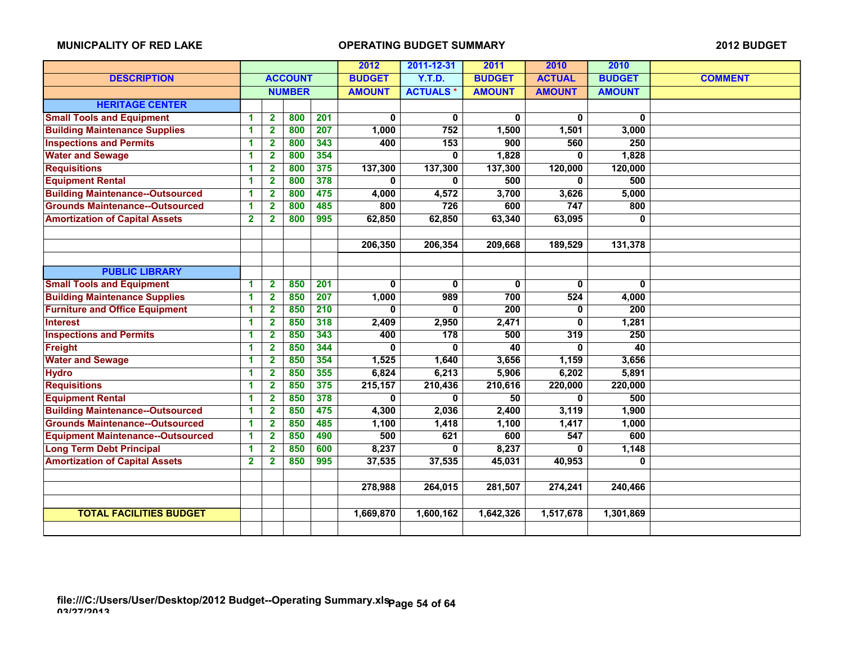|                                          |                         |                         |                |     | 2012          | 2011-12-31      | 2011          | 2010          | 2010          |                |
|------------------------------------------|-------------------------|-------------------------|----------------|-----|---------------|-----------------|---------------|---------------|---------------|----------------|
| <b>DESCRIPTION</b>                       |                         |                         | <b>ACCOUNT</b> |     | <b>BUDGET</b> | <b>Y.T.D.</b>   | <b>BUDGET</b> | <b>ACTUAL</b> | <b>BUDGET</b> | <b>COMMENT</b> |
|                                          |                         |                         | <b>NUMBER</b>  |     | <b>AMOUNT</b> | <b>ACTUALS*</b> | <b>AMOUNT</b> | <b>AMOUNT</b> | <b>AMOUNT</b> |                |
| <b>HERITAGE CENTER</b>                   |                         |                         |                |     |               |                 |               |               |               |                |
| <b>Small Tools and Equipment</b>         | 1                       | $\overline{\mathbf{2}}$ | 800            | 201 | 0             | 0               | 0             | 0             | 0             |                |
| <b>Building Maintenance Supplies</b>     | 1                       | $\mathbf{2}$            | 800            | 207 | 1,000         | 752             | 1,500         | 1,501         | 3,000         |                |
| <b>Inspections and Permits</b>           | 1                       | $\mathbf{2}$            | 800            | 343 | 400           | 153             | 900           | 560           | 250           |                |
| <b>Water and Sewage</b>                  | 1                       | $\mathbf{2}$            | 800            | 354 |               | $\bf{0}$        | 1,828         | 0             | 1,828         |                |
| <b>Requisitions</b>                      | 1                       | $\mathbf{2}$            | 800            | 375 | 137,300       | 137,300         | 137,300       | 120,000       | 120,000       |                |
| <b>Equipment Rental</b>                  | 1                       | $\mathbf{2}$            | 800            | 378 | 0             | 0               | 500           | 0             | 500           |                |
| <b>Building Maintenance--Outsourced</b>  | 1                       | $\mathbf{2}$            | 800            | 475 | 4,000         | 4,572           | 3,700         | 3,626         | 5,000         |                |
| <b>Grounds Maintenance--Outsourced</b>   | 1                       | $\mathbf{2}$            | 800            | 485 | 800           | 726             | 600           | 747           | 800           |                |
| <b>Amortization of Capital Assets</b>    | $\overline{\mathbf{2}}$ | $\overline{\mathbf{2}}$ | 800            | 995 | 62,850        | 62,850          | 63,340        | 63,095        | 0             |                |
|                                          |                         |                         |                |     |               |                 |               |               |               |                |
|                                          |                         |                         |                |     | 206,350       | 206,354         | 209,668       | 189,529       | 131,378       |                |
|                                          |                         |                         |                |     |               |                 |               |               |               |                |
| <b>PUBLIC LIBRARY</b>                    |                         |                         |                |     |               |                 |               |               |               |                |
| <b>Small Tools and Equipment</b>         | 1                       | $\overline{\mathbf{2}}$ | 850            | 201 | 0             | 0               | 0             | 0             | 0             |                |
| <b>Building Maintenance Supplies</b>     | 1                       | $\overline{\mathbf{2}}$ | 850            | 207 | 1,000         | 989             | 700           | 524           | 4,000         |                |
| <b>Furniture and Office Equipment</b>    | 1                       | $\mathbf{2}$            | 850            | 210 | 0             | 0               | 200           | 0             | 200           |                |
| <b>Interest</b>                          | 1                       | 2                       | 850            | 318 | 2,409         | 2,950           | 2,471         | 0             | 1,281         |                |
| <b>Inspections and Permits</b>           | 1                       | 2                       | 850            | 343 | 400           | 178             | 500           | 319           | 250           |                |
| <b>Freight</b>                           | 1                       | $\mathbf{2}$            | 850            | 344 | O             | 0               | 40            | 0             | 40            |                |
| <b>Water and Sewage</b>                  | 1                       | $\mathbf{2}$            | 850            | 354 | 1,525         | 1,640           | 3,656         | 1,159         | 3,656         |                |
| <b>Hydro</b>                             | 1                       | $\mathbf{2}$            | 850            | 355 | 6,824         | 6,213           | 5,906         | 6,202         | 5,891         |                |
| <b>Requisitions</b>                      | 1                       | 2                       | 850            | 375 | 215,157       | 210,436         | 210,616       | 220,000       | 220,000       |                |
| <b>Equipment Rental</b>                  | 1                       | 2                       | 850            | 378 | 0             | 0               | 50            | 0             | 500           |                |
| <b>Building Maintenance--Outsourced</b>  | 1                       | 2                       | 850            | 475 | 4,300         | 2,036           | 2,400         | 3,119         | 1,900         |                |
| <b>Grounds Maintenance--Outsourced</b>   | 1                       | 2                       | 850            | 485 | 1,100         | 1,418           | 1,100         | 1,417         | 1,000         |                |
| <b>Equipment Maintenance--Outsourced</b> | 1                       | 2                       | 850            | 490 | 500           | 621             | 600           | 547           | 600           |                |
| <b>Long Term Debt Principal</b>          | 1                       | 2                       | 850            | 600 | 8,237         | 0               | 8,237         | 0             | 1,148         |                |
| <b>Amortization of Capital Assets</b>    | $\mathbf{2}$            | 2                       | 850            | 995 | 37,535        | 37,535          | 45,031        | 40,953        | 0             |                |
|                                          |                         |                         |                |     |               |                 |               |               |               |                |
|                                          |                         |                         |                |     | 278,988       | 264,015         | 281,507       | 274,241       | 240,466       |                |
|                                          |                         |                         |                |     |               |                 |               |               |               |                |
| <b>TOTAL FACILITIES BUDGET</b>           |                         |                         |                |     | 1,669,870     | 1,600,162       | 1,642,326     | 1,517,678     | 1,301,869     |                |
|                                          |                         |                         |                |     |               |                 |               |               |               |                |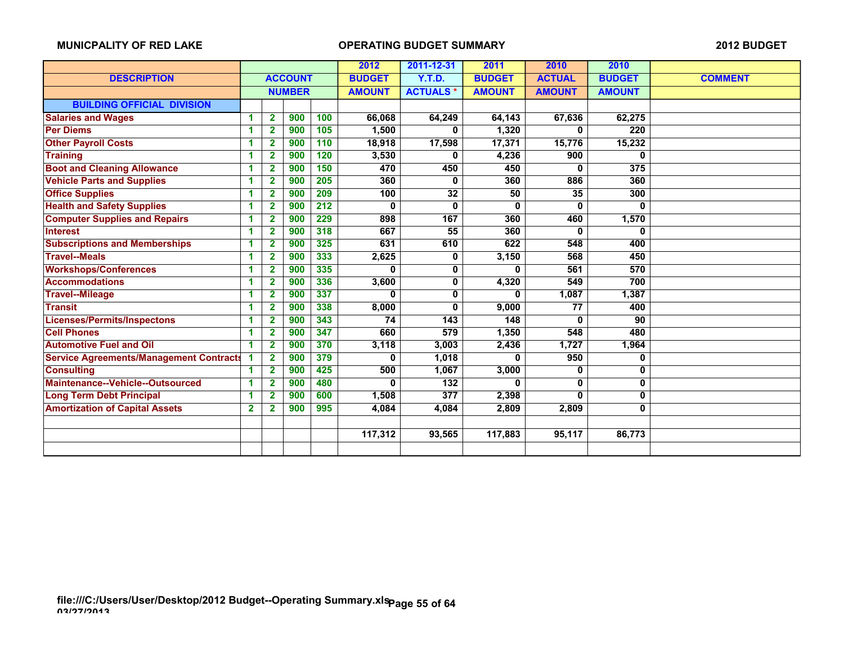|                                                |              |                |                |     | 2012          | 2011-12-31      | 2011          | 2010          | 2010          |                |
|------------------------------------------------|--------------|----------------|----------------|-----|---------------|-----------------|---------------|---------------|---------------|----------------|
| <b>DESCRIPTION</b>                             |              |                | <b>ACCOUNT</b> |     | <b>BUDGET</b> | Y.T.D.          | <b>BUDGET</b> | <b>ACTUAL</b> | <b>BUDGET</b> | <b>COMMENT</b> |
|                                                |              |                | <b>NUMBER</b>  |     | <b>AMOUNT</b> | <b>ACTUALS*</b> | <b>AMOUNT</b> | <b>AMOUNT</b> | <b>AMOUNT</b> |                |
| <b>BUILDING OFFICIAL DIVISION</b>              |              |                |                |     |               |                 |               |               |               |                |
| <b>Salaries and Wages</b>                      | 1            | $\mathbf{2}$   | 900            | 100 | 66,068        | 64,249          | 64,143        | 67,636        | 62,275        |                |
| <b>Per Diems</b>                               | 1            | $\overline{2}$ | 900            | 105 | 1,500         | 0               | 1,320         | 0             | 220           |                |
| <b>Other Payroll Costs</b>                     | 1            | $\overline{2}$ | 900            | 110 | 18,918        | 17,598          | 17,371        | 15,776        | 15,232        |                |
| <b>Training</b>                                | 1            | $\mathbf{2}$   | 900            | 120 | 3,530         | 0               | 4,236         | 900           | 0             |                |
| <b>Boot and Cleaning Allowance</b>             | 1            | $\overline{2}$ | 900            | 150 | 470           | 450             | 450           | 0             | 375           |                |
| <b>Vehicle Parts and Supplies</b>              | 1            | $\mathbf{2}$   | 900            | 205 | 360           | 0               | 360           | 886           | 360           |                |
| <b>Office Supplies</b>                         | 1            | $\mathbf{2}$   | 900            | 209 | 100           | 32              | 50            | 35            | 300           |                |
| <b>Health and Safety Supplies</b>              | 1            | $\mathbf{2}$   | 900            | 212 | 0             | 0               | 0             | 0             | 0             |                |
| <b>Computer Supplies and Repairs</b>           | 1            | $\mathbf{2}$   | 900            | 229 | 898           | 167             | 360           | 460           | 1,570         |                |
| <b>Interest</b>                                | 1            | $\overline{2}$ | 900            | 318 | 667           | 55              | 360           | 0             | $\bf{0}$      |                |
| <b>Subscriptions and Memberships</b>           | -1           | $\overline{2}$ | 900            | 325 | 631           | 610             | 622           | 548           | 400           |                |
| <b>Travel--Meals</b>                           | 1            | $\overline{2}$ | 900            | 333 | 2,625         | 0               | 3,150         | 568           | 450           |                |
| <b>Workshops/Conferences</b>                   | 1            | $\mathbf{2}$   | 900            | 335 | O             | 0               | 0             | 561           | 570           |                |
| <b>Accommodations</b>                          | 1            | $\overline{2}$ | 900            | 336 | 3,600         | 0               | 4,320         | 549           | 700           |                |
| <b>Travel--Mileage</b>                         | 1            | $\overline{2}$ | 900            | 337 | O             | 0               | 0             | 1,087         | 1,387         |                |
| <b>Transit</b>                                 | 1            | $\overline{2}$ | 900            | 338 | 8,000         | 0               | 9,000         | 77            | 400           |                |
| <b>Licenses/Permits/Inspectons</b>             | 1            | $\mathbf{2}$   | 900            | 343 | 74            | 143             | 148           | 0             | 90            |                |
| <b>Cell Phones</b>                             | 1            | $\mathbf{2}$   | 900            | 347 | 660           | 579             | 1,350         | 548           | 480           |                |
| <b>Automotive Fuel and Oil</b>                 | 1            | $\overline{2}$ | 900            | 370 | 3,118         | 3.003           | 2,436         | 1,727         | 1,964         |                |
| <b>Service Agreements/Management Contracts</b> |              | $\overline{2}$ | 900            | 379 | 0             | 1,018           | 0             | 950           | 0             |                |
| <b>Consulting</b>                              | 1            | $\overline{2}$ | 900            | 425 | 500           | 1,067           | 3,000         | 0             | $\mathbf 0$   |                |
| Maintenance--Vehicle--Outsourced               | 1            | $\overline{2}$ | 900            | 480 | 0             | 132             | 0             | 0             | 0             |                |
| <b>Long Term Debt Principal</b>                | 1            | $\overline{2}$ | 900            | 600 | 1,508         | 377             | 2,398         | 0             | 0             |                |
| <b>Amortization of Capital Assets</b>          | $\mathbf{2}$ | $\mathbf{2}$   | 900            | 995 | 4,084         | 4,084           | 2,809         | 2,809         | $\mathbf{0}$  |                |
|                                                |              |                |                |     |               |                 |               |               |               |                |
|                                                |              |                |                |     | 117,312       | 93,565          | 117,883       | 95,117        | 86,773        |                |
|                                                |              |                |                |     |               |                 |               |               |               |                |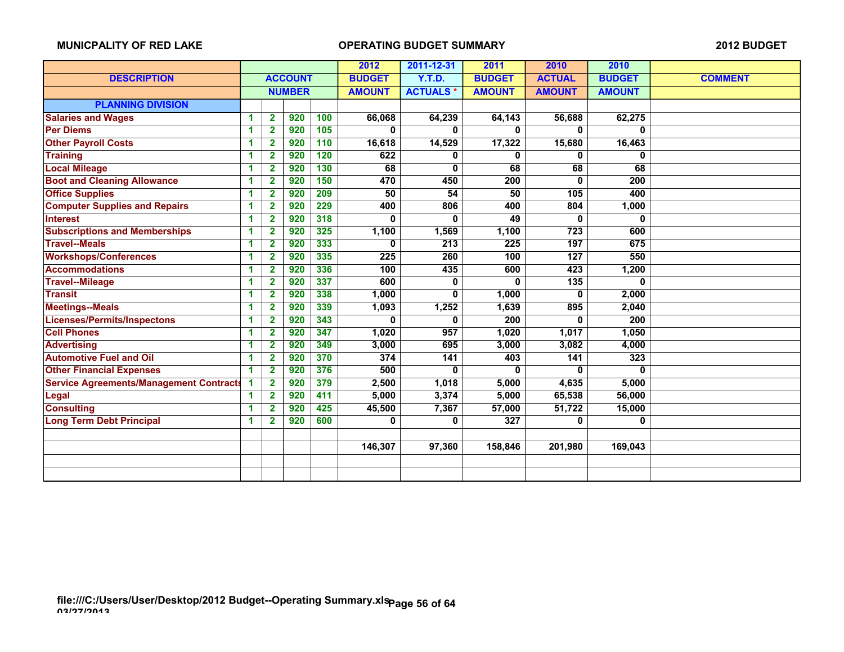|                                                |    |                         |                | 2012 | 2011-12-31    | 2011             | 2010          | 2010          |               |                |
|------------------------------------------------|----|-------------------------|----------------|------|---------------|------------------|---------------|---------------|---------------|----------------|
| <b>DESCRIPTION</b>                             |    |                         | <b>ACCOUNT</b> |      | <b>BUDGET</b> | Y.T.D.           | <b>BUDGET</b> | <b>ACTUAL</b> | <b>BUDGET</b> | <b>COMMENT</b> |
|                                                |    |                         | <b>NUMBER</b>  |      | <b>AMOUNT</b> | <b>ACTUALS*</b>  | <b>AMOUNT</b> | <b>AMOUNT</b> | <b>AMOUNT</b> |                |
| <b>PLANNING DIVISION</b>                       |    |                         |                |      |               |                  |               |               |               |                |
| <b>Salaries and Wages</b>                      | 1  | $\mathbf{2}$            | 920            | 100  | 66,068        | 64,239           | 64,143        | 56,688        | 62,275        |                |
| <b>Per Diems</b>                               | 1  | $\mathbf{2}$            | 920            | 105  | 0             | 0                | 0             | 0             | 0             |                |
| <b>Other Payroll Costs</b>                     | 1  | $\overline{\mathbf{2}}$ | 920            | 110  | 16,618        | 14,529           | 17,322        | 15,680        | 16,463        |                |
| <b>Training</b>                                | 1  | $\mathbf{2}$            | 920            | 120  | 622           | 0                | 0             | 0             | 0             |                |
| <b>Local Mileage</b>                           | 1  | $\overline{2}$          | 920            | 130  | 68            | 0                | 68            | 68            | 68            |                |
| <b>Boot and Cleaning Allowance</b>             | 1  | $\mathbf{2}$            | 920            | 150  | 470           | 450              | 200           | 0             | 200           |                |
| <b>Office Supplies</b>                         | 1  | $\mathbf{2}$            | 920            | 209  | 50            | 54               | 50            | 105           | 400           |                |
| <b>Computer Supplies and Repairs</b>           | 1  | $\mathbf{2}$            | 920            | 229  | 400           | 806              | 400           | 804           | 1,000         |                |
| <b>Interest</b>                                | 1  | $\mathbf{2}$            | 920            | 318  | 0             | 0                | 49            | 0             | 0             |                |
| <b>Subscriptions and Memberships</b>           | 1  | $\mathbf{2}$            | 920            | 325  | 1,100         | 1,569            | 1,100         | 723           | 600           |                |
| <b>Travel--Meals</b>                           | 1  | $\overline{\mathbf{2}}$ | 920            | 333  | O             | $\overline{213}$ | 225           | 197           | 675           |                |
| <b>Workshops/Conferences</b>                   | 1  | $\mathbf{2}$            | 920            | 335  | 225           | 260              | 100           | 127           | 550           |                |
| <b>Accommodations</b>                          | -1 | $\mathbf{2}$            | 920            | 336  | 100           | 435              | 600           | 423           | 1,200         |                |
| <b>Travel--Mileage</b>                         | 1  | 2                       | 920            | 337  | 600           | 0                | 0             | 135           | 0             |                |
| <b>Transit</b>                                 | 1  | $\mathbf{2}$            | 920            | 338  | 1,000         | $\bf{0}$         | 1,000         | 0             | 2,000         |                |
| <b>Meetings--Meals</b>                         | 1  | $\mathbf{2}$            | 920            | 339  | 1,093         | 1,252            | 1,639         | 895           | 2,040         |                |
| Licenses/Permits/Inspectons                    | 1  | $\mathbf{2}$            | 920            | 343  | 0             | 0                | 200           | 0             | 200           |                |
| <b>Cell Phones</b>                             | 1  | $\overline{2}$          | 920            | 347  | 1,020         | 957              | 1,020         | 1,017         | 1,050         |                |
| <b>Advertising</b>                             | 1  | $\mathbf{2}$            | 920            | 349  | 3,000         | 695              | 3,000         | 3,082         | 4,000         |                |
| <b>Automotive Fuel and Oil</b>                 | 1  | $\mathbf{2}$            | 920            | 370  | 374           | $141$            | 403           | 141           | 323           |                |
| <b>Other Financial Expenses</b>                | 1  | $\mathbf{2}$            | 920            | 376  | 500           | 0                | 0             | 0             | 0             |                |
| <b>Service Agreements/Management Contracts</b> | -1 | $\mathbf{2}$            | 920            | 379  | 2,500         | 1,018            | 5,000         | 4,635         | 5,000         |                |
| <b>Legal</b>                                   | 1  | $\mathbf{2}$            | 920            | 411  | 5,000         | 3,374            | 5,000         | 65,538        | 56,000        |                |
| <b>Consulting</b>                              | 1  | $\overline{2}$          | 920            | 425  | 45,500        | 7,367            | 57,000        | 51,722        | 15,000        |                |
| <b>Long Term Debt Principal</b>                | 1  | $\overline{2}$          | 920            | 600  | 0             | 0                | 327           | 0             | 0             |                |
|                                                |    |                         |                |      |               |                  |               |               |               |                |
|                                                |    |                         |                |      | 146,307       | 97,360           | 158,846       | 201,980       | 169,043       |                |
|                                                |    |                         |                |      |               |                  |               |               |               |                |
|                                                |    |                         |                |      |               |                  |               |               |               |                |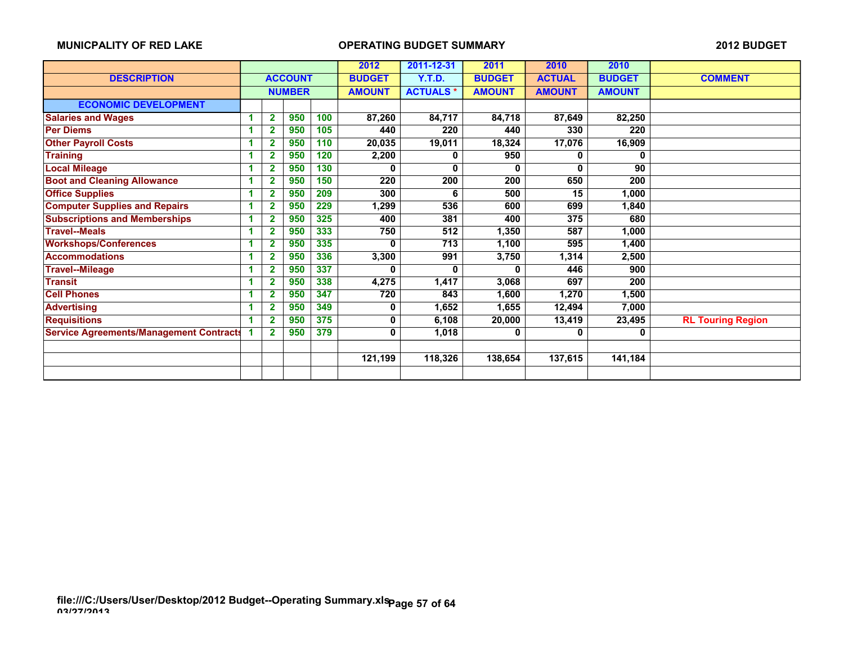|                                                |   |                |                |     | 2012          | 2011-12-31       | 2011          | 2010          | 2010          |                          |
|------------------------------------------------|---|----------------|----------------|-----|---------------|------------------|---------------|---------------|---------------|--------------------------|
| <b>DESCRIPTION</b>                             |   |                | <b>ACCOUNT</b> |     | <b>BUDGET</b> | Y.T.D.           | <b>BUDGET</b> | <b>ACTUAL</b> | <b>BUDGET</b> | <b>COMMENT</b>           |
|                                                |   |                | <b>NUMBER</b>  |     | <b>AMOUNT</b> | <b>ACTUALS*</b>  | <b>AMOUNT</b> | <b>AMOUNT</b> | <b>AMOUNT</b> |                          |
| <b>ECONOMIC DEVELOPMENT</b>                    |   |                |                |     |               |                  |               |               |               |                          |
| <b>Salaries and Wages</b>                      | 1 | $\mathbf{2}$   | 950            | 100 | 87,260        | 84,717           | 84,718        | 87,649        | 82,250        |                          |
| <b>Per Diems</b>                               | 1 | 2              | 950            | 105 | 440           | 220              | 440           | 330           | 220           |                          |
| <b>Other Payroll Costs</b>                     | 1 |                | 950            | 110 | 20,035        | 19,011           | 18,324        | 17,076        | 16,909        |                          |
| <b>Training</b>                                |   | 2              | 950            | 120 | 2,200         | 0                | 950           | 0             | 0             |                          |
| <b>Local Mileage</b>                           |   | $\overline{2}$ | 950            | 130 | 0             | 0                | 0             | U             | 90            |                          |
| <b>Boot and Cleaning Allowance</b>             |   | 2              | 950            | 150 | 220           | 200              | 200           | 650           | 200           |                          |
| <b>Office Supplies</b>                         |   | $\overline{2}$ | 950            | 209 | 300           | 6                | 500           | 15            | 1,000         |                          |
| <b>Computer Supplies and Repairs</b>           |   | 2              | 950            | 229 | 1,299         | 536              | 600           | 699           | 1,840         |                          |
| <b>Subscriptions and Memberships</b>           |   | 2              | 950            | 325 | 400           | 381              | 400           | 375           | 680           |                          |
| <b>Travel--Meals</b>                           | 1 | 2              | 950            | 333 | 750           | $\overline{512}$ | 1,350         | 587           | 1,000         |                          |
| <b>Workshops/Conferences</b>                   | 1 | 2              | 950            | 335 | 0             | 713              | 1,100         | 595           | 1,400         |                          |
| <b>Accommodations</b>                          | 1 | 2              | 950            | 336 | 3,300         | 991              | 3,750         | 1,314         | 2,500         |                          |
| <b>Travel--Mileage</b>                         | 1 | 2              | 950            | 337 | 0             | 0                | 0             | 446           | 900           |                          |
| <b>Transit</b>                                 | 1 | $\mathbf{2}$   | 950            | 338 | 4,275         | 1,417            | 3,068         | 697           | 200           |                          |
| <b>Cell Phones</b>                             | 1 | 2              | 950            | 347 | 720           | 843              | 1,600         | 1,270         | 1,500         |                          |
| <b>Advertising</b>                             |   | 2              | 950            | 349 | 0             | 1,652            | 1,655         | 12,494        | 7,000         |                          |
| <b>Requisitions</b>                            |   | $\overline{2}$ | 950            | 375 | 0             | 6,108            | 20,000        | 13,419        | 23,495        | <b>RL Touring Region</b> |
| <b>Service Agreements/Management Contracts</b> |   | $\mathbf{2}$   | 950            | 379 | 0             | 1,018            | 0             | 0             | 0             |                          |
|                                                |   |                |                |     |               |                  |               |               |               |                          |
|                                                |   |                |                |     | 121,199       | 118,326          | 138,654       | 137,615       | 141,184       |                          |
|                                                |   |                |                |     |               |                  |               |               |               |                          |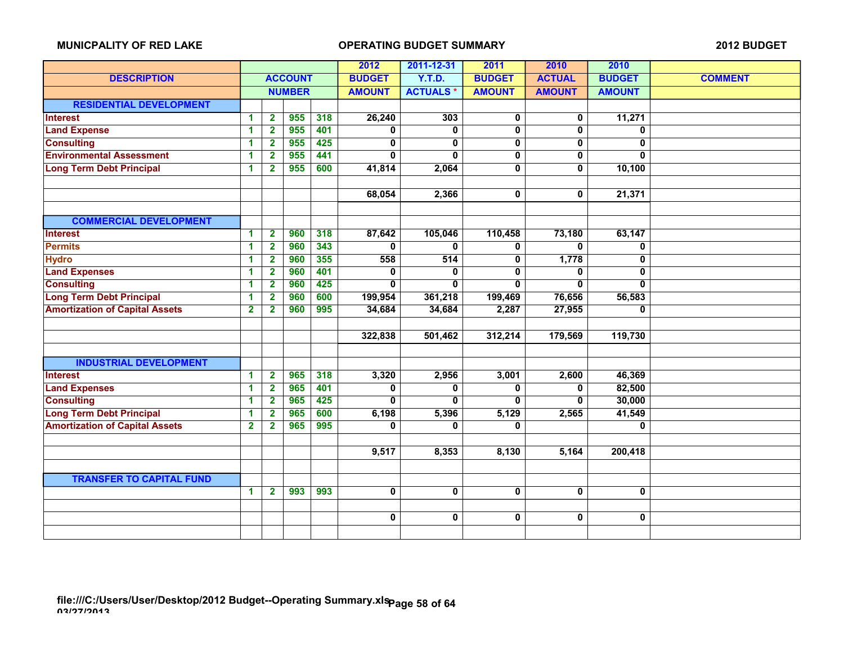|                                       |                         |                         |                |     | 2012          | 2011-12-31      | 2011          | 2010          | 2010          |                |
|---------------------------------------|-------------------------|-------------------------|----------------|-----|---------------|-----------------|---------------|---------------|---------------|----------------|
| <b>DESCRIPTION</b>                    |                         |                         | <b>ACCOUNT</b> |     | <b>BUDGET</b> | <b>Y.T.D.</b>   | <b>BUDGET</b> | <b>ACTUAL</b> | <b>BUDGET</b> | <b>COMMENT</b> |
|                                       |                         |                         | <b>NUMBER</b>  |     | <b>AMOUNT</b> | <b>ACTUALS*</b> | <b>AMOUNT</b> | <b>AMOUNT</b> | <b>AMOUNT</b> |                |
| <b>RESIDENTIAL DEVELOPMENT</b>        |                         |                         |                |     |               |                 |               |               |               |                |
| Interest                              | 1                       | $\overline{\mathbf{2}}$ | 955            | 318 | 26,240        | 303             | $\pmb{0}$     | 0             | 11,271        |                |
| <b>Land Expense</b>                   | 1                       | $\overline{\mathbf{2}}$ | 955            | 401 | 0             | 0               | 0             | 0             | $\mathbf 0$   |                |
| <b>Consulting</b>                     | 1                       | $\overline{2}$          | 955            | 425 | 0             | 0               | 0             | 0             | 0             |                |
| <b>Environmental Assessment</b>       | 1                       | $\mathbf{2}$            | 955            | 441 | 0             | 0               | 0             | 0             | 0             |                |
| <b>Long Term Debt Principal</b>       | 1                       | $\mathbf{2}$            | 955            | 600 | 41,814        | 2,064           | 0             | 0             | 10,100        |                |
|                                       |                         |                         |                |     |               |                 |               |               |               |                |
|                                       |                         |                         |                |     | 68,054        | 2,366           | $\mathbf 0$   | 0             | 21,371        |                |
|                                       |                         |                         |                |     |               |                 |               |               |               |                |
| <b>COMMERCIAL DEVELOPMENT</b>         |                         |                         |                |     |               |                 |               |               |               |                |
| <b>Interest</b>                       | 1                       | $\mathbf 2$             | 960            | 318 | 87,642        | 105,046         | 110,458       | 73,180        | 63,147        |                |
| <b>Permits</b>                        | 1                       | $\mathbf 2$             | 960            | 343 | 0             | 0               | 0             | 0             | 0             |                |
| <b>Hydro</b>                          | 1                       | $\mathbf 2$             | 960            | 355 | 558           | 514             | 0             | 1,778         | 0             |                |
| <b>Land Expenses</b>                  | 1                       | $\mathbf{2}$            | 960            | 401 | 0             | 0               | 0             | 0             | $\mathbf 0$   |                |
| <b>Consulting</b>                     | 1                       | $\mathbf 2$             | 960            | 425 | 0             | $\mathbf 0$     | 0             | $\mathbf 0$   | $\bf{0}$      |                |
| <b>Long Term Debt Principal</b>       | 1                       | $\mathbf{2}$            | 960            | 600 | 199,954       | 361,218         | 199,469       | 76,656        | 56,583        |                |
| <b>Amortization of Capital Assets</b> | $\overline{\mathbf{2}}$ | $\mathbf{2}$            | 960            | 995 | 34,684        | 34,684          | 2,287         | 27,955        | 0             |                |
|                                       |                         |                         |                |     |               |                 |               |               |               |                |
|                                       |                         |                         |                |     | 322,838       | 501,462         | 312,214       | 179,569       | 119,730       |                |
|                                       |                         |                         |                |     |               |                 |               |               |               |                |
| <b>INDUSTRIAL DEVELOPMENT</b>         |                         |                         |                |     |               |                 |               |               |               |                |
| <b>Interest</b>                       | 1                       | $\mathbf{2}$            | 965            | 318 | 3,320         | 2,956           | 3,001         | 2,600         | 46,369        |                |
| <b>Land Expenses</b>                  | -1                      | $\mathbf{2}$            | 965            | 401 | 0             | 0               | 0             | 0             | 82,500        |                |
| <b>Consulting</b>                     | 1                       | $\mathbf{2}$            | 965            | 425 | 0             | 0               | 0             | 0             | 30,000        |                |
| <b>Long Term Debt Principal</b>       | 1                       | $\mathbf{2}$            | 965            | 600 | 6,198         | 5,396           | 5,129         | 2,565         | 41,549        |                |
| <b>Amortization of Capital Assets</b> | 2                       | 2                       | 965            | 995 | 0             | 0               | 0             |               | 0             |                |
|                                       |                         |                         |                |     |               |                 |               |               |               |                |
|                                       |                         |                         |                |     | 9,517         | 8,353           | 8,130         | 5,164         | 200,418       |                |
|                                       |                         |                         |                |     |               |                 |               |               |               |                |
| <b>TRANSFER TO CAPITAL FUND</b>       |                         |                         |                |     |               |                 |               |               |               |                |
|                                       | $\blacktriangleleft$    | $\mathbf 2$             | 993            | 993 | $\pmb{0}$     | $\mathbf 0$     | 0             | 0             | $\mathbf 0$   |                |
|                                       |                         |                         |                |     |               |                 |               |               |               |                |
|                                       |                         |                         |                |     | $\pmb{0}$     | $\mathbf 0$     | $\mathbf 0$   | 0             | 0             |                |
|                                       |                         |                         |                |     |               |                 |               |               |               |                |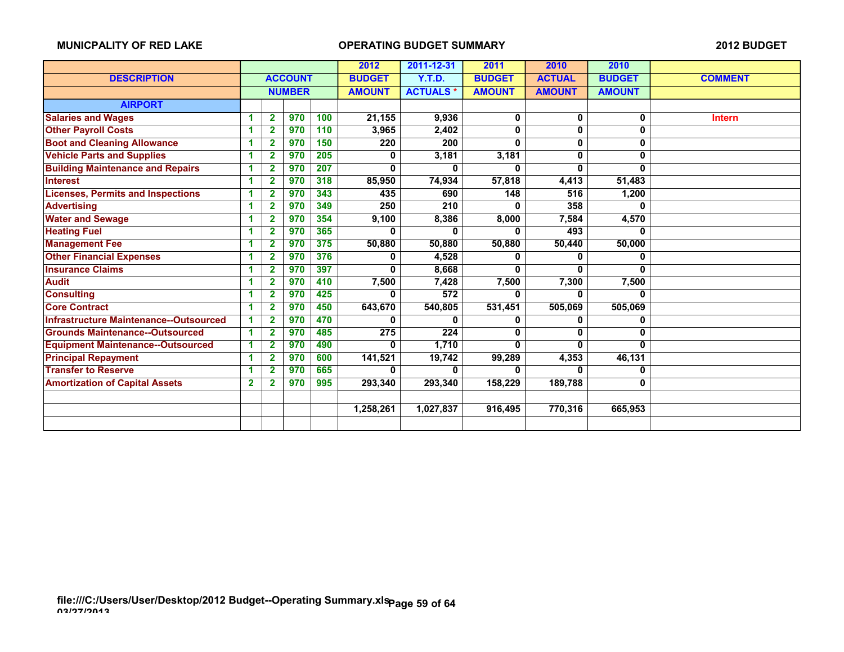|                                               |              |                |                |     | 2012          | 2011-12-31                       | 2011          | 2010          | 2010          |                |
|-----------------------------------------------|--------------|----------------|----------------|-----|---------------|----------------------------------|---------------|---------------|---------------|----------------|
| <b>DESCRIPTION</b>                            |              |                | <b>ACCOUNT</b> |     | <b>BUDGET</b> | <b>Y.T.D.</b>                    | <b>BUDGET</b> | <b>ACTUAL</b> | <b>BUDGET</b> | <b>COMMENT</b> |
|                                               |              |                | <b>NUMBER</b>  |     | <b>AMOUNT</b> | <b>ACTUALS*</b><br><b>AMOUNT</b> |               | <b>AMOUNT</b> | <b>AMOUNT</b> |                |
| <b>AIRPORT</b>                                |              |                |                |     |               |                                  |               |               |               |                |
| <b>Salaries and Wages</b>                     | 4            | $\mathbf{2}$   | 970            | 100 | 21,155        | 9,936                            | 0             | 0             | 0             | <b>Intern</b>  |
| <b>Other Payroll Costs</b>                    | 4            | $\overline{2}$ | 970            | 110 | 3,965         | 2,402                            | 0             | 0             | $\bf{0}$      |                |
| <b>Boot and Cleaning Allowance</b>            | 1            | 2              | 970            | 150 | 220           | 200                              | 0             | 0             | 0             |                |
| <b>Vehicle Parts and Supplies</b>             | 1            | 2              | 970            | 205 | 0             | 3,181                            | 3,181         | 0             | 0             |                |
| <b>Building Maintenance and Repairs</b>       | 1            | 2              | 970            | 207 | $\mathbf{0}$  | 0                                | 0             | 0             | $\bf{0}$      |                |
| <b>Interest</b>                               | -1           | 2              | 970            | 318 | 85,950        | 74,934                           | 57,818        | 4,413         | 51,483        |                |
| <b>Licenses, Permits and Inspections</b>      | 1            | 2              | 970            | 343 | 435           | 690                              | 148           | 516           | 1,200         |                |
| <b>Advertising</b>                            | 1            | $\mathbf{2}$   | 970            | 349 | 250           | 210                              | 0             | 358           | $\bf{0}$      |                |
| <b>Water and Sewage</b>                       | 4            | 2              | 970            | 354 | 9,100         | 8,386                            | 8,000         | 7,584         | 4,570         |                |
| <b>Heating Fuel</b>                           | 1            | 2              | 970            | 365 | $\Omega$      | 0                                | 0             | 493           | $\mathbf{0}$  |                |
| <b>Management Fee</b>                         | 4            | 2              | 970            | 375 | 50,880        | 50,880                           | 50,880        | 50,440        | 50,000        |                |
| <b>Other Financial Expenses</b>               | 1            | 2              | 970            | 376 | 0             | 4,528                            | 0             | 0             | 0             |                |
| <b>Insurance Claims</b>                       | 1            | 2              | 970            | 397 | $\mathbf{0}$  | 8,668                            | 0             | 0             | $\mathbf{0}$  |                |
| <b>Audit</b>                                  | 1            | 2              | 970            | 410 | 7,500         | 7,428                            | 7,500         | 7,300         | 7,500         |                |
| <b>Consulting</b>                             | 1            | 2              | 970            | 425 | 0             | 572                              | 0             | 0             | $\mathbf{0}$  |                |
| <b>Core Contract</b>                          | 1            | $\overline{2}$ | 970            | 450 | 643,670       | 540,805                          | 531,451       | 505,069       | 505,069       |                |
| <b>Infrastructure Maintenance--Outsourced</b> | -1           | $\overline{2}$ | 970            | 470 | $\Omega$      | 0                                | 0             | 0             | 0             |                |
| <b>Grounds Maintenance--Outsourced</b>        | 1            | $\overline{2}$ | 970            | 485 | 275           | 224                              | 0             | U             | 0             |                |
| <b>Equipment Maintenance--Outsourced</b>      | -1           | 2              | 970            | 490 | $\mathbf{0}$  | 1,710                            | 0             | 0             | 0             |                |
| <b>Principal Repayment</b>                    | 1            | 2              | 970            | 600 | 141,521       | 19,742                           | 99,289        | 4,353         | 46,131        |                |
| <b>Transfer to Reserve</b>                    | 1            | 2              | 970            | 665 | 0             | 0                                | 0             | 0             | 0             |                |
| <b>Amortization of Capital Assets</b>         | $\mathbf{2}$ | 2              | 970            | 995 | 293,340       | 293,340                          | 158,229       | 189,788       | 0             |                |
|                                               |              |                |                |     |               |                                  |               |               |               |                |
|                                               |              |                |                |     | 1,258,261     | 1,027,837                        | 916,495       | 770,316       | 665,953       |                |
|                                               |              |                |                |     |               |                                  |               |               |               |                |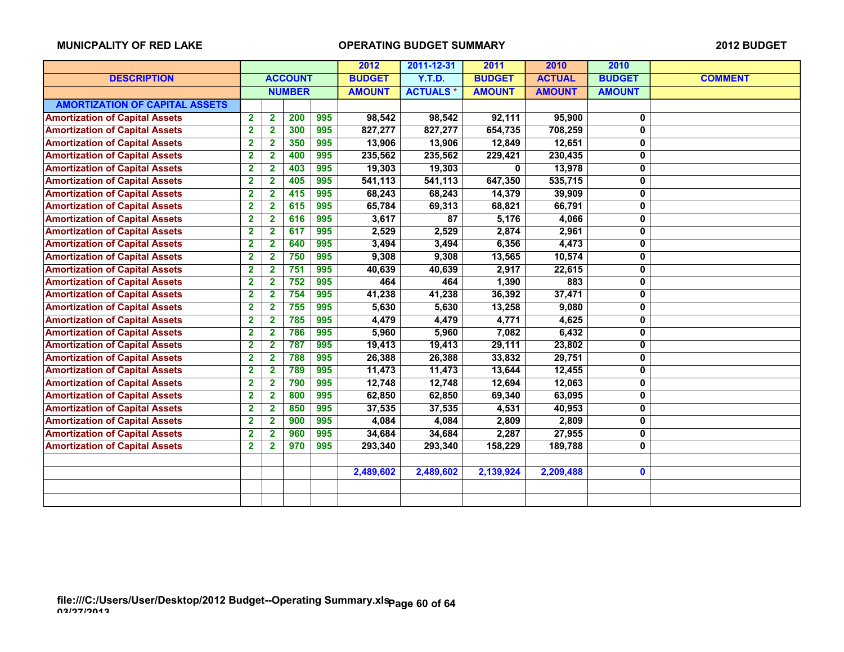|                                       |                         |                         |                |     | 2012          | 2011-12-31      | 2011          | 2010          | 2010          |                |
|---------------------------------------|-------------------------|-------------------------|----------------|-----|---------------|-----------------|---------------|---------------|---------------|----------------|
| <b>DESCRIPTION</b>                    |                         |                         | <b>ACCOUNT</b> |     | <b>BUDGET</b> | <b>Y.T.D.</b>   | <b>BUDGET</b> | <b>ACTUAL</b> | <b>BUDGET</b> | <b>COMMENT</b> |
|                                       |                         |                         | <b>NUMBER</b>  |     | <b>AMOUNT</b> | <b>ACTUALS*</b> | <b>AMOUNT</b> | <b>AMOUNT</b> | <b>AMOUNT</b> |                |
| <b>AMORTIZATION OF CAPITAL ASSETS</b> |                         |                         |                |     |               |                 |               |               |               |                |
| <b>Amortization of Capital Assets</b> | $\overline{\mathbf{2}}$ | $\overline{\mathbf{2}}$ | 200            | 995 | 98,542        | 98,542          | 92,111        | 95,900        | 0             |                |
| <b>Amortization of Capital Assets</b> | $\overline{\mathbf{2}}$ | $\overline{2}$          | 300            | 995 | 827,277       | 827,277         | 654,735       | 708,259       | $\mathbf 0$   |                |
| <b>Amortization of Capital Assets</b> | $\overline{\mathbf{2}}$ | $\mathbf{2}$            | 350            | 995 | 13,906        | 13,906          | 12,849        | 12,651        | $\mathbf 0$   |                |
| <b>Amortization of Capital Assets</b> | $\mathbf 2$             | $\mathbf{2}$            | 400            | 995 | 235,562       | 235,562         | 229,421       | 230,435       | 0             |                |
| <b>Amortization of Capital Assets</b> | $\mathbf 2$             | $\mathbf{2}$            | 403            | 995 | 19,303        | 19,303          | 0             | 13,978        | 0             |                |
| <b>Amortization of Capital Assets</b> | $\overline{\mathbf{2}}$ | $\mathbf{2}$            | 405            | 995 | 541,113       | 541,113         | 647,350       | 535,715       | $\pmb{0}$     |                |
| <b>Amortization of Capital Assets</b> | $\overline{\mathbf{2}}$ | $\overline{\mathbf{2}}$ | 415            | 995 | 68,243        | 68,243          | 14,379        | 39,909        | 0             |                |
| <b>Amortization of Capital Assets</b> | $\overline{\mathbf{2}}$ | $\mathbf 2$             | 615            | 995 | 65,784        | 69,313          | 68,821        | 66,791        | $\mathbf 0$   |                |
| <b>Amortization of Capital Assets</b> | $\overline{\mathbf{2}}$ | 2                       | 616            | 995 | 3,617         | 87              | 5,176         | 4,066         | 0             |                |
| <b>Amortization of Capital Assets</b> | $\overline{\mathbf{2}}$ | $\overline{\mathbf{2}}$ | 617            | 995 | 2,529         | 2,529           | 2,874         | 2,961         | $\mathbf 0$   |                |
| <b>Amortization of Capital Assets</b> | $\overline{\mathbf{2}}$ | $\mathbf{2}$            | 640            | 995 | 3,494         | 3,494           | 6,356         | 4,473         | $\mathbf 0$   |                |
| <b>Amortization of Capital Assets</b> | $\overline{\mathbf{2}}$ | $\overline{\mathbf{2}}$ | 750            | 995 | 9,308         | 9,308           | 13,565        | 10,574        | $\mathbf 0$   |                |
| <b>Amortization of Capital Assets</b> | $\overline{\mathbf{2}}$ | $\mathbf{2}$            | 751            | 995 | 40,639        | 40,639          | 2,917         | 22,615        | $\pmb{0}$     |                |
| <b>Amortization of Capital Assets</b> | $\overline{\mathbf{2}}$ | $\mathbf{2}$            | 752            | 995 | 464           | 464             | 1,390         | 883           | $\pmb{0}$     |                |
| <b>Amortization of Capital Assets</b> | $\overline{\mathbf{2}}$ | $\mathbf{2}$            | 754            | 995 | 41,238        | 41,238          | 36,392        | 37,471        | 0             |                |
| <b>Amortization of Capital Assets</b> | $\mathbf{2}$            | $\mathbf{2}$            | 755            | 995 | 5,630         | 5,630           | 13,258        | 9,080         | $\mathbf 0$   |                |
| <b>Amortization of Capital Assets</b> | $\mathbf 2$             | $\mathbf{2}$            | 785            | 995 | 4,479         | 4,479           | 4,771         | 4,625         | 0             |                |
| <b>Amortization of Capital Assets</b> | $\overline{\mathbf{2}}$ | $\overline{\mathbf{2}}$ | 786            | 995 | 5,960         | 5,960           | 7,082         | 6,432         | $\mathbf 0$   |                |
| <b>Amortization of Capital Assets</b> | $\overline{\mathbf{2}}$ | $\overline{\mathbf{2}}$ | 787            | 995 | 19,413        | 19,413          | 29,111        | 23,802        | $\mathbf 0$   |                |
| <b>Amortization of Capital Assets</b> | $\mathbf{2}$            | $\mathbf{2}$            | 788            | 995 | 26,388        | 26,388          | 33,832        | 29,751        | $\mathbf 0$   |                |
| <b>Amortization of Capital Assets</b> | $\overline{\mathbf{2}}$ | $\mathbf{2}$            | 789            | 995 | 11,473        | 11,473          | 13,644        | 12,455        | $\mathbf 0$   |                |
| <b>Amortization of Capital Assets</b> | $\mathbf 2$             | $\mathbf{2}$            | 790            | 995 | 12,748        | 12,748          | 12,694        | 12,063        | 0             |                |
| <b>Amortization of Capital Assets</b> | $\overline{\mathbf{2}}$ | 2                       | 800            | 995 | 62,850        | 62,850          | 69,340        | 63,095        | 0             |                |
| <b>Amortization of Capital Assets</b> | $\overline{\mathbf{2}}$ | $\mathbf{2}$            | 850            | 995 | 37,535        | 37,535          | 4,531         | 40,953        | 0             |                |
| <b>Amortization of Capital Assets</b> | $\overline{\mathbf{2}}$ | 2                       | 900            | 995 | 4,084         | 4,084           | 2,809         | 2,809         | $\mathbf 0$   |                |
| <b>Amortization of Capital Assets</b> | $\overline{\mathbf{2}}$ | 2                       | 960            | 995 | 34,684        | 34,684          | 2,287         | 27,955        | $\mathbf 0$   |                |
| <b>Amortization of Capital Assets</b> | $\overline{\mathbf{2}}$ | $\mathbf{2}$            | 970            | 995 | 293,340       | 293,340         | 158,229       | 189,788       | 0             |                |
|                                       |                         |                         |                |     |               |                 |               |               |               |                |
|                                       |                         |                         |                |     | 2,489,602     | 2,489,602       | 2,139,924     | 2,209,488     | $\mathbf 0$   |                |
|                                       |                         |                         |                |     |               |                 |               |               |               |                |
|                                       |                         |                         |                |     |               |                 |               |               |               |                |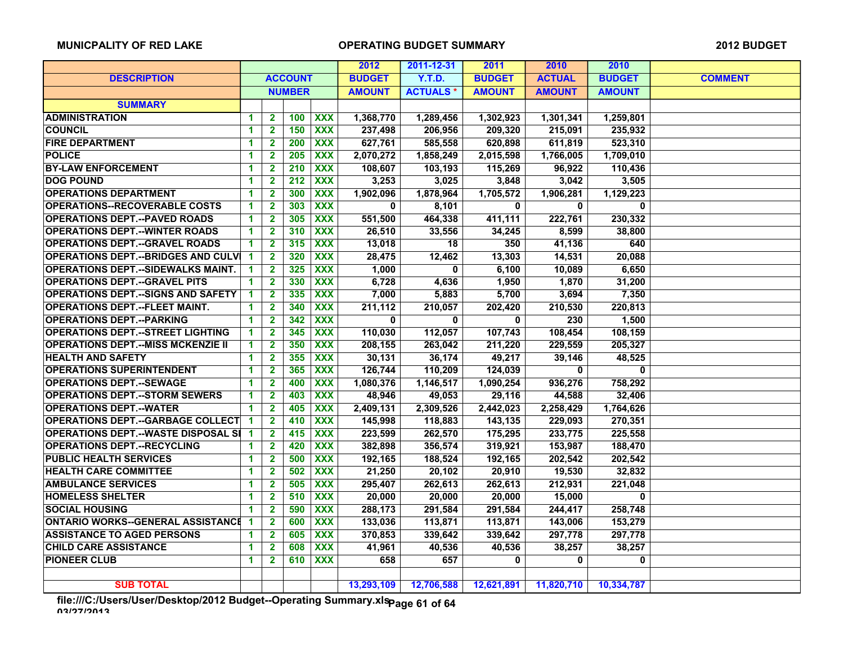|                                              |                      |                         |                  |                  | 2012          | 2011-12-31      | 2011          | 2010           | 2010           |                |
|----------------------------------------------|----------------------|-------------------------|------------------|------------------|---------------|-----------------|---------------|----------------|----------------|----------------|
| <b>DESCRIPTION</b>                           | <b>ACCOUNT</b>       |                         |                  |                  | <b>BUDGET</b> | Y.T.D.          | <b>BUDGET</b> | <b>ACTUAL</b>  | <b>BUDGET</b>  | <b>COMMENT</b> |
|                                              | <b>NUMBER</b>        |                         |                  |                  | <b>AMOUNT</b> | <b>ACTUALS*</b> | <b>AMOUNT</b> | <b>AMOUNT</b>  | <b>AMOUNT</b>  |                |
| <b>SUMMARY</b>                               |                      |                         |                  |                  |               |                 |               |                |                |                |
| <b>ADMINISTRATION</b>                        | 1                    | $\mathbf{2}$            | 100              | <b>XXX</b>       | 1,368,770     | 1,289,456       | 1,302,923     | 1,301,341      | 1,259,801      |                |
| <b>COUNCIL</b>                               | 1                    | $\overline{\mathbf{2}}$ | 150              | $\overline{XXX}$ | 237,498       | 206,956         | 209,320       | 215,091        | 235,932        |                |
| <b>FIRE DEPARTMENT</b>                       | $\blacktriangleleft$ | $\mathbf{2}$            | 200              | $\overline{XXX}$ | 627,761       | 585,558         | 620,898       | 611,819        | 523,310        |                |
| <b>POLICE</b>                                | 1                    | $\overline{\mathbf{2}}$ | 205              | <b>XXX</b>       | 2,070,272     | 1,858,249       | 2,015,598     | 1,766,005      | 1,709,010      |                |
| <b>BY-LAW ENFORCEMENT</b>                    | 1                    | $\mathbf{2}$            | 210              | <b>XXX</b>       | 108,607       | 103,193         | 115,269       | 96,922         | 110,436        |                |
| <b>DOG POUND</b>                             | 1                    | $\mathbf{2}$            | $\overline{212}$ | $\overline{XXX}$ | 3,253         | 3,025           | 3,848         | 3,042          | 3,505          |                |
| <b>OPERATIONS DEPARTMENT</b>                 | $\blacktriangleleft$ | $\mathbf{2}$            | 300              | <b>XXX</b>       | 1,902,096     | 1,878,964       | 1,705,572     | 1,906,281      | 1,129,223      |                |
| <b>OPERATIONS--RECOVERABLE COSTS</b>         | $\blacktriangleleft$ | $\overline{2}$          | 303              | $\overline{XXX}$ | $\bf{0}$      | 8,101           | 0             | $\mathbf 0$    | $\mathbf{0}$   |                |
| <b>OPERATIONS DEPT.--PAVED ROADS</b>         | 1                    | $\mathbf{2}$            | 305              | $\overline{XXX}$ | 551,500       | 464,338         | 411,111       | 222,761        | 230,332        |                |
| <b>OPERATIONS DEPT.--WINTER ROADS</b>        | 1                    | $\mathbf{2}$            | 310              | <b>XXX</b>       | 26,510        | 33,556          | 34,245        | 8,599          | 38,800         |                |
| <b>OPERATIONS DEPT.--GRAVEL ROADS</b>        | 1                    | $\overline{2}$          | 315              | $\overline{XXX}$ | 13,018        | 18              | 350           | 41,136         | 640            |                |
| <b>OPERATIONS DEPT.--BRIDGES AND CULVI</b>   | 1                    | $\overline{2}$          | 320              | $\overline{XXX}$ | 28,475        | 12,462          | 13,303        | 14,531         | 20,088         |                |
| <b>OPERATIONS DEPT.--SIDEWALKS MAINT.</b>    | 1                    | $\overline{2}$          | 325              | <b>XXX</b>       | 1,000         | $\bf{0}$        | 6,100         | 10,089         | 6,650          |                |
| <b>OPERATIONS DEPT.--GRAVEL PITS</b>         | 1                    | $\mathbf{2}$            | 330              | $\overline{XXX}$ | 6,728         | 4,636           | 1,950         | 1,870          | 31,200         |                |
| <b>OPERATIONS DEPT. -- SIGNS AND SAFETY</b>  | 1                    | $\mathbf{2}$            | 335              | $\overline{XXX}$ | 7,000         | 5,883           | 5,700         | 3,694          | 7,350          |                |
| <b>OPERATIONS DEPT.--FLEET MAINT.</b>        | 1                    | $\mathbf{2}$            | 340              | <b>XXX</b>       | 211,112       | 210,057         | 202,420       | 210,530        | 220,813        |                |
| <b>OPERATIONS DEPT.--PARKING</b>             | $\blacktriangleleft$ | $\mathbf{2}$            | 342              | $\overline{XXX}$ | $\mathbf{0}$  | $\mathbf{0}$    | $\mathbf{0}$  | 230            | 1,500          |                |
| <b>OPERATIONS DEPT.--STREET LIGHTING</b>     | $\blacktriangleleft$ | $\overline{\mathbf{2}}$ | 345              | $\overline{XXX}$ | 110,030       | 112,057         | 107,743       | 108,454        | 108,159        |                |
| <b>OPERATIONS DEPT.--MISS MCKENZIE II</b>    | 1                    | $\mathbf{2}$            | 350              | <b>XXX</b>       | 208,155       | 263,042         | 211,220       | 229,559        | 205,327        |                |
| <b>HEALTH AND SAFETY</b>                     | 1                    | $\mathbf{2}$            | 355              | $\overline{XXX}$ | 30,131        | 36,174          | 49,217        | 39,146         | 48,525         |                |
| <b>OPERATIONS SUPERINTENDENT</b>             | 1                    | $\overline{2}$          | 365              | <b>XXX</b>       | 126,744       | 110,209         | 124,039       | $\overline{0}$ | $\overline{0}$ |                |
| <b>OPERATIONS DEPT.--SEWAGE</b>              | 1                    | $\mathbf{2}$            | 400              | <b>XXX</b>       | 1,080,376     | 1,146,517       | 1,090,254     | 936,276        | 758.292        |                |
| <b>OPERATIONS DEPT.--STORM SEWERS</b>        | 1                    | $\mathbf{2}$            | 403              | <b>XXX</b>       | 48,946        | 49,053          | 29,116        | 44,588         | 32,406         |                |
| <b>OPERATIONS DEPT.--WATER</b>               | 1                    | $\mathbf{2}$            | 405              | <b>XXX</b>       | 2,409,131     | 2,309,526       | 2,442,023     | 2,258,429      | 1,764,626      |                |
| <b>OPERATIONS DEPT.--GARBAGE COLLECT</b>     | $\blacktriangleleft$ | $\mathbf{2}$            | 410              | $\overline{XXX}$ | 145,998       | 118,883         | 143,135       | 229,093        | 270,351        |                |
| <b>OPERATIONS DEPT.--WASTE DISPOSAL SI 1</b> |                      | $\mathbf{2}$            | 415              | $\overline{XXX}$ | 223,599       | 262,570         | 175,295       | 233,775        | 225,558        |                |
| <b>OPERATIONS DEPT.--RECYCLING</b>           | 1                    | $\overline{\mathbf{2}}$ | 420              | <b>XXX</b>       | 382,898       | 356,574         | 319,921       | 153,987        | 188,470        |                |
| <b>PUBLIC HEALTH SERVICES</b>                | 1                    | $\mathbf{2}$            | 500              | $\overline{XXX}$ | 192,165       | 188,524         | 192,165       | 202,542        | 202,542        |                |
| <b>HEALTH CARE COMMITTEE</b>                 | $\blacktriangleleft$ | $\overline{2}$          | 502              | $\overline{XXX}$ | 21,250        | 20,102          | 20,910        | 19,530         | 32,832         |                |
| <b>AMBULANCE SERVICES</b>                    | 1                    | $\mathbf{2}$            | 505              | <b>XXX</b>       | 295,407       | 262,613         | 262,613       | 212,931        | 221,048        |                |
| <b>HOMELESS SHELTER</b>                      | $\blacktriangleleft$ | $\mathbf{2}$            | 510              | $\overline{XXX}$ | 20,000        | 20,000          | 20.000        | 15.000         | $\mathbf{0}$   |                |
| <b>SOCIAL HOUSING</b>                        | $\blacktriangleleft$ | $\mathbf{2}$            | 590              | $\overline{XXX}$ | 288,173       | 291,584         | 291,584       | 244,417        | 258,748        |                |
| <b>ONTARIO WORKS--GENERAL ASSISTANCE 1</b>   |                      | $\mathbf{2}$            | 600              | <b>XXX</b>       | 133,036       | 113,871         | 113,871       | 143,006        | 153,279        |                |
| <b>ASSISTANCE TO AGED PERSONS</b>            | 1                    | $\overline{2}$          | 605              | $\overline{XXX}$ | 370,853       | 339,642         | 339,642       | 297,778        | 297,778        |                |
| <b>CHILD CARE ASSISTANCE</b>                 | 1                    | $\mathbf{2}$            | 608              | <b>XXX</b>       | 41,961        | 40,536          | 40,536        | 38,257         | 38,257         |                |
| <b>PIONEER CLUB</b>                          | 1                    | $\mathbf{2}$            | 610              | <b>XXX</b>       | 658           | 657             | $\mathbf{0}$  | $\mathbf{0}$   | $\mathbf{0}$   |                |
|                                              |                      |                         |                  |                  |               |                 |               |                |                |                |
| <b>SUB TOTAL</b>                             |                      |                         |                  |                  | 13,293,109    | 12,706,588      | 12,621,891    | 11,820,710     | 10,334,787     |                |

**file:///C:/Users/User/Desktop/2012 Budget--Operating Summary.xls 03/27/2013 Page 61 of 64**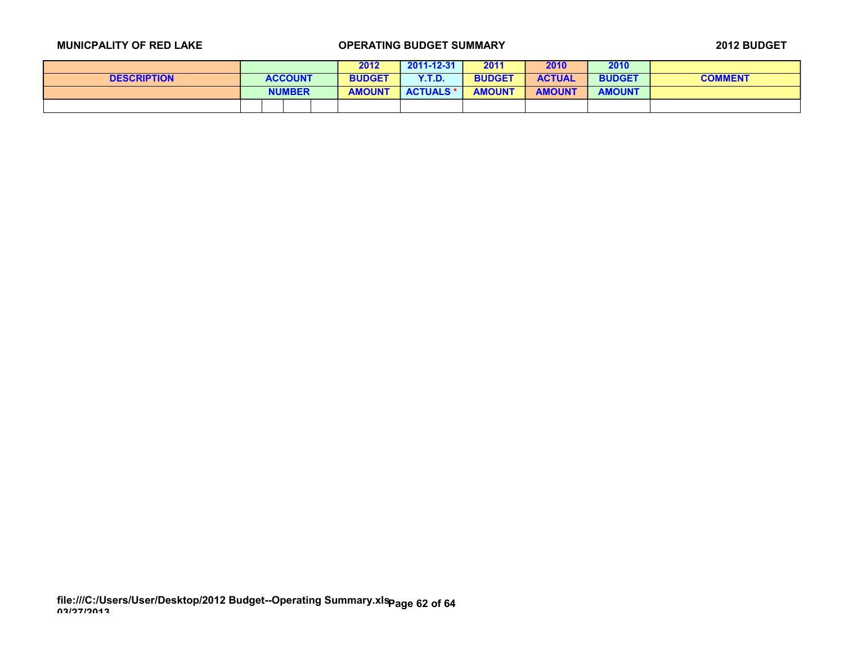|                    |               |                | 2012          | 2011-12-31       | 2011          | 2010          | 2010          |                |
|--------------------|---------------|----------------|---------------|------------------|---------------|---------------|---------------|----------------|
| <b>DESCRIPTION</b> |               | <b>ACCOUNT</b> | <b>BUDGET</b> | <b>Y.T.D.</b>    | <b>BUDGET</b> | <b>ACTUAL</b> | <b>BUDGET</b> | <b>COMMENT</b> |
|                    | <b>NUMBER</b> |                | <b>AMOUNT</b> | <b>ACTUALS *</b> | <b>AMOUNT</b> | <b>AMOUNT</b> | <b>AMOUNT</b> |                |
|                    |               |                |               |                  |               |               |               |                |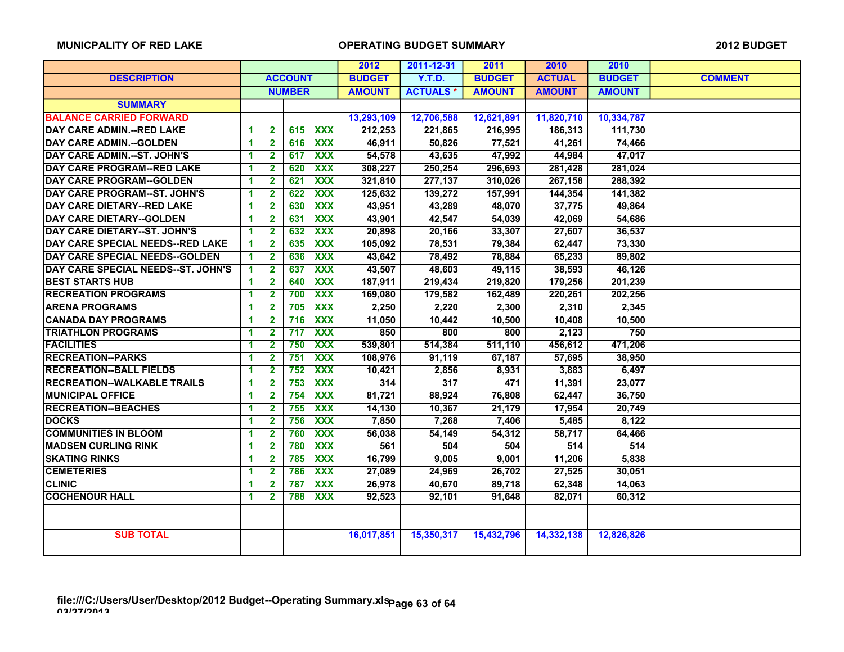|                                     |                      |                |     |                  | 2012          | 2011-12-31      | 2011          | 2010          | 2010          |                |
|-------------------------------------|----------------------|----------------|-----|------------------|---------------|-----------------|---------------|---------------|---------------|----------------|
| <b>DESCRIPTION</b>                  | <b>ACCOUNT</b>       |                |     |                  | <b>BUDGET</b> | Y.T.D.          | <b>BUDGET</b> | <b>ACTUAL</b> | <b>BUDGET</b> | <b>COMMENT</b> |
|                                     | <b>NUMBER</b>        |                |     |                  | <b>AMOUNT</b> | <b>ACTUALS*</b> | <b>AMOUNT</b> | <b>AMOUNT</b> | <b>AMOUNT</b> |                |
| <b>SUMMARY</b>                      |                      |                |     |                  |               |                 |               |               |               |                |
| <b>BALANCE CARRIED FORWARD</b>      |                      |                |     |                  | 13,293,109    | 12,706,588      | 12,621,891    | 11,820,710    | 10,334,787    |                |
| <b>DAY CARE ADMIN.--RED LAKE</b>    | 1                    | $\mathbf{2}$   | 615 | <b>XXX</b>       | 212,253       | 221,865         | 216,995       | 186,313       | 111,730       |                |
| <b>DAY CARE ADMIN.--GOLDEN</b>      | $\blacktriangleleft$ | $\mathbf{2}$   | 616 | <b>XXX</b>       | 46,911        | 50,826          | 77,521        | 41,261        | 74,466        |                |
| <b>DAY CARE ADMIN.--ST. JOHN'S</b>  | 1                    | $\mathbf{2}$   | 617 | <b>XXX</b>       | 54,578        | 43,635          | 47,992        | 44,984        | 47,017        |                |
| <b>DAY CARE PROGRAM--RED LAKE</b>   | 1                    | $\mathbf{2}$   | 620 | <b>XXX</b>       | 308,227       | 250,254         | 296,693       | 281,428       | 281,024       |                |
| <b>DAY CARE PROGRAM--GOLDEN</b>     | 1                    | $\mathbf{2}$   | 621 | <b>XXX</b>       | 321,810       | 277,137         | 310,026       | 267,158       | 288,392       |                |
| <b>DAY CARE PROGRAM--ST. JOHN'S</b> | 1                    | $\mathbf{2}$   | 622 | <b>XXX</b>       | 125,632       | 139,272         | 157,991       | 144,354       | 141,382       |                |
| <b>DAY CARE DIETARY--RED LAKE</b>   | 1                    | $\mathbf{2}$   | 630 | $\overline{XXX}$ | 43,951        | 43,289          | 48,070        | 37,775        | 49,864        |                |
| <b>DAY CARE DIETARY--GOLDEN</b>     | 1                    | $\mathbf{2}$   | 631 | $\overline{XXX}$ | 43,901        | 42,547          | 54,039        | 42,069        | 54,686        |                |
| <b>DAY CARE DIETARY--ST. JOHN'S</b> | 1                    | $\mathbf{2}$   | 632 | <b>XXX</b>       | 20,898        | 20,166          | 33,307        | 27,607        | 36,537        |                |
| DAY CARE SPECIAL NEEDS--RED LAKE    | 1                    | $\mathbf{2}$   | 635 | <b>XXX</b>       | 105,092       | 78,531          | 79,384        | 62,447        | 73,330        |                |
| DAY CARE SPECIAL NEEDS--GOLDEN      | 1                    | $\mathbf{2}$   | 636 | $\overline{XXX}$ | 43,642        | 78,492          | 78,884        | 65,233        | 89,802        |                |
| DAY CARE SPECIAL NEEDS--ST. JOHN'S  | 1                    | $\mathbf{2}$   | 637 | $\overline{XXX}$ | 43,507        | 48,603          | 49,115        | 38,593        | 46,126        |                |
| <b>BEST STARTS HUB</b>              | $\blacktriangleleft$ | $\overline{2}$ | 640 | $\overline{XXX}$ | 187,911       | 219,434         | 219,820       | 179,256       | 201,239       |                |
| <b>RECREATION PROGRAMS</b>          | $\blacktriangleleft$ | $\mathbf{2}$   | 700 | $\overline{XXX}$ | 169,080       | 179,582         | 162,489       | 220,261       | 202,256       |                |
| <b>ARENA PROGRAMS</b>               | 1                    | $\mathbf{2}$   | 705 | <b>XXX</b>       | 2,250         | 2,220           | 2,300         | 2,310         | 2,345         |                |
| <b>CANADA DAY PROGRAMS</b>          | 1                    | $\mathbf{2}$   | 716 | $\overline{XXX}$ | 11,050        | 10,442          | 10,500        | 10,408        | 10,500        |                |
| <b>TRIATHLON PROGRAMS</b>           | 1                    | $\mathbf{2}$   | 717 | $\overline{XXX}$ | 850           | 800             | 800           | 2,123         | 750           |                |
| <b>FACILITIES</b>                   | 1                    | $\mathbf{2}$   | 750 | <b>XXX</b>       | 539,801       | 514,384         | 511,110       | 456,612       | 471,206       |                |
| <b>RECREATION--PARKS</b>            | 1                    | $\mathbf{2}$   | 751 | $\overline{XXX}$ | 108,976       | 91,119          | 67,187        | 57,695        | 38,950        |                |
| <b>RECREATION--BALL FIELDS</b>      | 1                    | $\mathbf{2}$   | 752 | <b>XXX</b>       | 10,421        | 2,856           | 8,931         | 3,883         | 6,497         |                |
| <b>RECREATION--WALKABLE TRAILS</b>  | 1                    | $\mathbf{2}$   | 753 | <b>XXX</b>       | 314           | 317             | 471           | 11,391        | 23,077        |                |
| <b>MUNICIPAL OFFICE</b>             | 1                    | $\mathbf{2}$   | 754 | $\overline{XXX}$ | 81,721        | 88,924          | 76,808        | 62,447        | 36,750        |                |
| <b>RECREATION--BEACHES</b>          | 1                    | $\mathbf{2}$   | 755 | <b>XXX</b>       | 14,130        | 10,367          | 21,179        | 17,954        | 20,749        |                |
| <b>DOCKS</b>                        | 1                    | $\mathbf{2}$   | 756 | $\overline{XXX}$ | 7,850         | 7,268           | 7,406         | 5,485         | 8,122         |                |
| <b>COMMUNITIES IN BLOOM</b>         | 1                    | $\overline{2}$ | 760 | $\overline{XXX}$ | 56,038        | 54,149          | 54,312        | 58,717        | 64,466        |                |
| <b>MADSEN CURLING RINK</b>          | $\blacktriangleleft$ | $\overline{2}$ | 780 | <b>XXX</b>       | 561           | 504             | 504           | 514           | 514           |                |
| <b>SKATING RINKS</b>                | $\blacktriangleleft$ | $\overline{2}$ | 785 | <b>XXX</b>       | 16,799        | 9,005           | 9,001         | 11,206        | 5,838         |                |
| <b>CEMETERIES</b>                   | $\blacktriangleleft$ | $\mathbf{2}$   | 786 | <b>XXX</b>       | 27,089        | 24,969          | 26,702        | 27,525        | 30,051        |                |
| <b>CLINIC</b>                       | 1                    | $\mathbf{2}$   | 787 | <b>XXX</b>       | 26,978        | 40,670          | 89,718        | 62,348        | 14.063        |                |
| <b>COCHENOUR HALL</b>               | 1                    | $\mathbf{2}$   | 788 | <b>XXX</b>       | 92,523        | 92,101          | 91,648        | 82,071        | 60,312        |                |
|                                     |                      |                |     |                  |               |                 |               |               |               |                |
|                                     |                      |                |     |                  |               |                 |               |               |               |                |
| <b>SUB TOTAL</b>                    |                      |                |     |                  | 16,017,851    | 15,350,317      | 15,432,796    | 14,332,138    | 12,826,826    |                |
|                                     |                      |                |     |                  |               |                 |               |               |               |                |